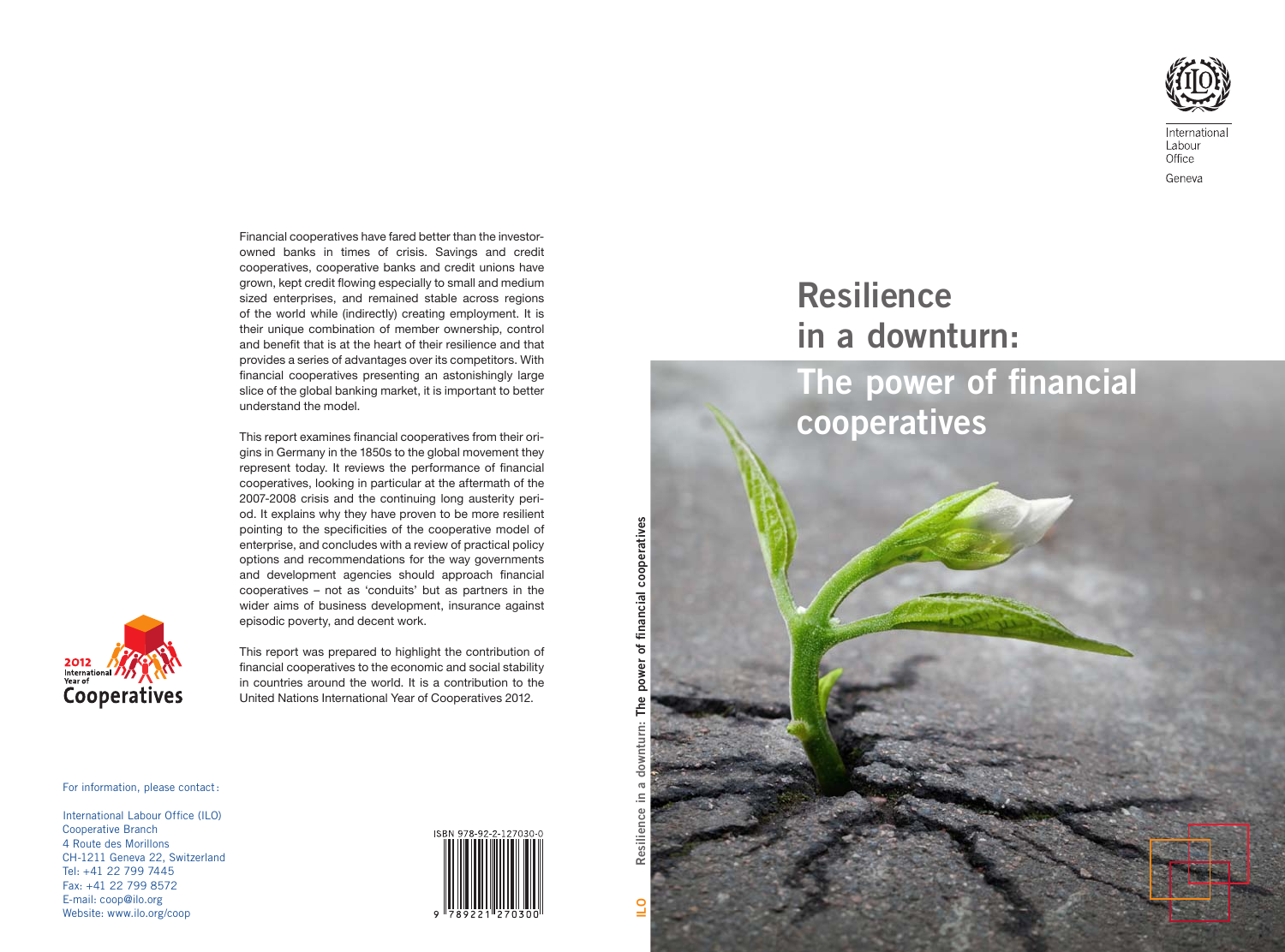

International Labour Office Geneva

# **Resilience** in a downturn:

The power of financial cooperatives

Resilience

in a downturn:

**communication** 

The power of financial contracts of the power of the power of the power of the power of the power of the power

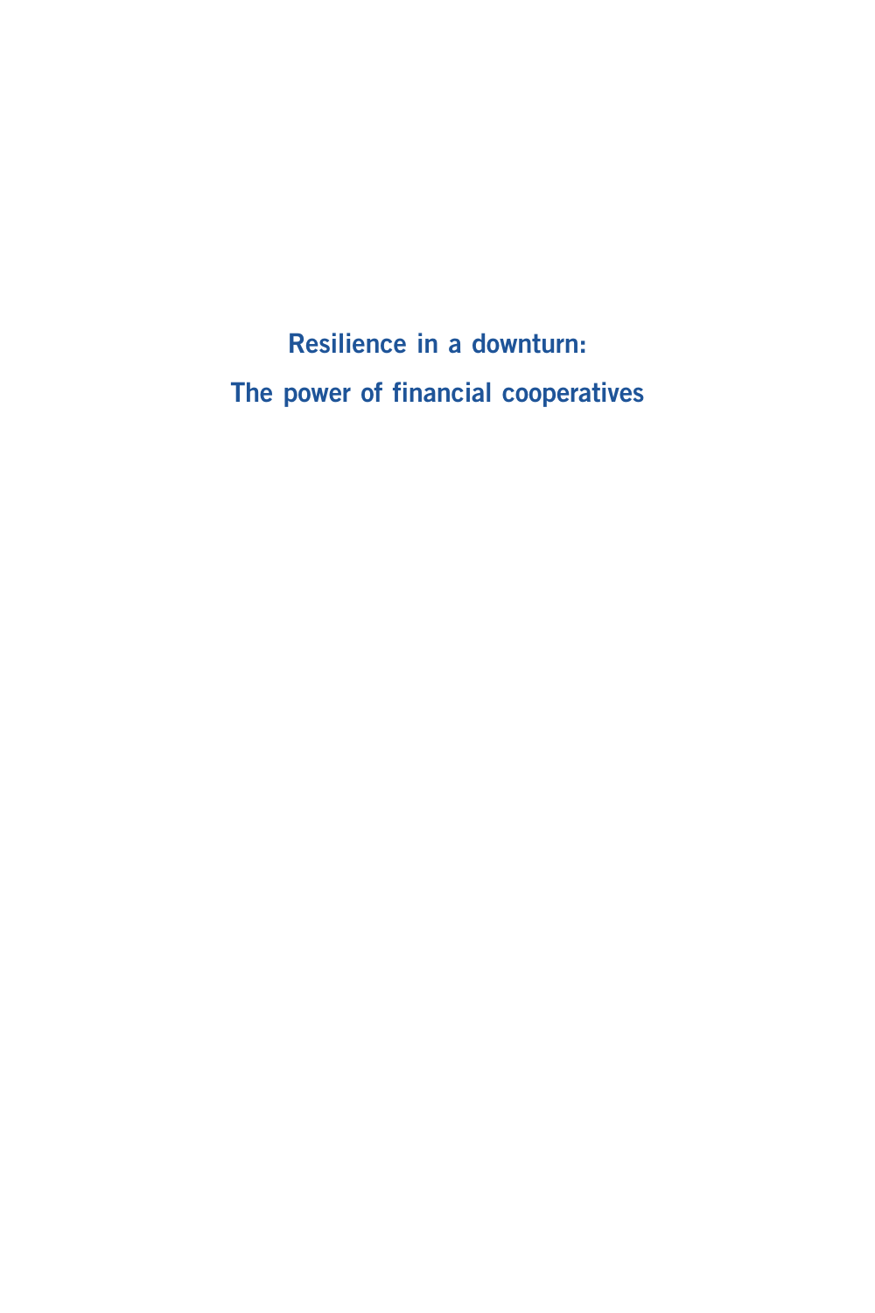**Resilience in a downturn: The power of financial cooperatives**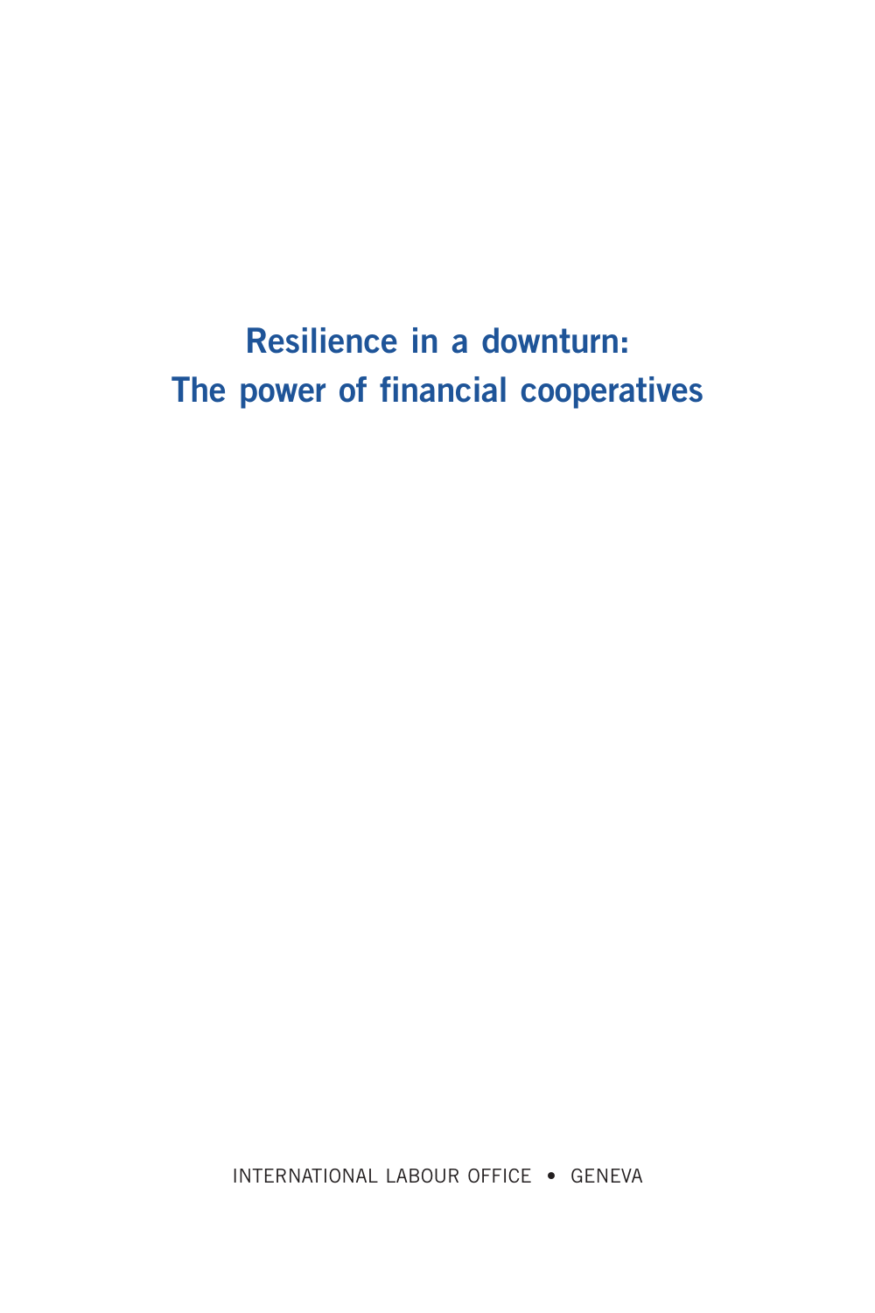# **Resilience in a downturn: The power of financial cooperatives**

INTERNATIONAL LABOUR OFFICE • GENEVA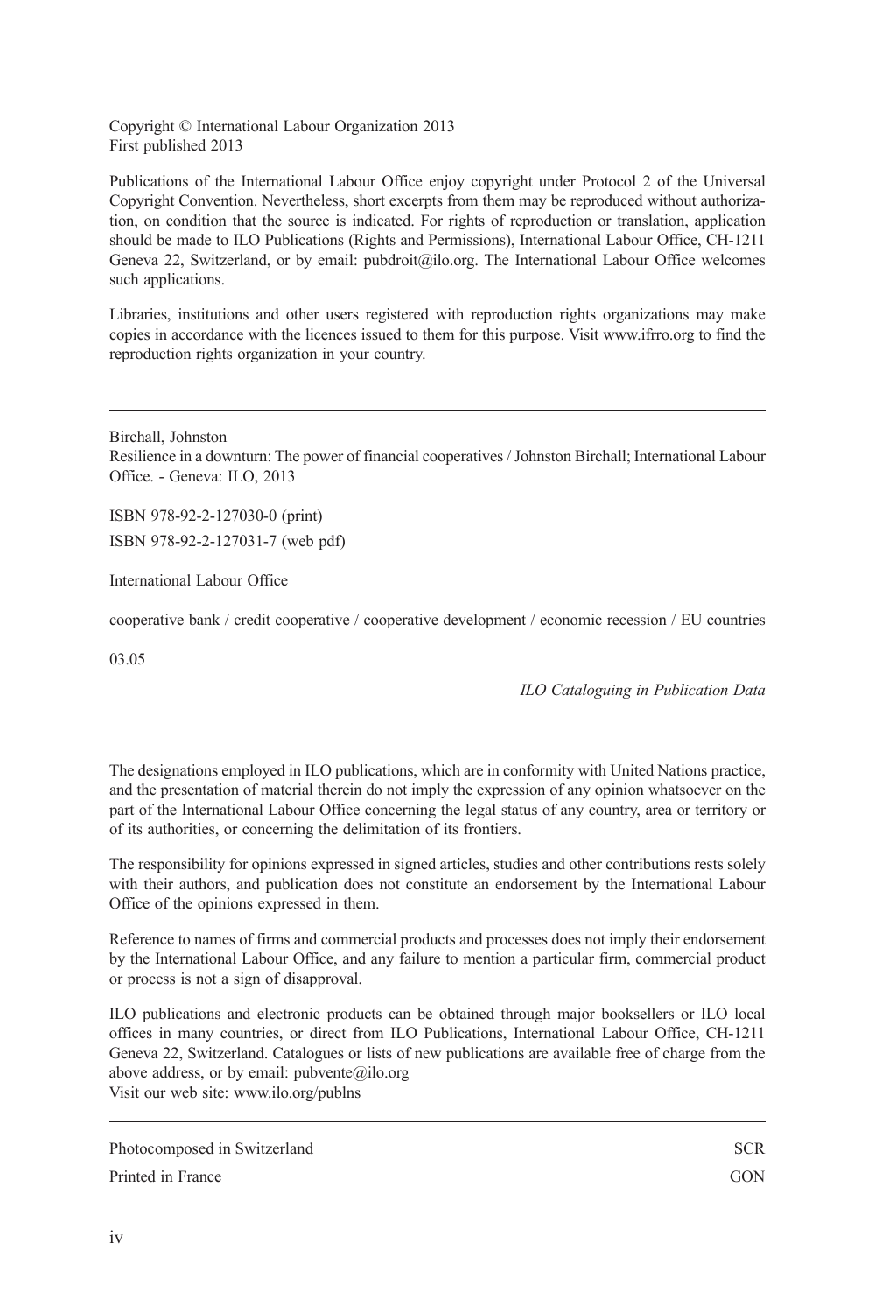Copyright © International Labour Organization 2013 First published 2013

Publications of the International Labour Office enjoy copyright under Protocol 2 of the Universal Copyright Convention. Nevertheless, short excerpts from them may be reproduced without authorization, on condition that the source is indicated. For rights of reproduction or translation, application should be made to ILO Publications (Rights and Permissions), International Labour Office, CH-1211 Geneva 22, Switzerland, or by email: pubdroit@ilo.org. The International Labour Office welcomes such applications.

Libraries, institutions and other users registered with reproduction rights organizations may make copies in accordance with the licences issued to them for this purpose. Visit www.ifrro.org to find the reproduction rights organization in your country.

Birchall, Johnston

Resilience in a downturn: The power of financial cooperatives / Johnston Birchall; International Labour Office. - Geneva: ILO, 2013

ISBN 978-92-2-127030-0 (print) ISBN 978-92-2-127031-7 (web pdf)

International Labour Office

cooperative bank / credit cooperative / cooperative development / economic recession / EU countries

03.05

*ILO Cataloguing in Publication Data*

The designations employed in ILO publications, which are in conformity with United Nations practice, and the presentation of material therein do not imply the expression of any opinion whatsoever on the part of the International Labour Office concerning the legal status of any country, area or territory or of its authorities, or concerning the delimitation of its frontiers.

The responsibility for opinions expressed in signed articles, studies and other contributions rests solely with their authors, and publication does not constitute an endorsement by the International Labour Office of the opinions expressed in them.

Reference to names of firms and commercial products and processes does not imply their endorsement by the International Labour Office, and any failure to mention a particular firm, commercial product or process is not a sign of disapproval.

ILO publications and electronic products can be obtained through major booksellers or ILO local offices in many countries, or direct from ILO Publications, International Labour Office, CH-1211 Geneva 22, Switzerland. Catalogues or lists of new publications are available free of charge from the above address, or by email: pubvente@ilo.org Visit our web site: www.ilo.org/publns

Photocomposed in Switzerland SCR SCR

Printed in France GON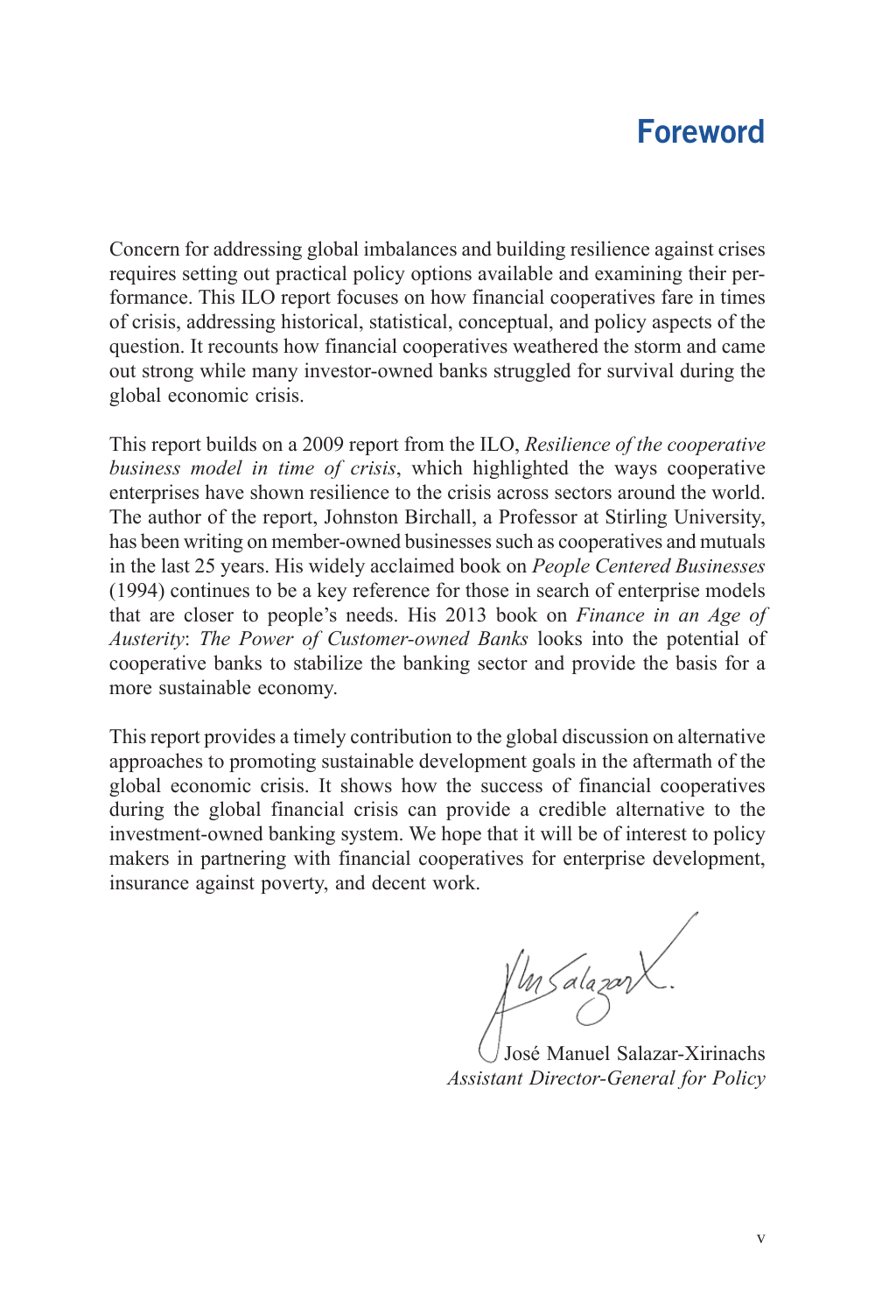### **Foreword**

Concern for addressing global imbalances and building resilience against crises requires setting out practical policy options available and examining their performance. This ILO report focuses on how financial cooperatives fare in times of crisis, addressing historical, statistical, conceptual, and policy aspects of the question. It recounts how financial cooperatives weathered the storm and came out strong while many investor-owned banks struggled for survival during the global economic crisis.

This report builds on a 2009 report from the ILO, *Resilience of the cooperative business model in time of crisis*, which highlighted the ways cooperative enterprises have shown resilience to the crisis across sectors around the world. The author of the report, Johnston Birchall, a Professor at Stirling University, has been writing on member-owned businesses such as cooperatives and mutuals in the last 25 years. His widely acclaimed book on *People Centered Businesses* (1994) continues to be a key reference for those in search of enterprise models that are closer to people's needs. His 2013 book on *Finance in an Age of Austerity*: *The Power of Customer-owned Banks* looks into the potential of cooperative banks to stabilize the banking sector and provide the basis for a more sustainable economy.

This report provides a timely contribution to the global discussion on alternative approaches to promoting sustainable development goals in the aftermath of the global economic crisis. It shows how the success of financial cooperatives during the global financial crisis can provide a credible alternative to the investment-owned banking system. We hope that it will be of interest to policy makers in partnering with financial cooperatives for enterprise development, insurance against poverty, and decent work.

In Salazar

José Manuel Salazar-Xirinachs *Assistant Director-General for Policy*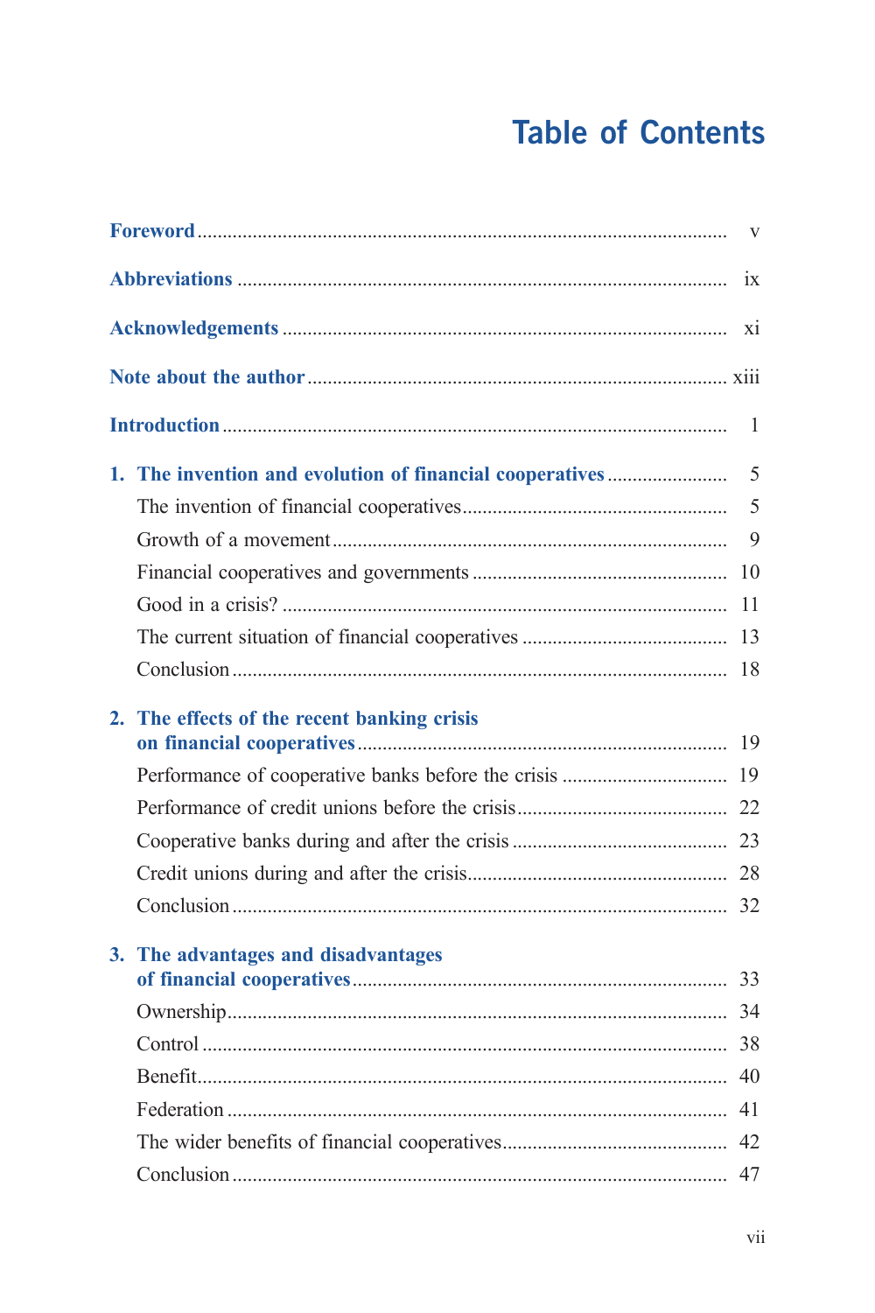# **Table of Contents**

|    |                                             | V  |
|----|---------------------------------------------|----|
|    |                                             |    |
|    |                                             | xi |
|    |                                             |    |
|    |                                             |    |
|    |                                             |    |
|    |                                             | 5  |
|    |                                             |    |
|    |                                             |    |
|    |                                             |    |
|    |                                             |    |
|    |                                             |    |
|    | 2. The effects of the recent banking crisis |    |
|    |                                             |    |
|    |                                             |    |
|    |                                             |    |
|    |                                             |    |
|    |                                             |    |
| 3. | The advantages and disadvantages            |    |
|    |                                             |    |
|    |                                             |    |
|    |                                             |    |
|    |                                             |    |
|    |                                             |    |
|    |                                             |    |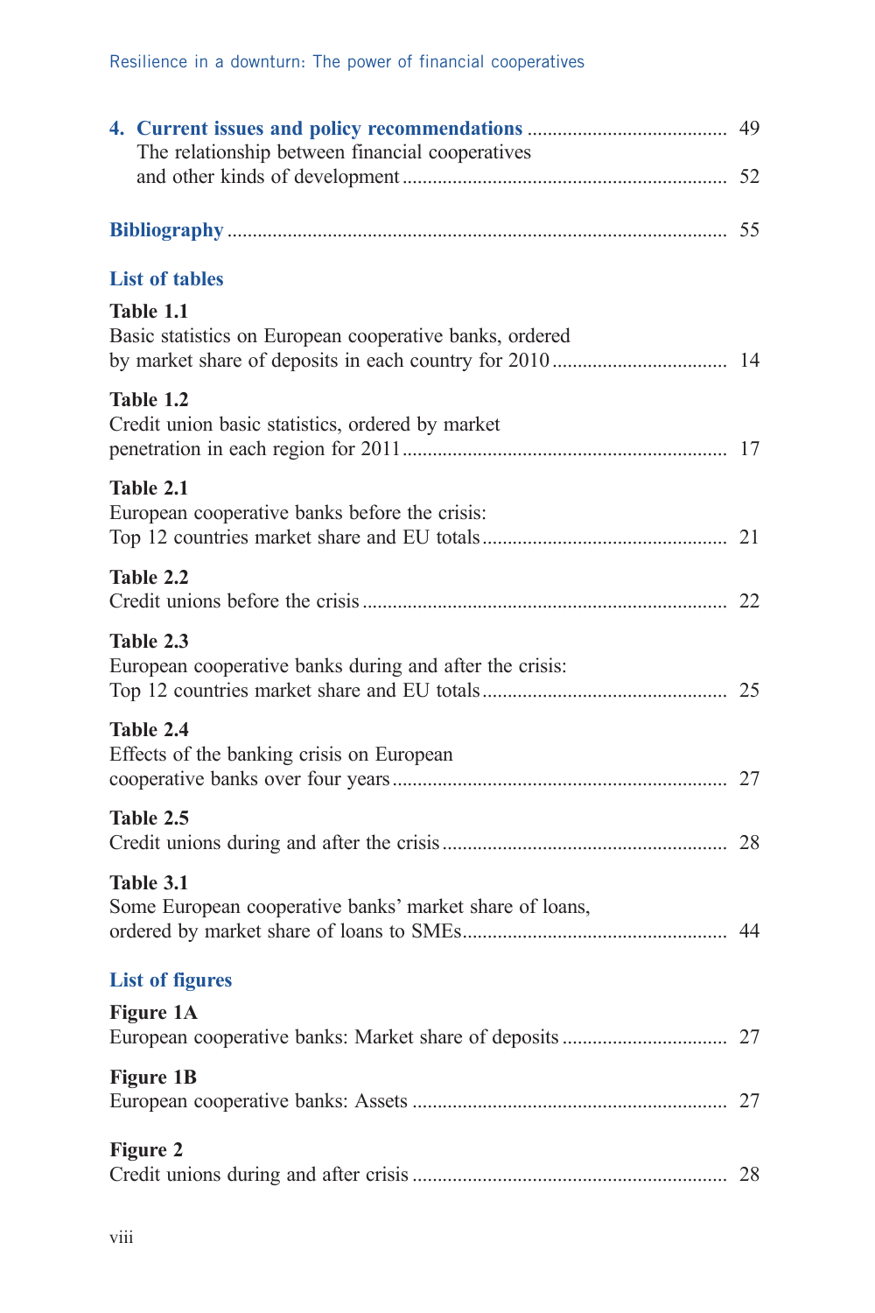| The relationship between financial cooperatives                      |  |
|----------------------------------------------------------------------|--|
|                                                                      |  |
|                                                                      |  |
| <b>List of tables</b>                                                |  |
| Table 1.1<br>Basic statistics on European cooperative banks, ordered |  |
| Table 1.2<br>Credit union basic statistics, ordered by market        |  |
| Table 2.1<br>European cooperative banks before the crisis:           |  |
| Table 2.2                                                            |  |
| Table 2.3<br>European cooperative banks during and after the crisis: |  |
| Table 2.4<br>Effects of the banking crisis on European               |  |
| Table 2.5                                                            |  |
| Table 3.1<br>Some European cooperative banks' market share of loans, |  |
| <b>List of figures</b>                                               |  |
| <b>Figure 1A</b>                                                     |  |
| <b>Figure 1B</b>                                                     |  |
| <b>Figure 2</b>                                                      |  |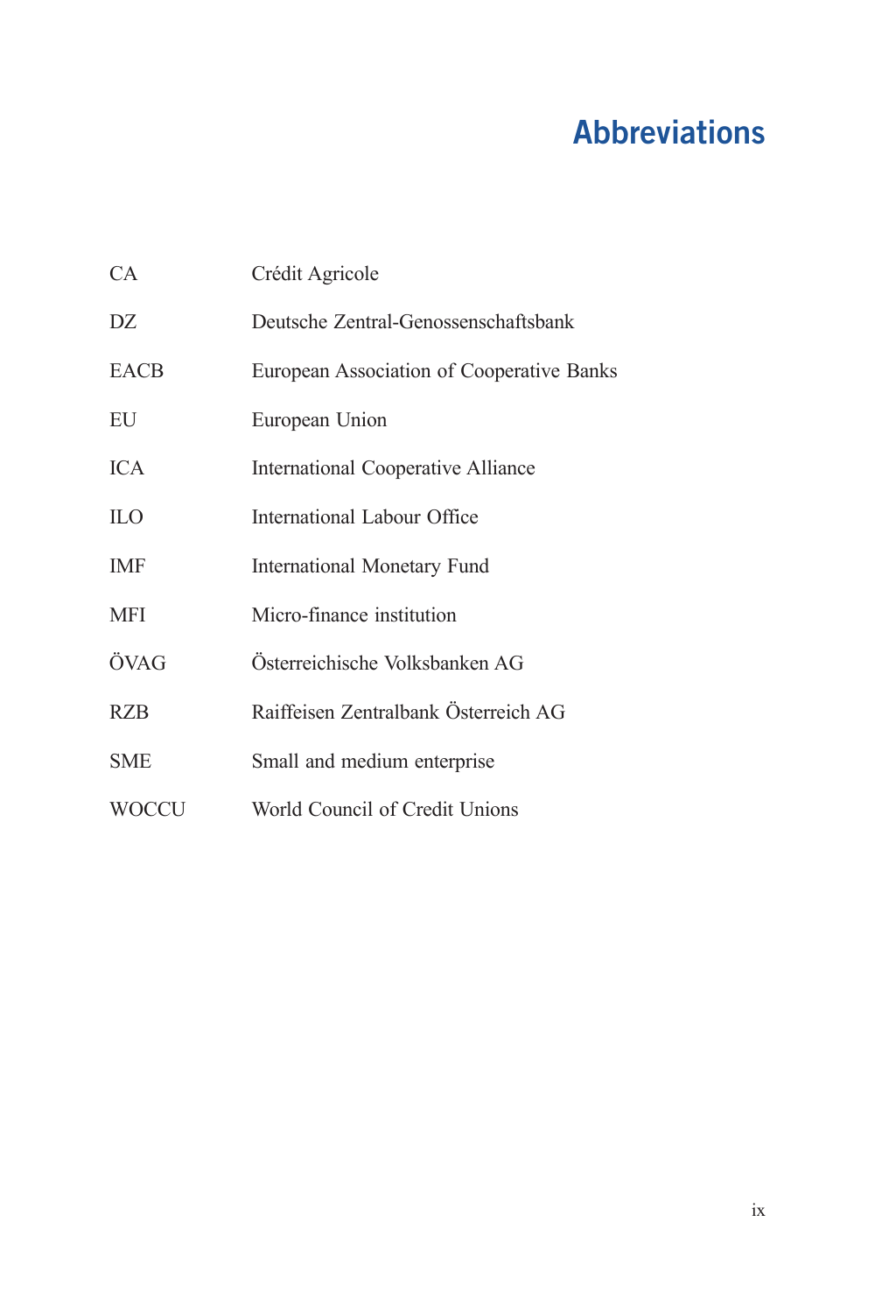# **Abbreviations**

| CA           | Crédit Agricole                           |
|--------------|-------------------------------------------|
| DZ           | Deutsche Zentral-Genossenschaftsbank      |
| <b>EACB</b>  | European Association of Cooperative Banks |
| EU           | European Union                            |
| <b>ICA</b>   | <b>International Cooperative Alliance</b> |
| <b>ILO</b>   | International Labour Office               |
| <b>IMF</b>   | <b>International Monetary Fund</b>        |
| <b>MFI</b>   | Micro-finance institution                 |
| ÖVAG         | Österreichische Volksbanken AG            |
| <b>RZB</b>   | Raiffeisen Zentralbank Österreich AG      |
| <b>SME</b>   | Small and medium enterprise               |
| <b>WOCCU</b> | World Council of Credit Unions            |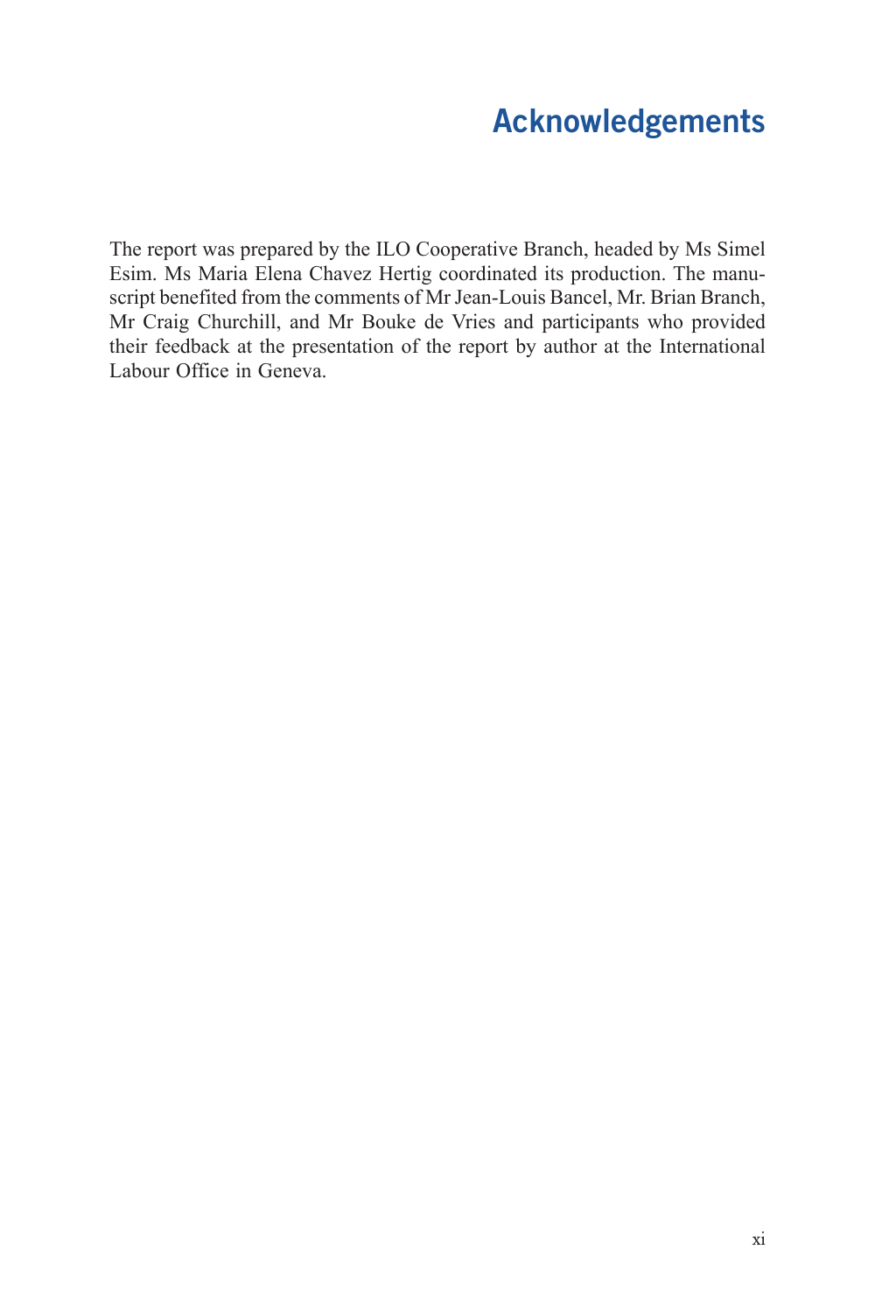# **Acknowledgements**

The report was prepared by the ILO Cooperative Branch, headed by Ms Simel Esim. Ms Maria Elena Chavez Hertig coordinated its production. The manuscript benefited from the comments of Mr Jean-Louis Bancel, Mr. Brian Branch, Mr Craig Churchill, and Mr Bouke de Vries and participants who provided their feedback at the presentation of the report by author at the International Labour Office in Geneva.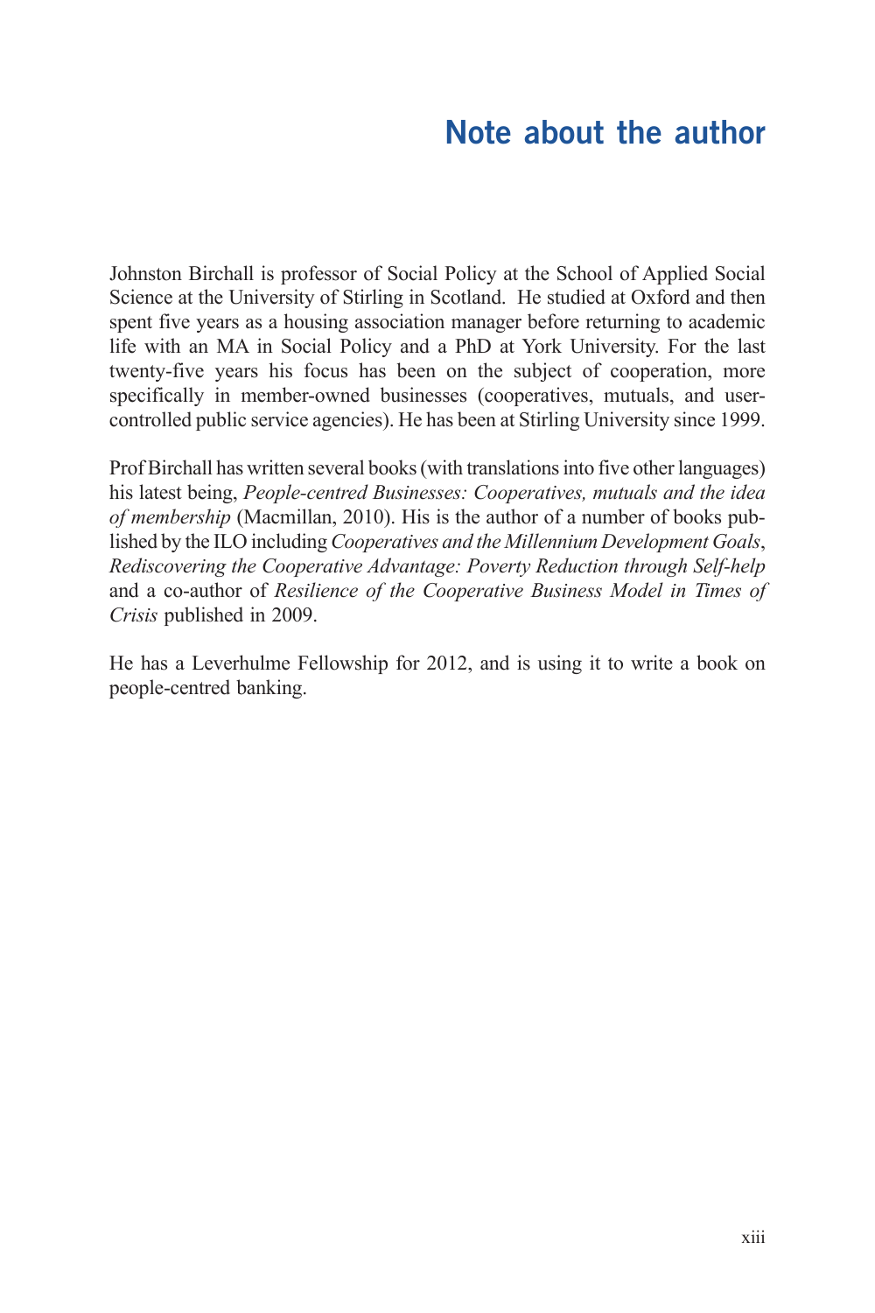### **Note about the author**

Johnston Birchall is professor of Social Policy at the School of Applied Social Science at the University of Stirling in Scotland. He studied at Oxford and then spent five years as a housing association manager before returning to academic life with an MA in Social Policy and a PhD at York University. For the last twenty-five years his focus has been on the subject of cooperation, more specifically in member-owned businesses (cooperatives, mutuals, and usercontrolled public service agencies). He has been at Stirling University since 1999.

Prof Birchall has written several books (with translations into five other languages) his latest being, *People-centred Businesses: Cooperatives, mutuals and the idea of membership* (Macmillan, 2010). His is the author of a number of books published by the ILO including*Cooperatives and the Millennium Development Goals*, *Rediscovering the Cooperative Advantage: Poverty Reduction through Self-help* and a co-author of *Resilience of the Cooperative Business Model in Times of Crisis* published in 2009.

He has a Leverhulme Fellowship for 2012, and is using it to write a book on people-centred banking.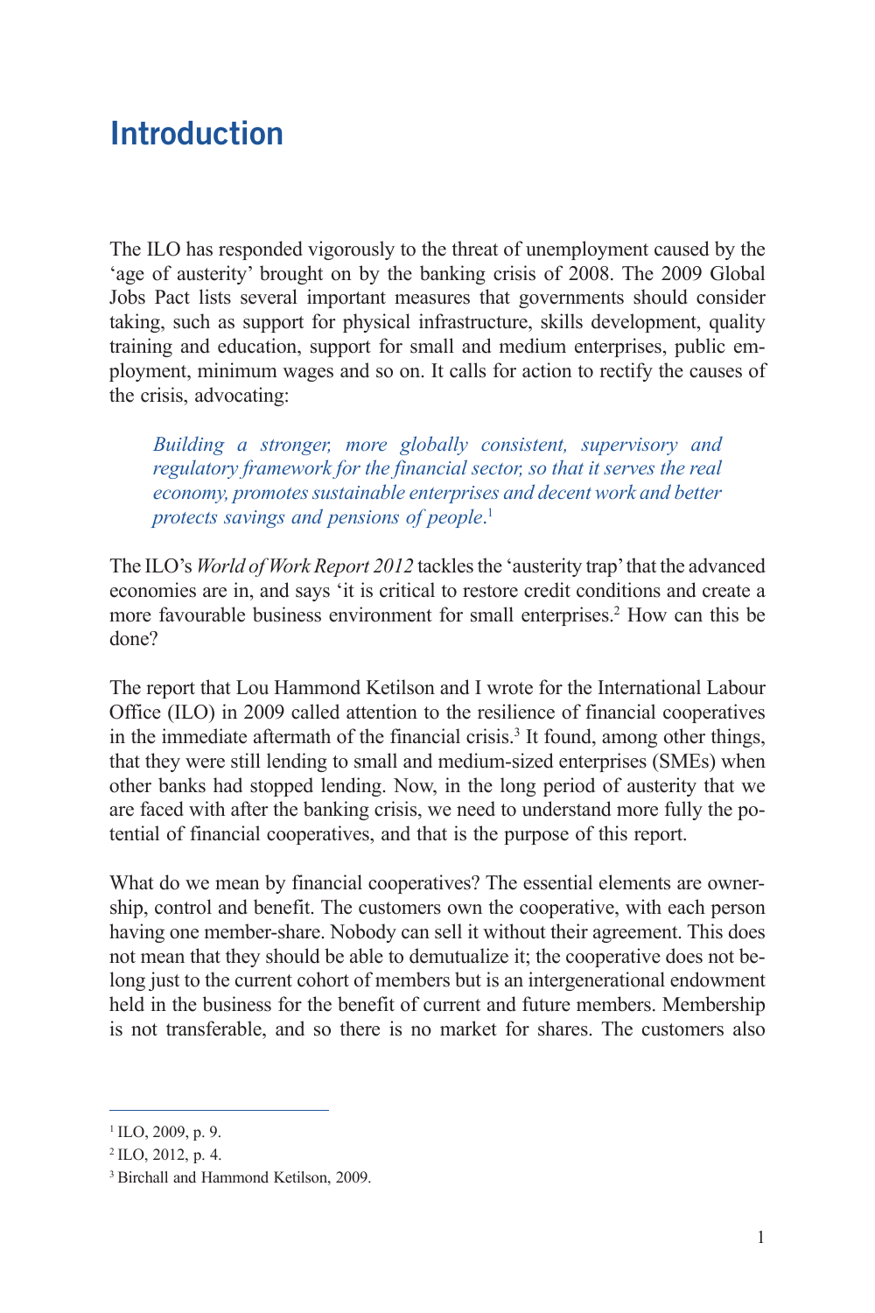# **Introduction**

The ILO has responded vigorously to the threat of unemployment caused by the 'age of austerity' brought on by the banking crisis of 2008. The 2009 Global Jobs Pact lists several important measures that governments should consider taking, such as support for physical infrastructure, skills development, quality training and education, support for small and medium enterprises, public employment, minimum wages and so on. It calls for action to rectify the causes of the crisis, advocating:

*Building a stronger, more globally consistent, supervisory and regulatory framework for the financial sector, so that it serves the real economy, promotessustainable enterprises and decent work and better protects savings and pensions of people*. 1

The ILO's *World of Work Report 2012* tacklesthe 'austerity trap'that the advanced economies are in, and says 'it is critical to restore credit conditions and create a more favourable business environment for small enterprises. <sup>2</sup> How can this be done?

The report that Lou Hammond Ketilson and I wrote for the International Labour Office (ILO) in 2009 called attention to the resilience of financial cooperatives in the immediate aftermath of the financial crisis. <sup>3</sup> It found, among other things, that they were still lending to small and medium-sized enterprises (SMEs) when other banks had stopped lending. Now, in the long period of austerity that we are faced with after the banking crisis, we need to understand more fully the potential of financial cooperatives, and that is the purpose of this report.

What do we mean by financial cooperatives? The essential elements are ownership, control and benefit. The customers own the cooperative, with each person having one member-share. Nobody can sell it without their agreement. This does not mean that they should be able to demutualize it; the cooperative does not belong just to the current cohort of members but is an intergenerational endowment held in the business for the benefit of current and future members. Membership is not transferable, and so there is no market for shares. The customers also

 $1$  ILO, 2009, p. 9.

<sup>2</sup> ILO, 2012, p. 4.

<sup>3</sup> Birchall and Hammond Ketilson, 2009.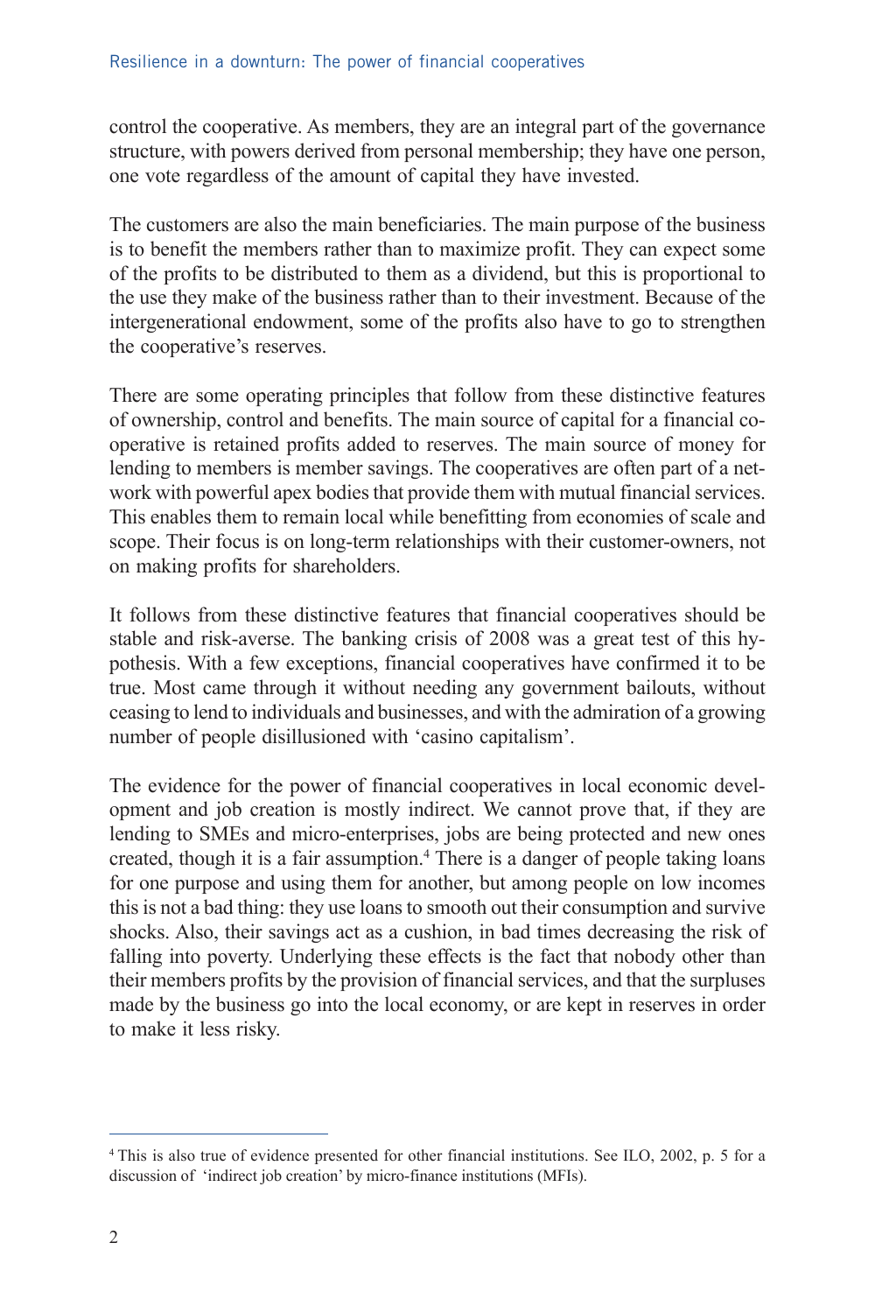control the cooperative. As members, they are an integral part of the governance structure, with powers derived from personal membership; they have one person, one vote regardless of the amount of capital they have invested.

The customers are also the main beneficiaries. The main purpose of the business is to benefit the members rather than to maximize profit. They can expect some of the profits to be distributed to them as a dividend, but this is proportional to the use they make of the business rather than to their investment. Because of the intergenerational endowment, some of the profits also have to go to strengthen the cooperative's reserves.

There are some operating principles that follow from these distinctive features of ownership, control and benefits. The main source of capital for a financial cooperative is retained profits added to reserves. The main source of money for lending to members is member savings. The cooperatives are often part of a network with powerful apex bodies that provide them with mutual financial services. This enables them to remain local while benefitting from economies of scale and scope. Their focus is on long-term relationships with their customer-owners, not on making profits for shareholders.

It follows from these distinctive features that financial cooperatives should be stable and risk-averse. The banking crisis of 2008 was a great test of this hypothesis. With a few exceptions, financial cooperatives have confirmed it to be true. Most came through it without needing any government bailouts, without ceasing to lend to individuals and businesses, and with the admiration of a growing number of people disillusioned with 'casino capitalism'.

The evidence for the power of financial cooperatives in local economic development and job creation is mostly indirect. We cannot prove that, if they are lending to SMEs and micro-enterprises, jobs are being protected and new ones created, though it is a fair assumption. <sup>4</sup> There is a danger of people taking loans for one purpose and using them for another, but among people on low incomes this is not a bad thing: they use loans to smooth out their consumption and survive shocks. Also, their savings act as a cushion, in bad times decreasing the risk of falling into poverty. Underlying these effects is the fact that nobody other than their members profits by the provision of financial services, and that the surpluses made by the business go into the local economy, or are kept in reserves in order to make it less risky.

<sup>&</sup>lt;sup>4</sup> This is also true of evidence presented for other financial institutions. See ILO, 2002, p. 5 for a discussion of 'indirect job creation' by micro-finance institutions (MFIs).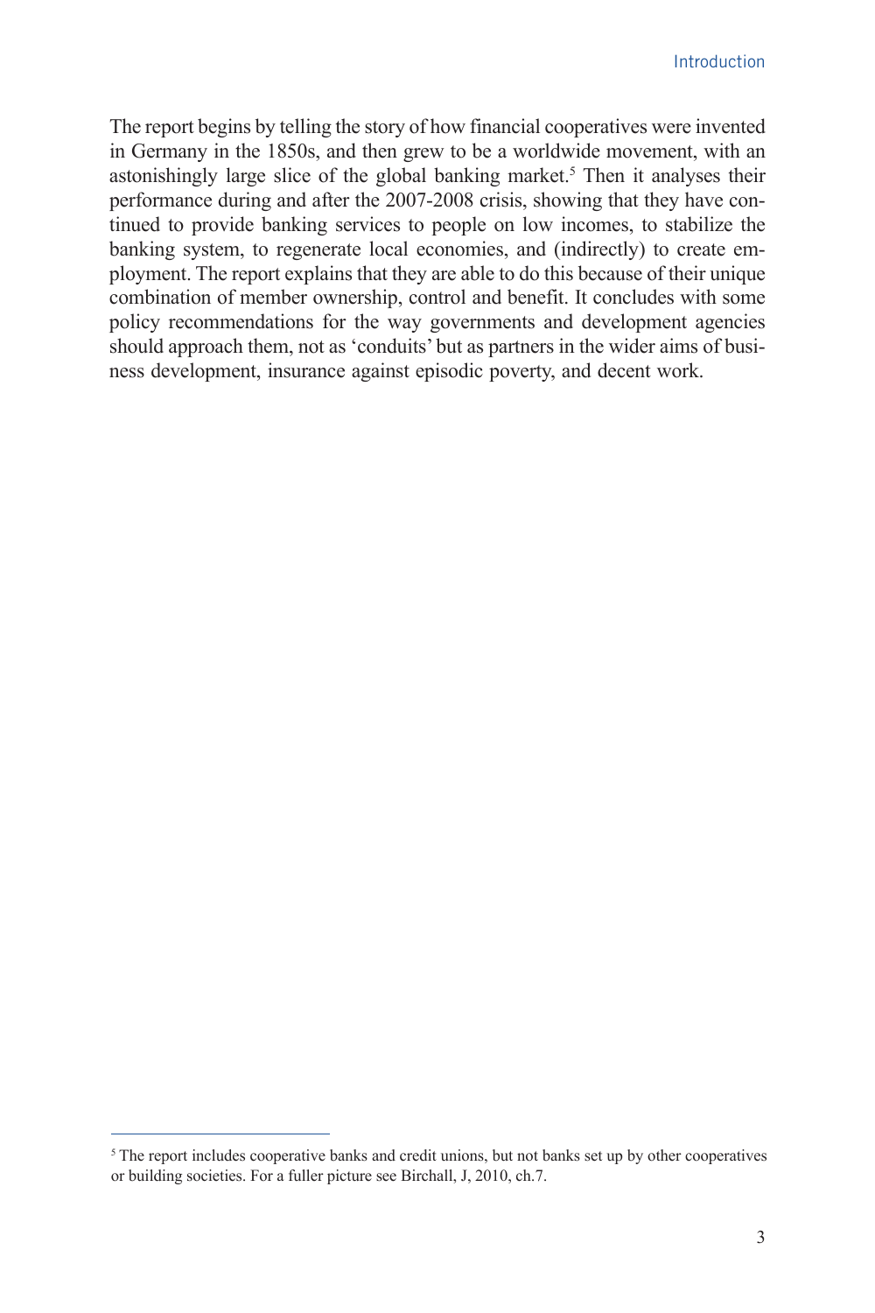The report begins by telling the story of how financial cooperatives were invented in Germany in the 1850s, and then grew to be a worldwide movement, with an astonishingly large slice of the global banking market. <sup>5</sup> Then it analyses their performance during and after the 2007-2008 crisis, showing that they have continued to provide banking services to people on low incomes, to stabilize the banking system, to regenerate local economies, and (indirectly) to create employment. The report explains that they are able to do this because of their unique combination of member ownership, control and benefit. It concludes with some policy recommendations for the way governments and development agencies should approach them, not as 'conduits' but as partners in the wider aims of business development, insurance against episodic poverty, and decent work.

 $<sup>5</sup>$  The report includes cooperative banks and credit unions, but not banks set up by other cooperatives</sup> or building societies. For a fuller picture see Birchall, J, 2010, ch.7.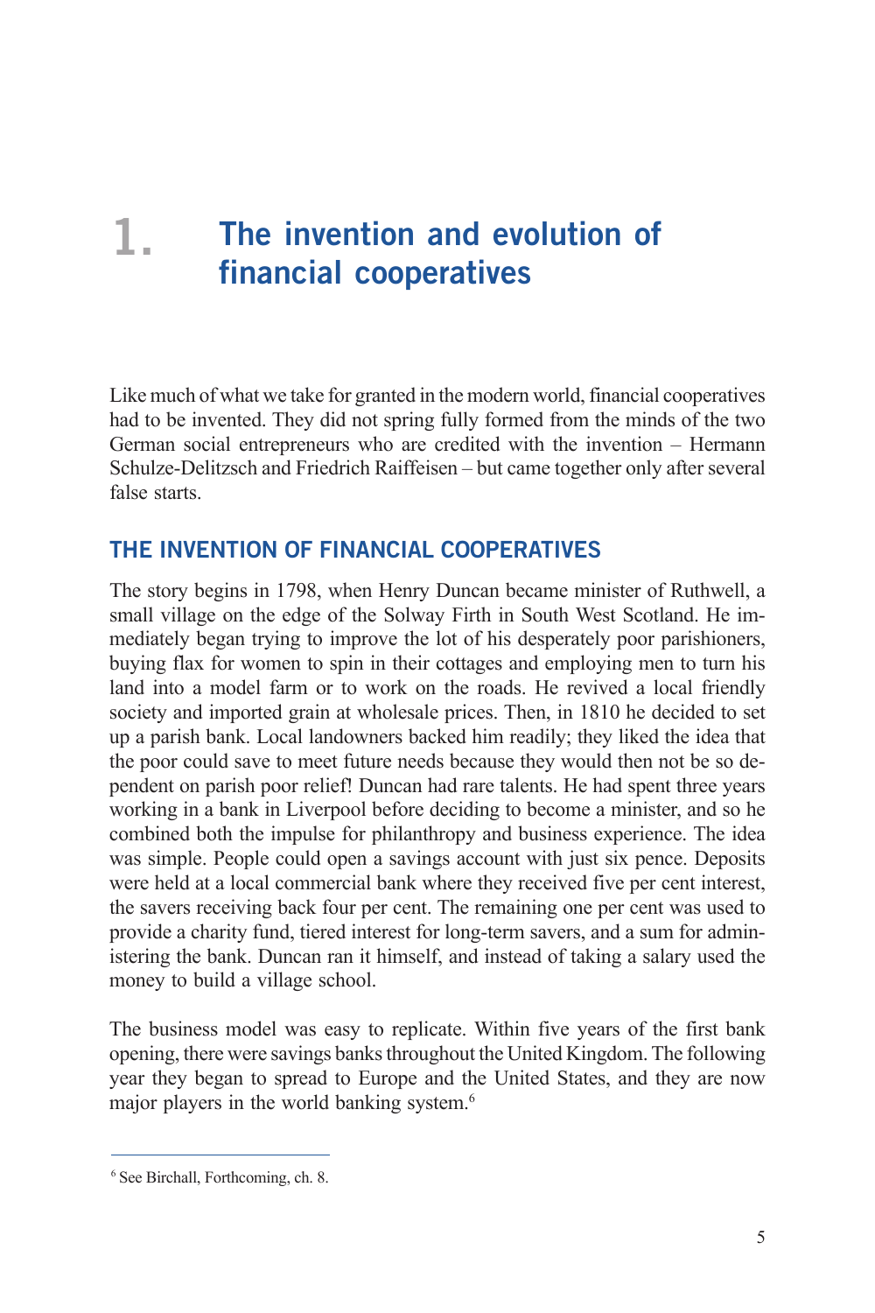# **1. The invention and evolution of financial cooperatives**

Like much of what we take for granted in the modern world, financial cooperatives had to be invented. They did not spring fully formed from the minds of the two German social entrepreneurs who are credited with the invention – Hermann Schulze-Delitzsch and Friedrich Raiffeisen – but came together only after several false starts.

#### **THE INVENTION OF FINANCIAL COOPERATIVES**

The story begins in 1798, when Henry Duncan became minister of Ruthwell, a small village on the edge of the Solway Firth in South West Scotland. He immediately began trying to improve the lot of his desperately poor parishioners, buying flax for women to spin in their cottages and employing men to turn his land into a model farm or to work on the roads. He revived a local friendly society and imported grain at wholesale prices. Then, in 1810 he decided to set up a parish bank. Local landowners backed him readily; they liked the idea that the poor could save to meet future needs because they would then not be so dependent on parish poor relief! Duncan had rare talents. He had spent three years working in a bank in Liverpool before deciding to become a minister, and so he combined both the impulse for philanthropy and business experience. The idea was simple. People could open a savings account with just six pence. Deposits were held at a local commercial bank where they received five per cent interest, the savers receiving back four per cent. The remaining one per cent was used to provide a charity fund, tiered interest for long-term savers, and a sum for administering the bank. Duncan ran it himself, and instead of taking a salary used the money to build a village school.

The business model was easy to replicate. Within five years of the first bank opening, there were savings banksthroughout the United Kingdom.The following year they began to spread to Europe and the United States, and they are now major players in the world banking system. 6

<sup>6</sup> See Birchall, Forthcoming, ch. 8.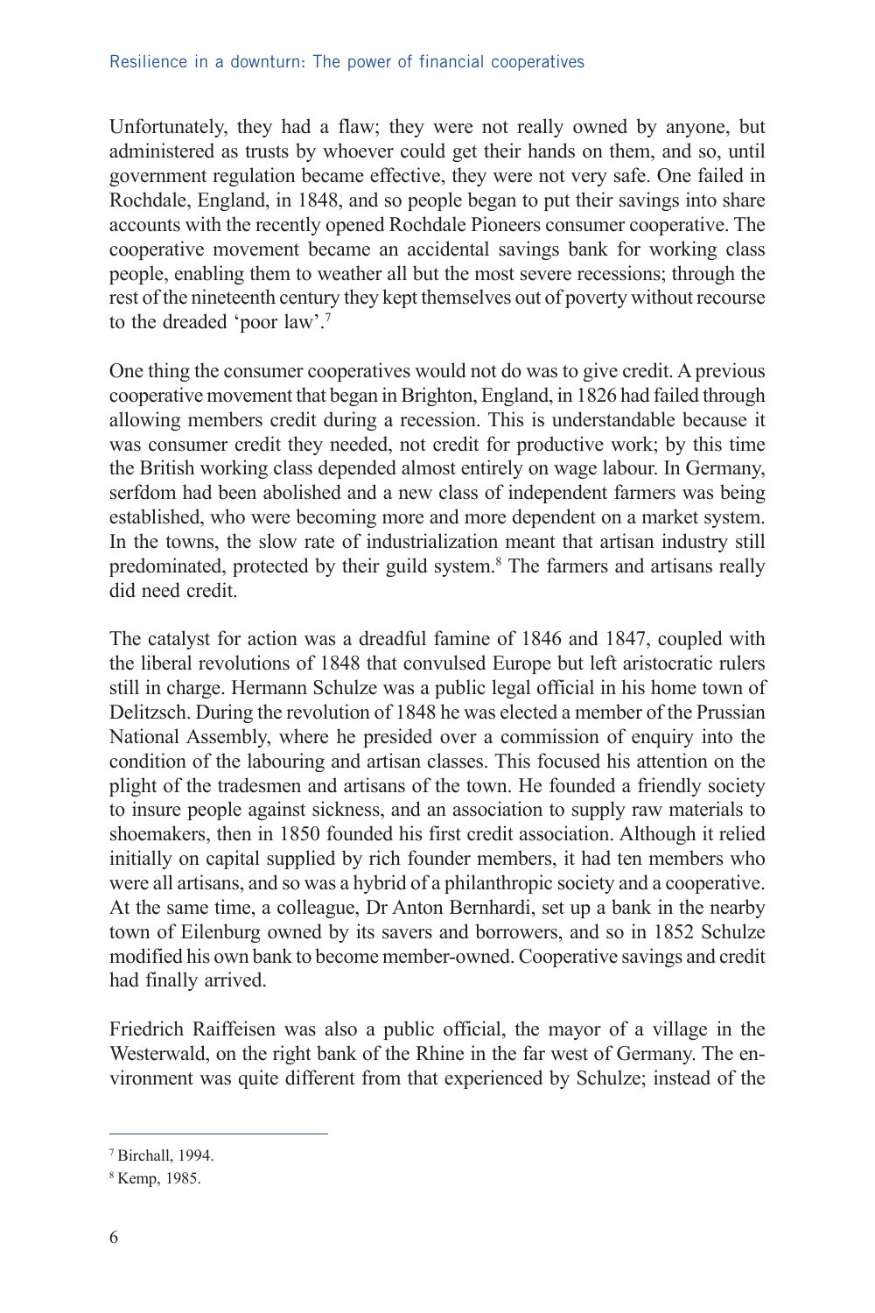Unfortunately, they had a flaw; they were not really owned by anyone, but administered as trusts by whoever could get their hands on them, and so, until government regulation became effective, they were not very safe. One failed in Rochdale, England, in 1848, and so people began to put their savings into share accounts with the recently opened Rochdale Pioneers consumer cooperative. The cooperative movement became an accidental savings bank for working class people, enabling them to weather all but the most severe recessions; through the rest of the nineteenth century they kept themselves out of poverty without recourse to the dreaded 'poor law'. 7

One thing the consumer cooperatives would not do was to give credit. A previous cooperative movement that began inBrighton, England, in 1826 had failed through allowing members credit during a recession. This is understandable because it was consumer credit they needed, not credit for productive work; by this time the British working class depended almost entirely on wage labour. In Germany, serfdom had been abolished and a new class of independent farmers was being established, who were becoming more and more dependent on a market system. In the towns, the slow rate of industrialization meant that artisan industry still predominated, protected by their guild system. <sup>8</sup> The farmers and artisans really did need credit.

The catalyst for action was a dreadful famine of 1846 and 1847, coupled with the liberal revolutions of 1848 that convulsed Europe but left aristocratic rulers still in charge. Hermann Schulze was a public legal official in his home town of Delitzsch. During the revolution of 1848 he was elected a member of the Prussian National Assembly, where he presided over a commission of enquiry into the condition of the labouring and artisan classes. This focused his attention on the plight of the tradesmen and artisans of the town. He founded a friendly society to insure people against sickness, and an association to supply raw materials to shoemakers, then in 1850 founded his first credit association. Although it relied initially on capital supplied by rich founder members, it had ten members who were all artisans, and so was a hybrid of a philanthropic society and a cooperative. At the same time, a colleague, Dr Anton Bernhardi, set up a bank in the nearby town of Eilenburg owned by its savers and borrowers, and so in 1852 Schulze modified his own bank to become member-owned.Cooperative savings and credit had finally arrived.

Friedrich Raiffeisen was also a public official, the mayor of a village in the Westerwald, on the right bank of the Rhine in the far west of Germany. The environment was quite different from that experienced by Schulze; instead of the

<sup>7</sup> Birchall, 1994.

<sup>8</sup> Kemp, 1985.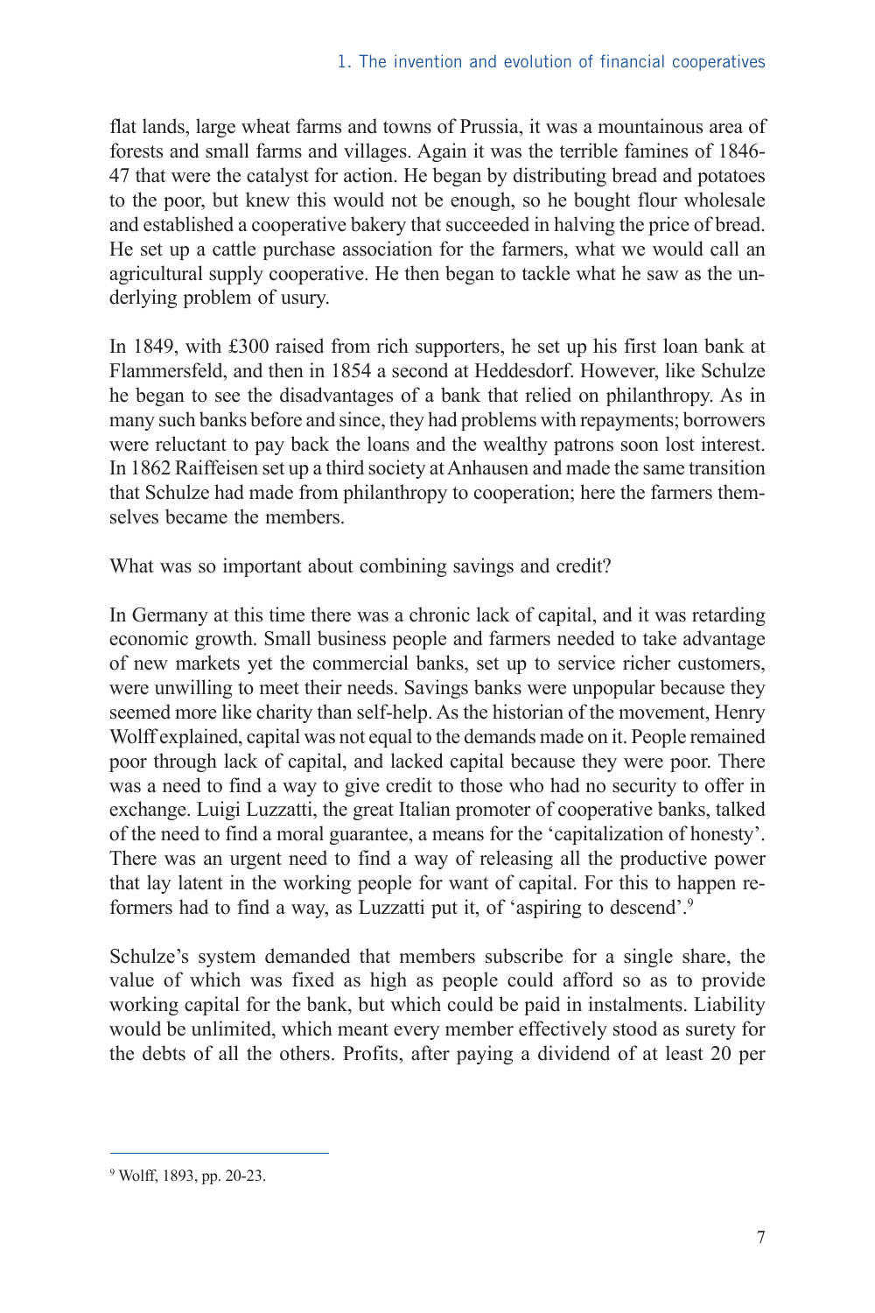flat lands, large wheat farms and towns of Prussia, it was a mountainous area of forests and small farms and villages. Again it was the terrible famines of 1846- 47 that were the catalyst for action. He began by distributing bread and potatoes to the poor, but knew this would not be enough, so he bought flour wholesale and established a cooperative bakery that succeeded in halving the price of bread. He set up a cattle purchase association for the farmers, what we would call an agricultural supply cooperative. He then began to tackle what he saw as the underlying problem of usury.

In 1849, with £300 raised from rich supporters, he set up his first loan bank at Flammersfeld, and then in 1854 a second at Heddesdorf. However, like Schulze he began to see the disadvantages of a bank that relied on philanthropy. As in many such banks before and since, they had problems with repayments; borrowers were reluctant to pay back the loans and the wealthy patrons soon lost interest. In 1862 Raiffeisen set up a third society at Anhausen and made the same transition that Schulze had made from philanthropy to cooperation; here the farmers themselves became the members.

What was so important about combining savings and credit?

In Germany at this time there was a chronic lack of capital, and it was retarding economic growth. Small business people and farmers needed to take advantage of new markets yet the commercial banks, set up to service richer customers, were unwilling to meet their needs. Savings banks were unpopular because they seemed more like charity than self-help. As the historian of the movement, Henry Wolff explained, capital was not equal to the demands made on it. People remained poor through lack of capital, and lacked capital because they were poor. There was a need to find a way to give credit to those who had no security to offer in exchange. Luigi Luzzatti, the great Italian promoter of cooperative banks, talked of the need to find a moral guarantee, a means for the 'capitalization of honesty'. There was an urgent need to find a way of releasing all the productive power that lay latent in the working people for want of capital. For this to happen reformers had to find a way, as Luzzatti put it, of 'aspiring to descend'. 9

Schulze's system demanded that members subscribe for a single share, the value of which was fixed as high as people could afford so as to provide working capital for the bank, but which could be paid in instalments. Liability would be unlimited, which meant every member effectively stood as surety for the debts of all the others. Profits, after paying a dividend of at least 20 per

<sup>9</sup> Wolff, 1893, pp. 20-23.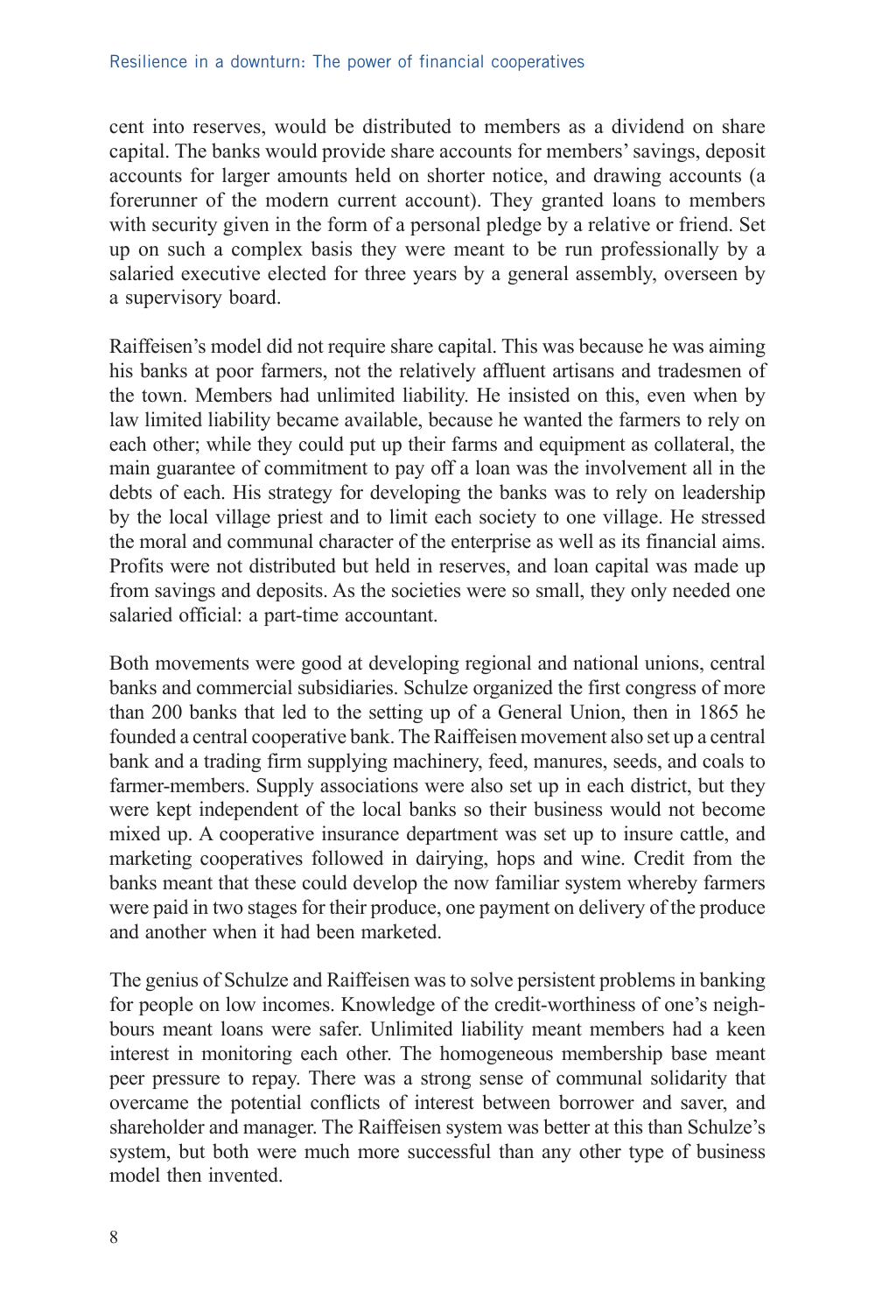cent into reserves, would be distributed to members as a dividend on share capital. The banks would provide share accounts for members'savings, deposit accounts for larger amounts held on shorter notice, and drawing accounts (a forerunner of the modern current account). They granted loans to members with security given in the form of a personal pledge by a relative or friend. Set up on such a complex basis they were meant to be run professionally by a salaried executive elected for three years by a general assembly, overseen by a supervisory board.

Raiffeisen's model did not require share capital. This was because he was aiming his banks at poor farmers, not the relatively affluent artisans and tradesmen of the town. Members had unlimited liability. He insisted on this, even when by law limited liability became available, because he wanted the farmers to rely on each other; while they could put up their farms and equipment as collateral, the main guarantee of commitment to pay off a loan was the involvement all in the debts of each. His strategy for developing the banks was to rely on leadership by the local village priest and to limit each society to one village. He stressed the moral and communal character of the enterprise as well as its financial aims. Profits were not distributed but held in reserves, and loan capital was made up from savings and deposits. As the societies were so small, they only needed one salaried official: a part-time accountant.

Both movements were good at developing regional and national unions, central banks and commercial subsidiaries. Schulze organized the first congress of more than 200 banks that led to the setting up of a General Union, then in 1865 he founded a central cooperative bank.The Raiffeisen movement also set up a central bank and a trading firm supplying machinery, feed, manures, seeds, and coals to farmer-members. Supply associations were also set up in each district, but they were kept independent of the local banks so their business would not become mixed up. A cooperative insurance department was set up to insure cattle, and marketing cooperatives followed in dairying, hops and wine. Credit from the banks meant that these could develop the now familiar system whereby farmers were paid in two stages for their produce, one payment on delivery of the produce and another when it had been marketed.

The genius of Schulze and Raiffeisen was to solve persistent problems in banking for people on low incomes. Knowledge of the credit-worthiness of one's neighbours meant loans were safer. Unlimited liability meant members had a keen interest in monitoring each other. The homogeneous membership base meant peer pressure to repay. There was a strong sense of communal solidarity that overcame the potential conflicts of interest between borrower and saver, and shareholder and manager. The Raiffeisen system was better at this than Schulze's system, but both were much more successful than any other type of business model then invented.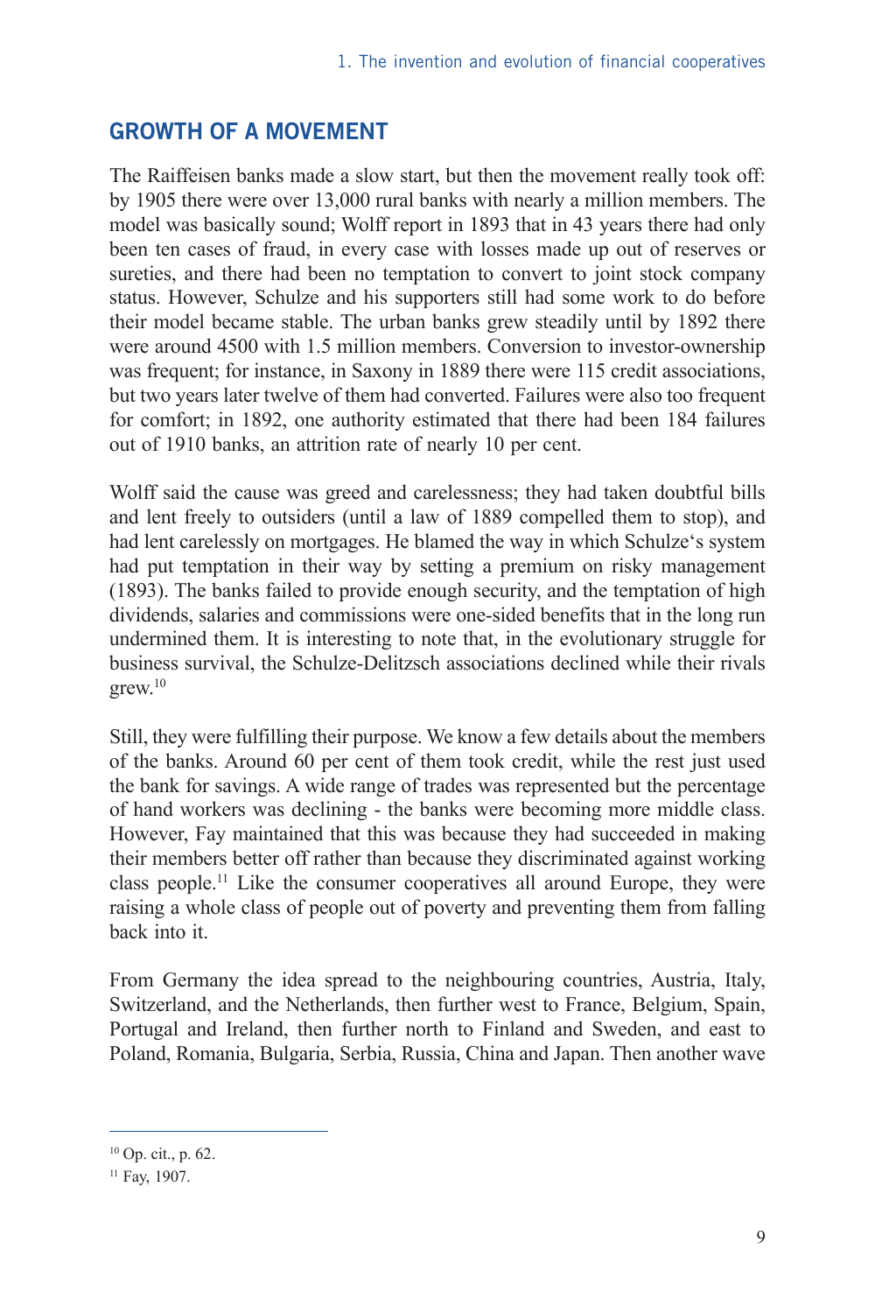#### **GROWTH OF A MOVEMENT**

The Raiffeisen banks made a slow start, but then the movement really took off: by 1905 there were over 13,000 rural banks with nearly a million members. The model was basically sound; Wolff report in 1893 that in 43 years there had only been ten cases of fraud, in every case with losses made up out of reserves or sureties, and there had been no temptation to convert to joint stock company status. However, Schulze and his supporters still had some work to do before their model became stable. The urban banks grew steadily until by 1892 there were around 4500 with 1.5 million members. Conversion to investor-ownership was frequent; for instance, in Saxony in 1889 there were 115 credit associations, but two years later twelve of them had converted. Failures were also too frequent for comfort; in 1892, one authority estimated that there had been 184 failures out of 1910 banks, an attrition rate of nearly 10 per cent.

Wolff said the cause was greed and carelessness; they had taken doubtful bills and lent freely to outsiders (until a law of 1889 compelled them to stop), and had lent carelessly on mortgages. He blamed the way in which Schulze's system had put temptation in their way by setting a premium on risky management (1893). The banks failed to provide enough security, and the temptation of high dividends, salaries and commissions were one-sided benefits that in the long run undermined them. It is interesting to note that, in the evolutionary struggle for business survival, the Schulze-Delitzsch associations declined while their rivals grew. 10

Still, they were fulfilling their purpose. We know a few details about the members of the banks. Around 60 per cent of them took credit, while the rest just used the bank for savings. A wide range of trades was represented but the percentage of hand workers was declining - the banks were becoming more middle class. However, Fay maintained that this was because they had succeeded in making their members better off rather than because they discriminated against working class people. <sup>11</sup> Like the consumer cooperatives all around Europe, they were raising a whole class of people out of poverty and preventing them from falling back into it.

From Germany the idea spread to the neighbouring countries, Austria, Italy, Switzerland, and the Netherlands, then further west to France, Belgium, Spain, Portugal and Ireland, then further north to Finland and Sweden, and east to Poland, Romania, Bulgaria, Serbia, Russia, China and Japan. Then another wave

<sup>10</sup> Op. cit., p. 62.

<sup>&</sup>lt;sup>11</sup> Fay, 1907.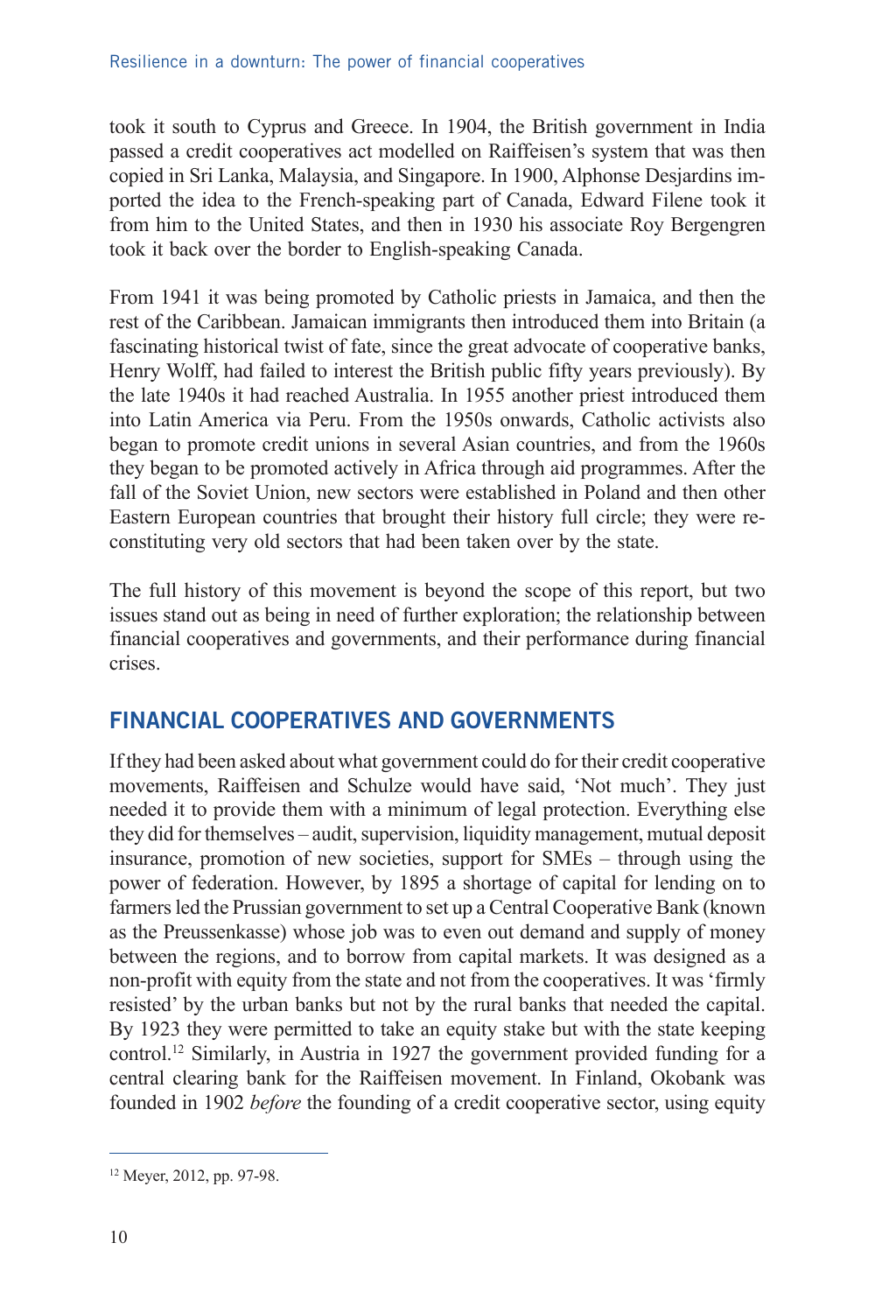took it south to Cyprus and Greece. In 1904, the British government in India passed a credit cooperatives act modelled on Raiffeisen's system that was then copied in Sri Lanka, Malaysia, and Singapore. In 1900, Alphonse Desjardins imported the idea to the French-speaking part of Canada, Edward Filene took it from him to the United States, and then in 1930 his associate Roy Bergengren took it back over the border to English-speaking Canada.

From 1941 it was being promoted by Catholic priests in Jamaica, and then the rest of the Caribbean. Jamaican immigrants then introduced them into Britain (a fascinating historical twist of fate, since the great advocate of cooperative banks, Henry Wolff, had failed to interest the British public fifty years previously). By the late 1940s it had reached Australia. In 1955 another priest introduced them into Latin America via Peru. From the 1950s onwards, Catholic activists also began to promote credit unions in several Asian countries, and from the 1960s they began to be promoted actively in Africa through aid programmes. After the fall of the Soviet Union, new sectors were established in Poland and then other Eastern European countries that brought their history full circle; they were reconstituting very old sectors that had been taken over by the state.

The full history of this movement is beyond the scope of this report, but two issues stand out as being in need of further exploration; the relationship between financial cooperatives and governments, and their performance during financial crises.

#### **FINANCIAL COOPERATIVES AND GOVERNMENTS**

If they had been asked about what government could do for their credit cooperative movements, Raiffeisen and Schulze would have said, 'Not much'. They just needed it to provide them with a minimum of legal protection. Everything else they did for themselves – audit, supervision, liquidity management, mutual deposit insurance, promotion of new societies, support for SMEs – through using the power of federation. However, by 1895 a shortage of capital for lending on to farmers led the Prussian government to set up a Central Cooperative Bank (known as the Preussenkasse) whose job was to even out demand and supply of money between the regions, and to borrow from capital markets. It was designed as a non-profit with equity from the state and not from the cooperatives. It was 'firmly resisted' by the urban banks but not by the rural banks that needed the capital. By 1923 they were permitted to take an equity stake but with the state keeping control. <sup>12</sup> Similarly, in Austria in 1927 the government provided funding for a central clearing bank for the Raiffeisen movement. In Finland, Okobank was founded in 1902 *before* the founding of a credit cooperative sector, using equity

<sup>12</sup> Meyer, 2012, pp. 97-98.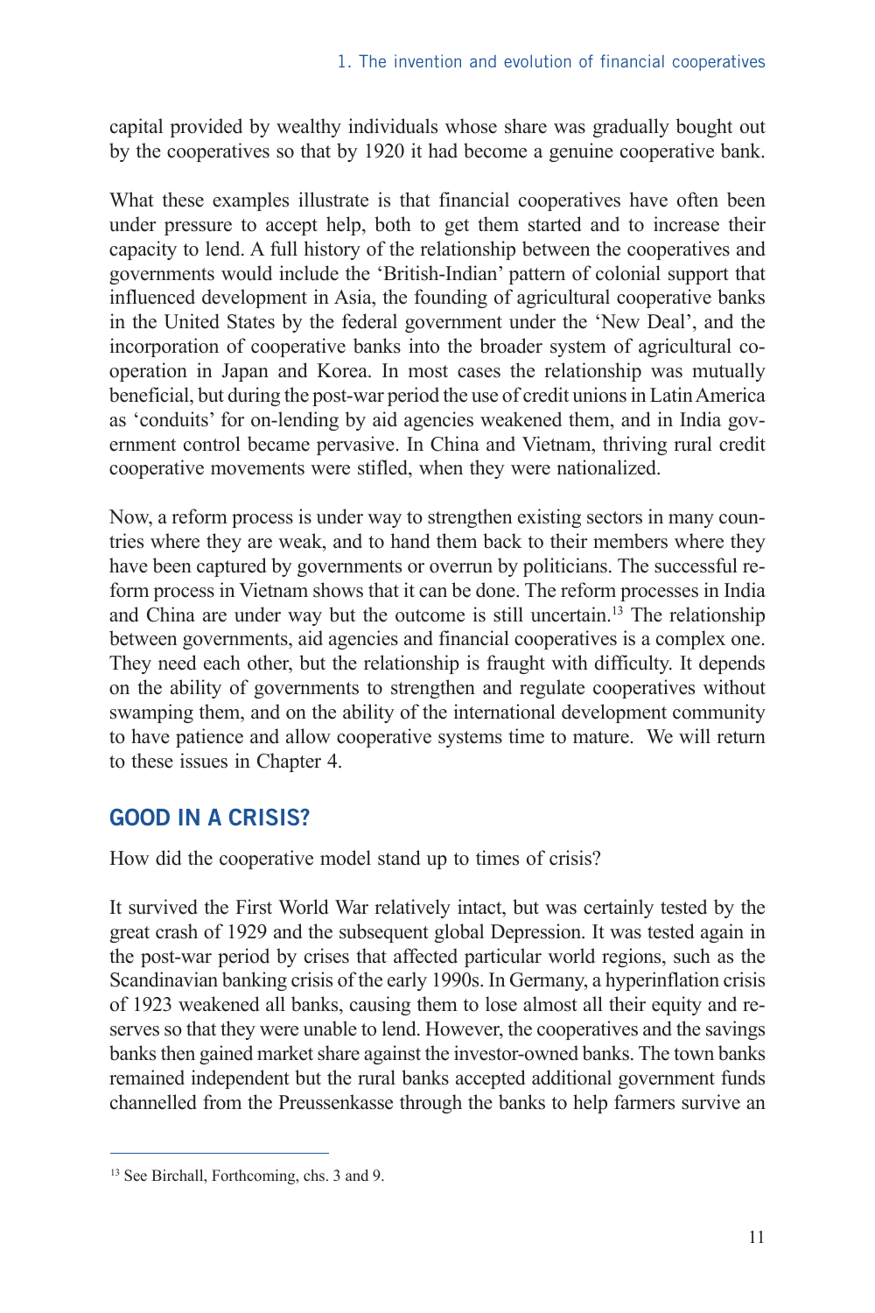capital provided by wealthy individuals whose share was gradually bought out by the cooperatives so that by 1920 it had become a genuine cooperative bank.

What these examples illustrate is that financial cooperatives have often been under pressure to accept help, both to get them started and to increase their capacity to lend. A full history of the relationship between the cooperatives and governments would include the 'British-Indian' pattern of colonial support that influenced development in Asia, the founding of agricultural cooperative banks in the United States by the federal government under the 'New Deal', and the incorporation of cooperative banks into the broader system of agricultural cooperation in Japan and Korea. In most cases the relationship was mutually beneficial, but during the post-war period the use of credit unionsin LatinAmerica as 'conduits' for on-lending by aid agencies weakened them, and in India government control became pervasive. In China and Vietnam, thriving rural credit cooperative movements were stifled, when they were nationalized.

Now, a reform process is under way to strengthen existing sectors in many countries where they are weak, and to hand them back to their members where they have been captured by governments or overrun by politicians. The successful reform process in Vietnam shows that it can be done. The reform processes in India and China are under way but the outcome is still uncertain. <sup>13</sup> The relationship between governments, aid agencies and financial cooperatives is a complex one. They need each other, but the relationship is fraught with difficulty. It depends on the ability of governments to strengthen and regulate cooperatives without swamping them, and on the ability of the international development community to have patience and allow cooperative systems time to mature. We will return to these issues in Chapter 4.

#### **GOOD IN A CRISIS?**

How did the cooperative model stand up to times of crisis?

It survived the First World War relatively intact, but was certainly tested by the great crash of 1929 and the subsequent global Depression. It was tested again in the post-war period by crises that affected particular world regions, such as the Scandinavian banking crisis of the early 1990s. In Germany, a hyperinflation crisis of 1923 weakened all banks, causing them to lose almost all their equity and reserves so that they were unable to lend. However, the cooperatives and the savings banks then gained market share against the investor-owned banks. The town banks remained independent but the rural banks accepted additional government funds channelled from the Preussenkasse through the banks to help farmers survive an

<sup>13</sup> See Birchall, Forthcoming, chs. 3 and 9.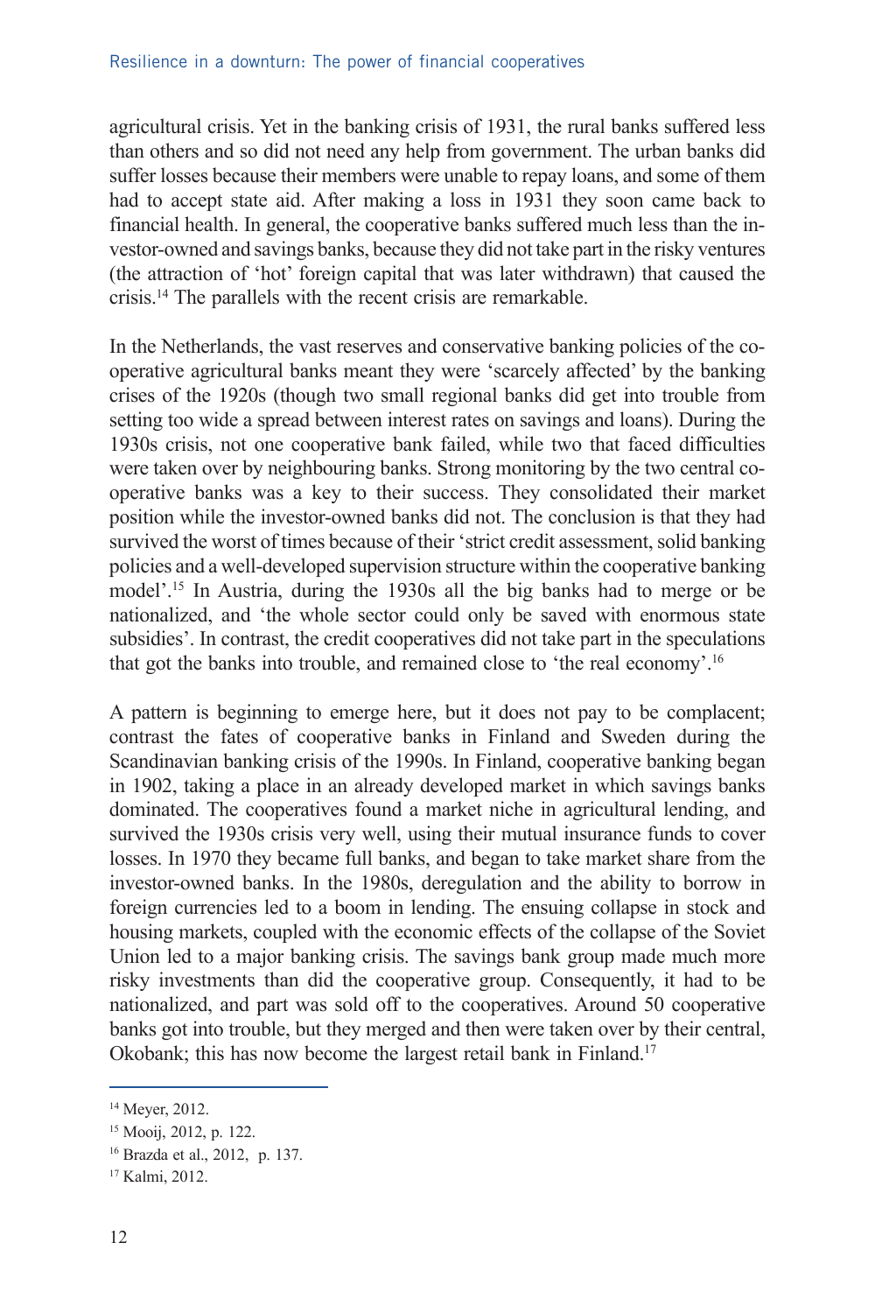agricultural crisis. Yet in the banking crisis of 1931, the rural banks suffered less than others and so did not need any help from government. The urban banks did suffer losses because their members were unable to repay loans, and some of them had to accept state aid. After making a loss in 1931 they soon came back to financial health. In general, the cooperative banks suffered much less than the investor-owned and savings banks, because they did not take part in the risky ventures (the attraction of 'hot' foreign capital that was later withdrawn) that caused the crisis. <sup>14</sup> The parallels with the recent crisis are remarkable.

In the Netherlands, the vast reserves and conservative banking policies of the cooperative agricultural banks meant they were 'scarcely affected' by the banking crises of the 1920s (though two small regional banks did get into trouble from setting too wide a spread between interest rates on savings and loans). During the 1930s crisis, not one cooperative bank failed, while two that faced difficulties were taken over by neighbouring banks. Strong monitoring by the two central cooperative banks was a key to their success. They consolidated their market position while the investor-owned banks did not. The conclusion is that they had survived the worst of times because of their 'strict credit assessment, solid banking policies and a well-developed supervision structure within the cooperative banking model'. <sup>15</sup> In Austria, during the 1930s all the big banks had to merge or be nationalized, and 'the whole sector could only be saved with enormous state subsidies'. In contrast, the credit cooperatives did not take part in the speculations that got the banks into trouble, and remained close to 'the real economy'. 16

A pattern is beginning to emerge here, but it does not pay to be complacent; contrast the fates of cooperative banks in Finland and Sweden during the Scandinavian banking crisis of the 1990s. In Finland, cooperative banking began in 1902, taking a place in an already developed market in which savings banks dominated. The cooperatives found a market niche in agricultural lending, and survived the 1930s crisis very well, using their mutual insurance funds to cover losses. In 1970 they became full banks, and began to take market share from the investor-owned banks. In the 1980s, deregulation and the ability to borrow in foreign currencies led to a boom in lending. The ensuing collapse in stock and housing markets, coupled with the economic effects of the collapse of the Soviet Union led to a major banking crisis. The savings bank group made much more risky investments than did the cooperative group. Consequently, it had to be nationalized, and part was sold off to the cooperatives. Around 50 cooperative banks got into trouble, but they merged and then were taken over by their central, Okobank; this has now become the largest retail bank in Finland. 17

<sup>14</sup> Meyer, 2012.

<sup>15</sup> Mooij, 2012, p. 122.

<sup>16</sup> Brazda et al., 2012, p. 137.

<sup>17</sup> Kalmi, 2012.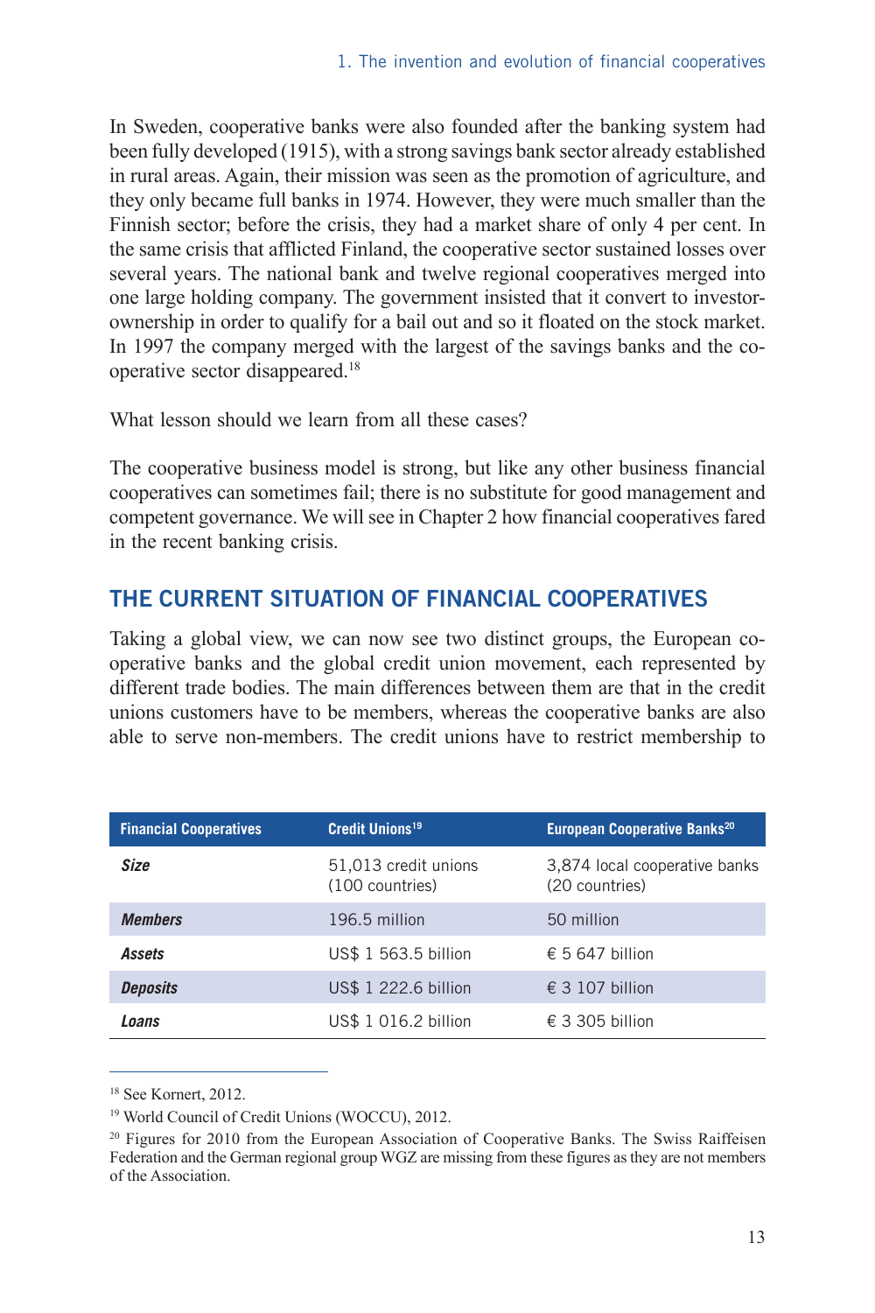In Sweden, cooperative banks were also founded after the banking system had been fully developed (1915), with a strong savings bank sector already established in rural areas. Again, their mission was seen as the promotion of agriculture, and they only became full banks in 1974. However, they were much smaller than the Finnish sector; before the crisis, they had a market share of only 4 per cent. In the same crisis that afflicted Finland, the cooperative sector sustained losses over several years. The national bank and twelve regional cooperatives merged into one large holding company. The government insisted that it convert to investorownership in order to qualify for a bail out and so it floated on the stock market. In 1997 the company merged with the largest of the savings banks and the cooperative sector disappeared. 18

What lesson should we learn from all these cases?

The cooperative business model is strong, but like any other business financial cooperatives can sometimes fail; there is no substitute for good management and competent governance. We will see in Chapter 2 how financial cooperatives fared in the recent banking crisis.

#### **THE CURRENT SITUATION OF FINANCIAL COOPERATIVES**

Taking a global view, we can now see two distinct groups, the European cooperative banks and the global credit union movement, each represented by different trade bodies. The main differences between them are that in the credit unions customers have to be members, whereas the cooperative banks are also able to serve non-members. The credit unions have to restrict membership to

| <b>Financial Cooperatives</b> | <b>Credit Unions<sup>19</sup></b>       | <b>European Cooperative Banks<sup>20</sup></b>  |  |  |
|-------------------------------|-----------------------------------------|-------------------------------------------------|--|--|
| <b>Size</b>                   | 51,013 credit unions<br>(100 countries) | 3,874 local cooperative banks<br>(20 countries) |  |  |
| <b>Members</b>                | 196.5 million                           | 50 million                                      |  |  |
| Assets                        | US\$ 1 563.5 billion                    | € 5 647 billion                                 |  |  |
| <b>Deposits</b>               | US\$ 1 222.6 billion                    | $\in$ 3 107 billion                             |  |  |
| Loans                         | US\$ 1 016.2 billion                    | € 3 305 billion                                 |  |  |

<sup>18</sup> See Kornert, 2012.

<sup>19</sup> World Council of Credit Unions (WOCCU), 2012.

<sup>&</sup>lt;sup>20</sup> Figures for 2010 from the European Association of Cooperative Banks. The Swiss Raiffeisen Federation and the German regional group WGZ are missing from these figures asthey are not members of the Association.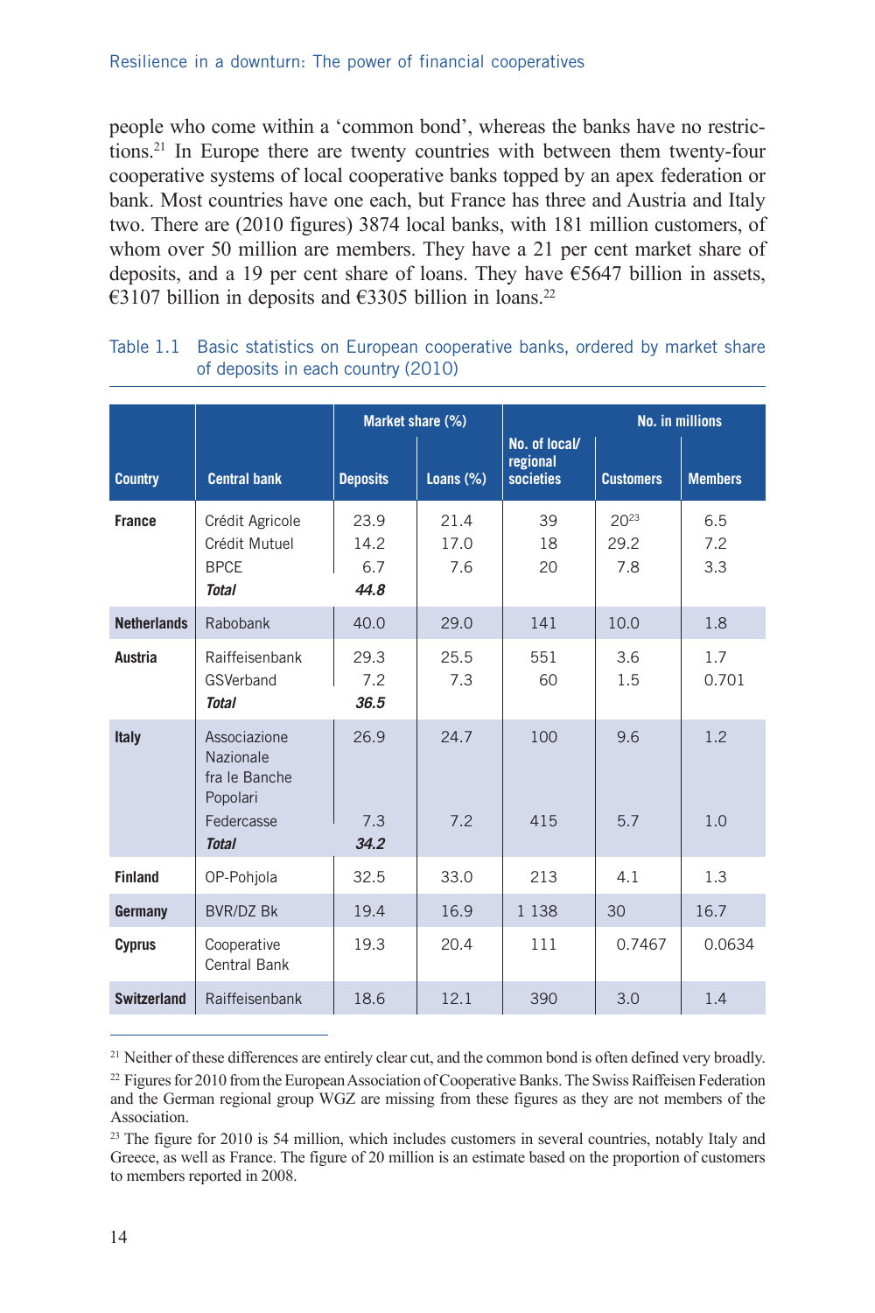people who come within a 'common bond', whereas the banks have no restrictions. <sup>21</sup> In Europe there are twenty countries with between them twenty-four cooperative systems of local cooperative banks topped by an apex federation or bank. Most countries have one each, but France has three and Austria and Italy two. There are (2010 figures) 3874 local banks, with 181 million customers, of whom over 50 million are members. They have a 21 per cent market share of deposits, and a 19 per cent share of loans. They have €5647 billion in assets, €3107 billion in deposits and €3305 billion in loans.<sup>22</sup>

|                    |                                                                                      | Market share (%)            |                     | <b>No. in millions</b>                        |                          |                   |  |
|--------------------|--------------------------------------------------------------------------------------|-----------------------------|---------------------|-----------------------------------------------|--------------------------|-------------------|--|
| <b>Country</b>     | <b>Central bank</b>                                                                  | <b>Deposits</b>             | Loans $(\%)$        | No. of local/<br>regional<br><b>societies</b> | <b>Customers</b>         | <b>Members</b>    |  |
| <b>France</b>      | Crédit Agricole<br>Crédit Mutuel<br><b>BPCE</b><br><b>Total</b>                      | 23.9<br>14.2<br>6.7<br>44.8 | 21.4<br>17.0<br>7.6 | 39<br>18<br>20                                | $20^{23}$<br>29.2<br>7.8 | 6.5<br>7.2<br>3.3 |  |
| <b>Netherlands</b> | Rabobank                                                                             | 40.0                        | 29.0                | 141                                           | 10.0                     | 1.8               |  |
| Austria            | Raiffeisenbank<br>GSVerband<br><b>Total</b>                                          | 29.3<br>7.2<br>36.5         | 25.5<br>7.3         | 551<br>60                                     | 3.6<br>1.5               | 1.7<br>0.701      |  |
| Italy              | Associazione<br>Nazionale<br>fra le Banche<br>Popolari<br>Federcasse<br><b>Total</b> | 26.9<br>7.3<br>34.2         | 24.7<br>7.2         | 100<br>415                                    | 9.6<br>5.7               | 1.2<br>1.0        |  |
| <b>Finland</b>     | OP-Pohjola                                                                           | 32.5                        | 33.0                | 213                                           | 4.1                      | 1.3               |  |
| Germany            | <b>BVR/DZ Bk</b>                                                                     | 19.4                        | 16.9                | 1 1 3 8                                       | 30                       | 16.7              |  |
| <b>Cyprus</b>      | Cooperative<br>Central Bank                                                          | 19.3                        | 20.4                | 111                                           | 0.7467                   | 0.0634            |  |
| <b>Switzerland</b> | Raiffeisenbank                                                                       | 18.6                        | 12.1                | 390                                           | 3.0                      | 1.4               |  |

#### Table 1.1 Basic statistics on European cooperative banks, ordered by market share of deposits in each country (2010)

<sup>21</sup> Neither of these differences are entirely clear cut, and the common bond is often defined very broadly.

 $22$  Figures for 2010 from the European Association of Cooperative Banks. The Swiss Raiffeisen Federation and the German regional group WGZ are missing from these figures as they are not members of the Association.

<sup>&</sup>lt;sup>23</sup> The figure for 2010 is 54 million, which includes customers in several countries, notably Italy and Greece, as well as France. The figure of 20 million is an estimate based on the proportion of customers to members reported in 2008.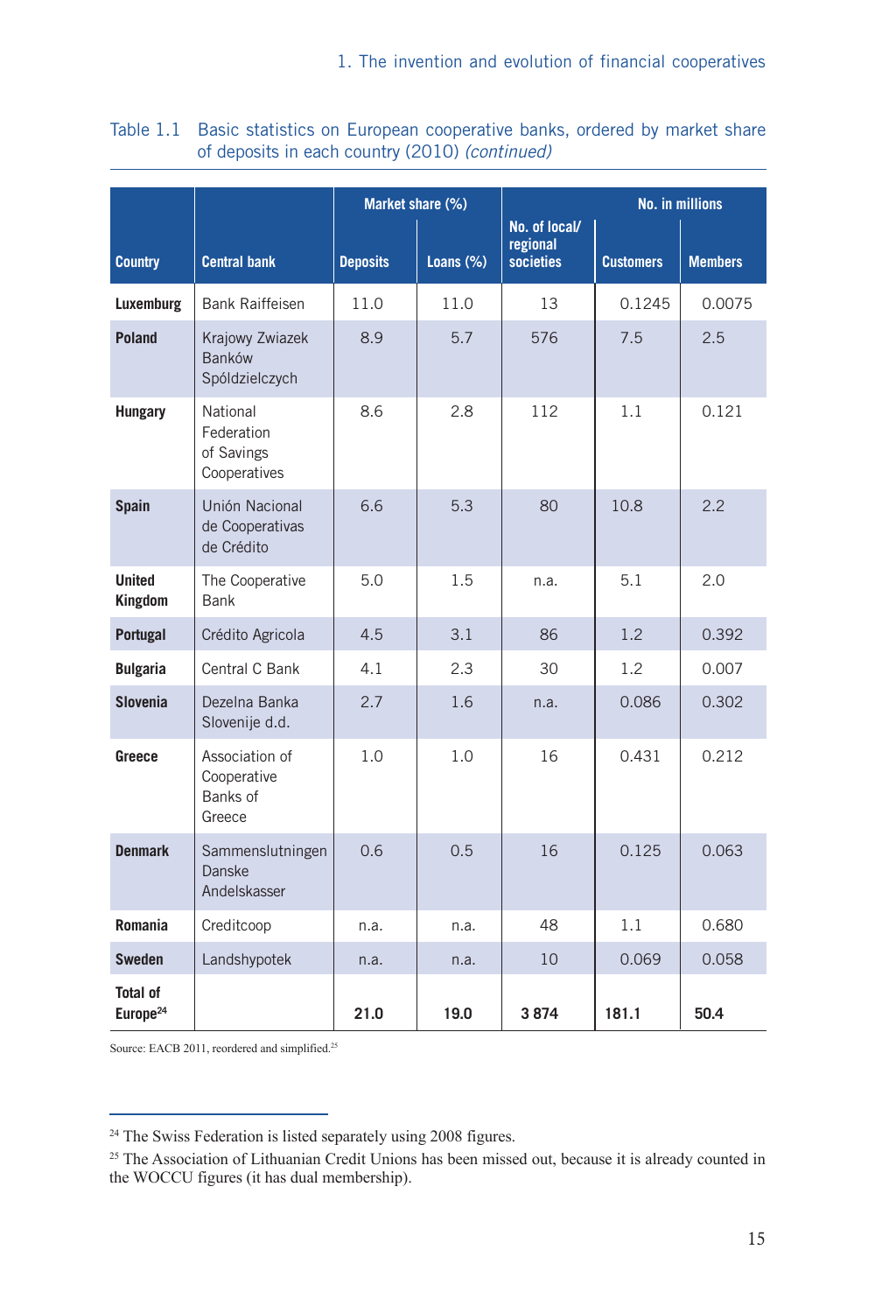| Table 1.1 Basic statistics on European cooperative banks, ordered by market share |
|-----------------------------------------------------------------------------------|
| of deposits in each country (2010) (continued)                                    |

|                                                                 |                                                      |                 | Market share (%) |                                               | <b>No. in millions</b> |                |  |
|-----------------------------------------------------------------|------------------------------------------------------|-----------------|------------------|-----------------------------------------------|------------------------|----------------|--|
| <b>Country</b>                                                  | <b>Central bank</b>                                  | <b>Deposits</b> | Loans $(\%)$     | No. of local/<br>regional<br><b>societies</b> | <b>Customers</b>       | <b>Members</b> |  |
| Luxemburg                                                       | Bank Raiffeisen                                      | 11.0            | 11.0             | 13                                            | 0.1245                 | 0.0075         |  |
| <b>Poland</b>                                                   | Krajowy Zwiazek<br>Banków<br>Spóldzielczych          | 8.9             | 5.7              | 576                                           | 7.5                    | 2.5            |  |
| <b>Hungary</b>                                                  | National<br>Federation<br>of Savings<br>Cooperatives | 8.6             | 2.8              | 112                                           | 1.1                    | 0.121          |  |
| <b>Spain</b><br>Unión Nacional<br>de Cooperativas<br>de Crédito |                                                      | 6.6             | 5.3              | 80                                            | 10.8                   | 2.2            |  |
| <b>United</b><br>Kingdom                                        | The Cooperative<br><b>Bank</b>                       | 5.0             | 1.5              | n.a.                                          | 5.1                    | 2.0            |  |
| Portugal                                                        | Crédito Agricola                                     | 4.5             | 3.1              | 86                                            | 1.2                    | 0.392          |  |
| <b>Bulgaria</b>                                                 | Central C Bank                                       | 4.1             | 2.3              | 30                                            | 1.2                    | 0.007          |  |
| Slovenia                                                        | Dezelna Banka<br>Slovenije d.d.                      | 2.7             | 1.6              | n.a.                                          | 0.086                  | 0.302          |  |
| Greece                                                          | Association of<br>Cooperative<br>Banks of<br>Greece  | 1.0             | 1.0              | 16                                            | 0.431                  | 0.212          |  |
| <b>Denmark</b>                                                  | Sammenslutningen<br>Danske<br>Andelskasser           | 0.6             | 0.5              | 16                                            | 0.125                  | 0.063          |  |
| Romania                                                         | Creditcoop                                           | n.a.            | n.a.             | 48                                            | 1.1                    | 0.680          |  |
| <b>Sweden</b>                                                   | Landshypotek                                         | n.a.            | n.a.             | 10                                            | 0.069                  | 0.058          |  |
| <b>Total of</b><br>Europe <sup>24</sup>                         |                                                      | 21.0            | 19.0             | 3874                                          | 181.1                  | 50.4           |  |

Source: EACB 2011, reordered and simplified.<sup>25</sup>

<sup>&</sup>lt;sup>24</sup> The Swiss Federation is listed separately using 2008 figures.

<sup>&</sup>lt;sup>25</sup> The Association of Lithuanian Credit Unions has been missed out, because it is already counted in the WOCCU figures (it has dual membership).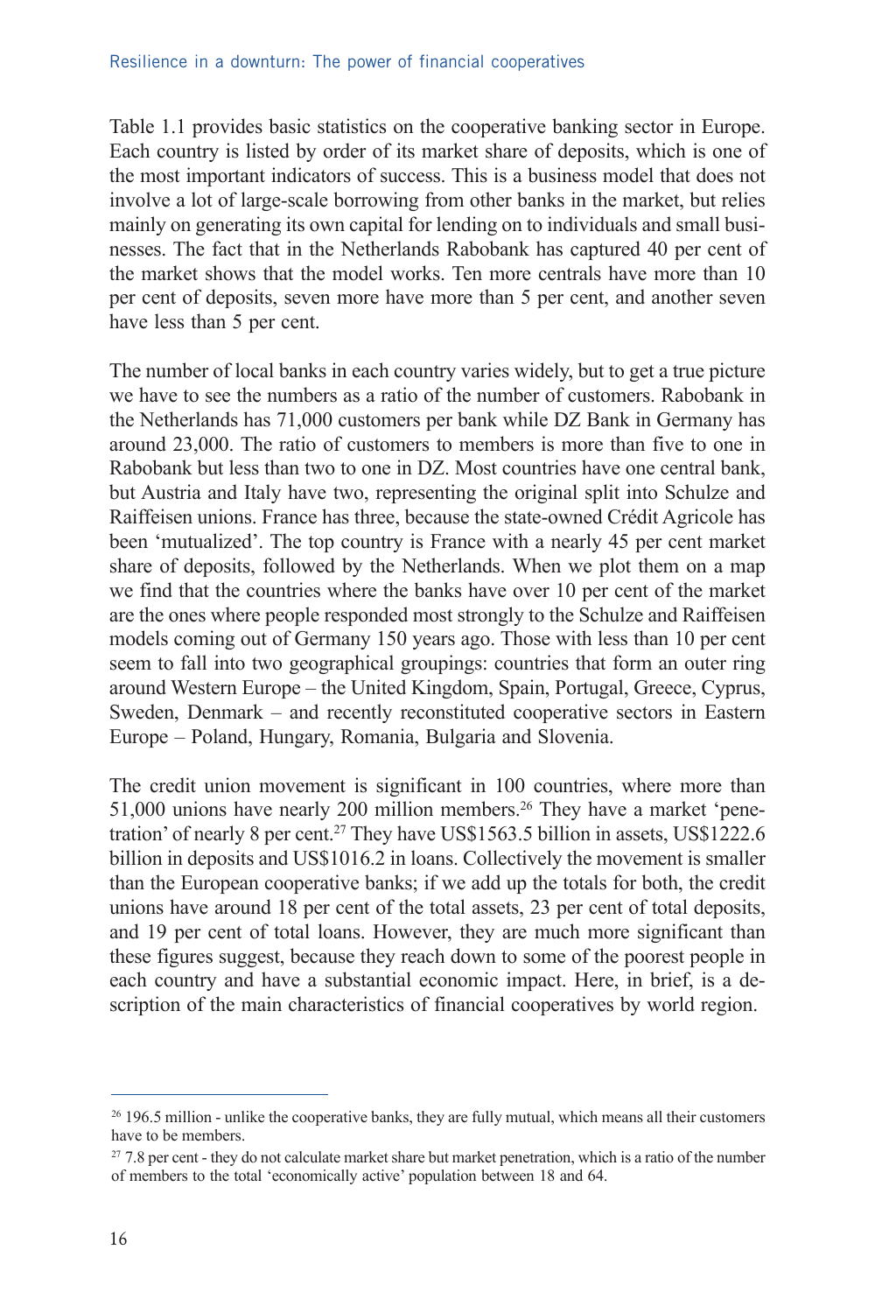Table 1.1 provides basic statistics on the cooperative banking sector in Europe. Each country is listed by order of its market share of deposits, which is one of the most important indicators of success. This is a business model that does not involve a lot of large-scale borrowing from other banks in the market, but relies mainly on generating its own capital for lending on to individuals and small businesses. The fact that in the Netherlands Rabobank has captured 40 per cent of the market shows that the model works. Ten more centrals have more than 10 per cent of deposits, seven more have more than 5 per cent, and another seven have less than 5 per cent.

The number of local banks in each country varies widely, but to get a true picture we have to see the numbers as a ratio of the number of customers. Rabobank in the Netherlands has 71,000 customers per bank while DZ Bank in Germany has around 23,000. The ratio of customers to members is more than five to one in Rabobank but less than two to one in DZ. Most countries have one central bank, but Austria and Italy have two, representing the original split into Schulze and Raiffeisen unions. France has three, because the state-owned Crédit Agricole has been 'mutualized'. The top country is France with a nearly 45 per cent market share of deposits, followed by the Netherlands. When we plot them on a map we find that the countries where the banks have over 10 per cent of the market are the ones where people responded most strongly to the Schulze and Raiffeisen models coming out of Germany 150 years ago. Those with less than 10 per cent seem to fall into two geographical groupings: countries that form an outer ring around Western Europe – the United Kingdom, Spain, Portugal, Greece, Cyprus, Sweden, Denmark – and recently reconstituted cooperative sectors in Eastern Europe – Poland, Hungary, Romania, Bulgaria and Slovenia.

The credit union movement is significant in 100 countries, where more than 51,000 unions have nearly 200 million members. <sup>26</sup> They have a market 'penetration' of nearly 8 per cent. <sup>27</sup> They have US\$1563.5 billion in assets, US\$1222.6 billion in deposits and US\$1016.2 in loans. Collectively the movement is smaller than the European cooperative banks; if we add up the totals for both, the credit unions have around 18 per cent of the total assets, 23 per cent of total deposits, and 19 per cent of total loans. However, they are much more significant than these figures suggest, because they reach down to some of the poorest people in each country and have a substantial economic impact. Here, in brief, is a description of the main characteristics of financial cooperatives by world region.

<sup>&</sup>lt;sup>26</sup> 196.5 million - unlike the cooperative banks, they are fully mutual, which means all their customers have to be members.

<sup>&</sup>lt;sup>27</sup> 7.8 per cent - they do not calculate market share but market penetration, which is a ratio of the number of members to the total 'economically active' population between 18 and 64.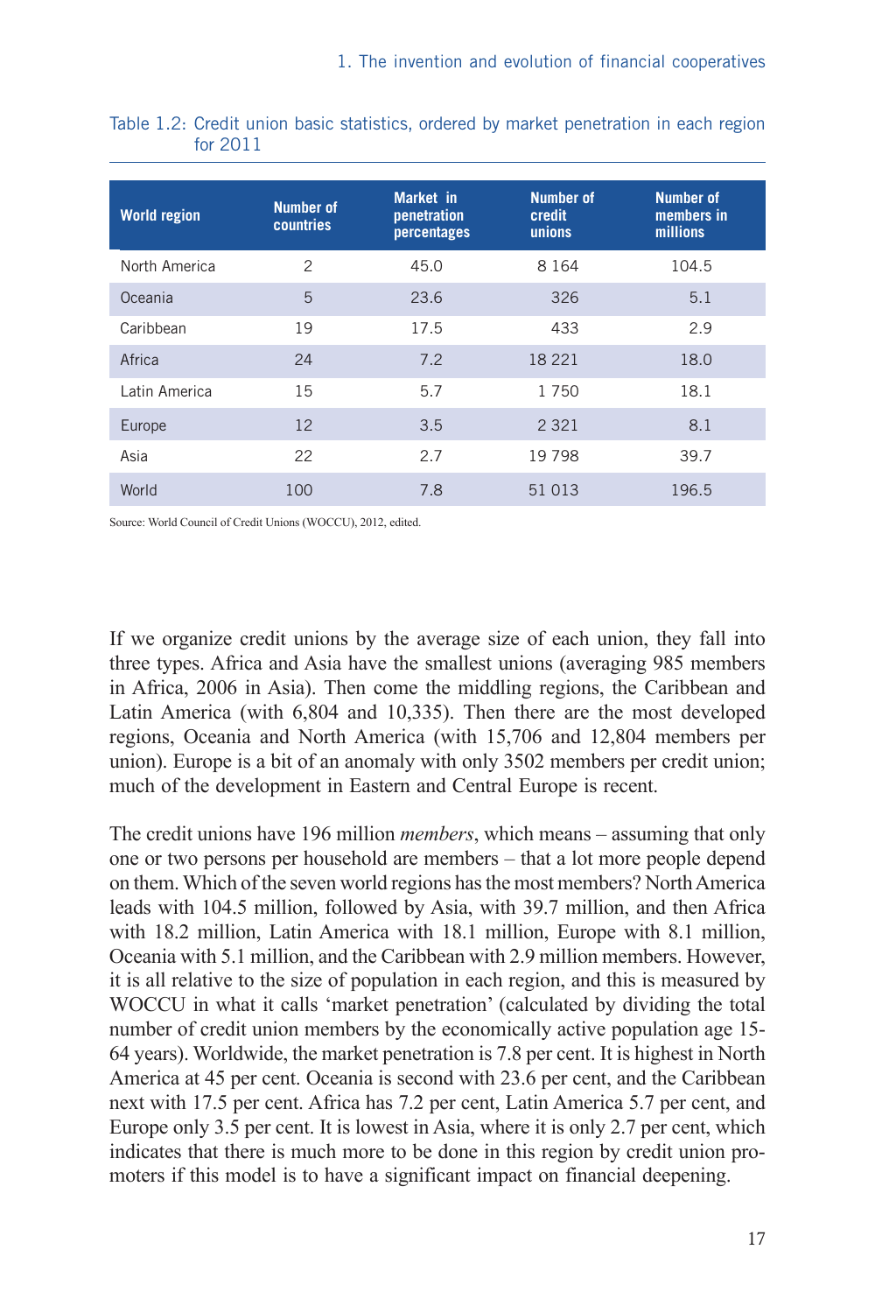| <b>World region</b> | <b>Number of</b><br>countries | Market in<br>penetration<br>percentages | <b>Number of</b><br>credit<br>unions | <b>Number of</b><br>members in<br>millions |
|---------------------|-------------------------------|-----------------------------------------|--------------------------------------|--------------------------------------------|
| North America       | $\overline{2}$                | 45.0                                    | 8 1 6 4                              | 104.5                                      |
| Oceania             | 5                             | 23.6                                    | 326                                  | 5.1                                        |
| Caribbean           | 19                            | 17.5                                    | 433                                  | 2.9                                        |
| Africa              | 24                            | 7.2                                     | 18 2 2 1                             | 18.0                                       |
| Latin America       | 15                            | 5.7                                     | 1750                                 | 18.1                                       |
| Europe              | 12                            | 3.5                                     | 2 3 2 1                              | 8.1                                        |
| Asia                | 22                            | 2.7                                     | 19798                                | 39.7                                       |
| World               | 100                           | 7.8                                     | 51 013                               | 196.5                                      |

|  |            |  |  |  | Table 1.2: Credit union basic statistics, ordered by market penetration in each region |  |  |
|--|------------|--|--|--|----------------------------------------------------------------------------------------|--|--|
|  | for $2011$ |  |  |  |                                                                                        |  |  |

Source: World Council of Credit Unions (WOCCU), 2012, edited.

If we organize credit unions by the average size of each union, they fall into three types. Africa and Asia have the smallest unions (averaging 985 members in Africa, 2006 in Asia). Then come the middling regions, the Caribbean and Latin America (with 6,804 and 10,335). Then there are the most developed regions, Oceania and North America (with 15,706 and 12,804 members per union). Europe is a bit of an anomaly with only 3502 members per credit union; much of the development in Eastern and Central Europe is recent.

The credit unions have 196 million *members*, which means – assuming that only one or two persons per household are members – that a lot more people depend on them.Which of the seven world regions hasthe most members? NorthAmerica leads with 104.5 million, followed by Asia, with 39.7 million, and then Africa with 18.2 million, Latin America with 18.1 million, Europe with 8.1 million, Oceania with 5.1 million, and the Caribbean with 2.9 million members. However, it is all relative to the size of population in each region, and this is measured by WOCCU in what it calls 'market penetration' (calculated by dividing the total number of credit union members by the economically active population age 15- 64 years). Worldwide, the market penetration is 7.8 per cent. It is highest in North America at 45 per cent. Oceania is second with 23.6 per cent, and the Caribbean next with 17.5 per cent. Africa has 7.2 per cent, Latin America 5.7 per cent, and Europe only 3.5 per cent. It is lowest in Asia, where it is only 2.7 per cent, which indicates that there is much more to be done in this region by credit union promoters if this model is to have a significant impact on financial deepening.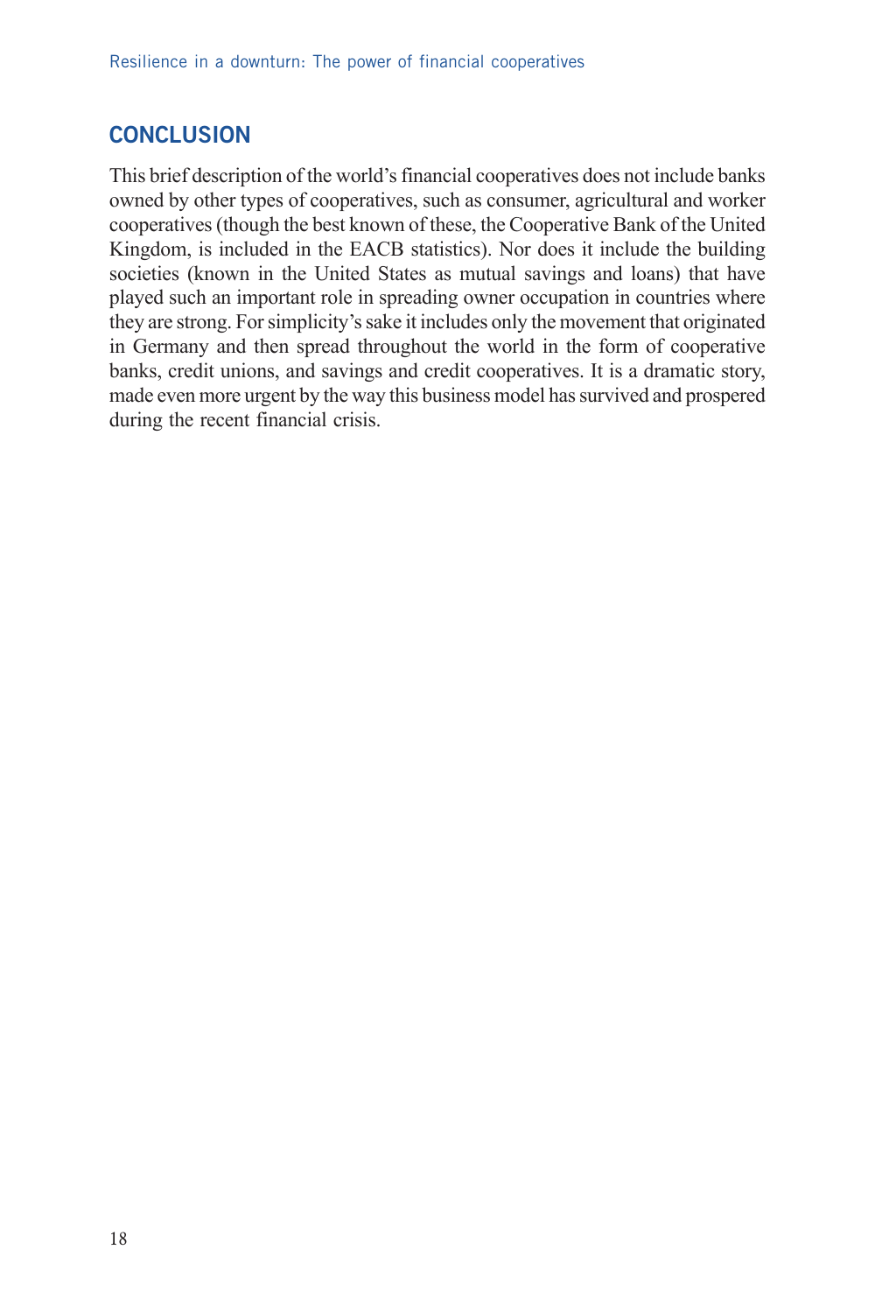#### **CONCLUSION**

This brief description of the world's financial cooperatives does not include banks owned by other types of cooperatives, such as consumer, agricultural and worker cooperatives(though the best known of these, the Cooperative Bank of the United Kingdom, is included in the EACB statistics). Nor does it include the building societies (known in the United States as mutual savings and loans) that have played such an important role in spreading owner occupation in countries where they are strong. For simplicity's sake it includes only the movement that originated in Germany and then spread throughout the world in the form of cooperative banks, credit unions, and savings and credit cooperatives. It is a dramatic story, made even more urgent by the way this business model has survived and prospered during the recent financial crisis.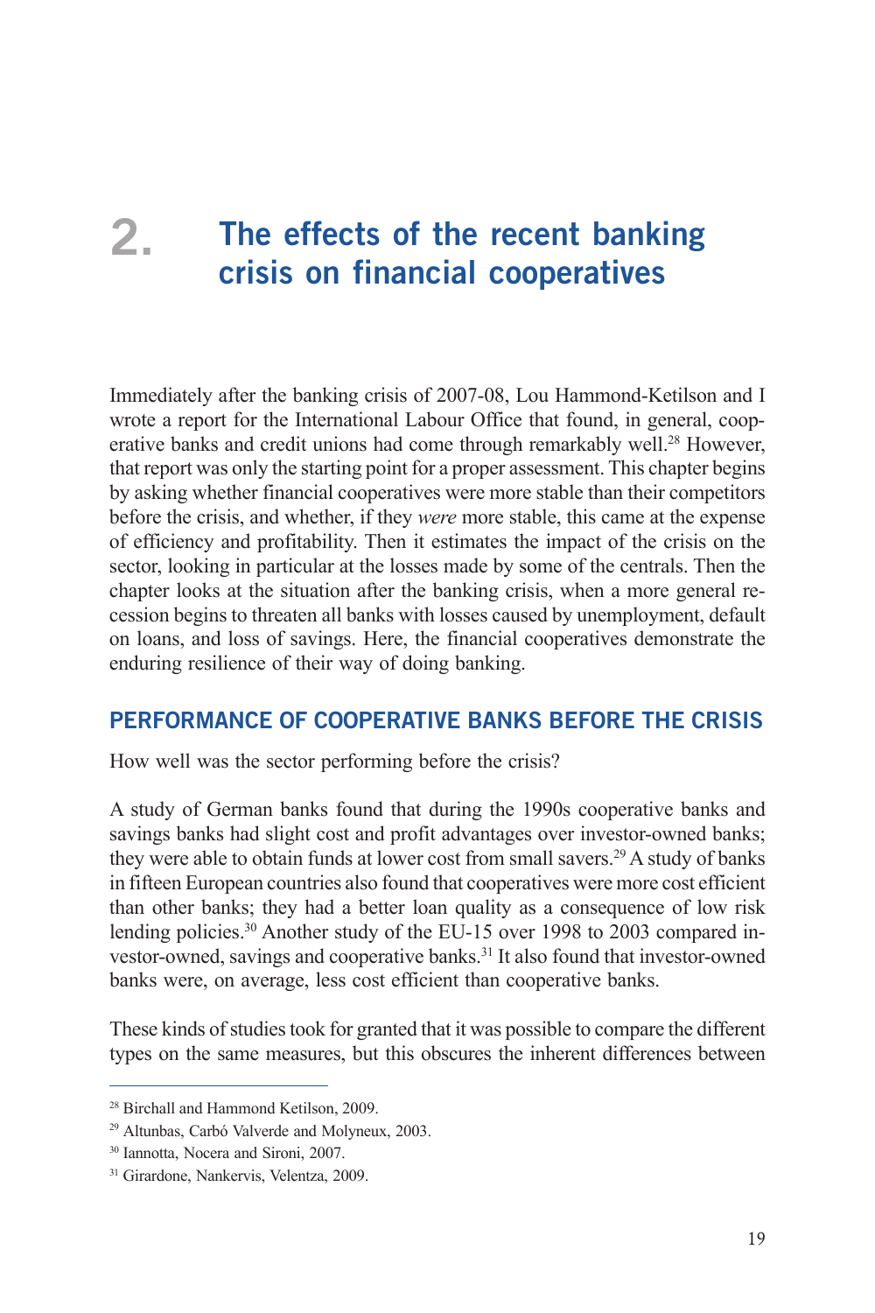# **2. The effects of the recent banking crisis on financial cooperatives**

Immediately after the banking crisis of 2007-08, Lou Hammond-Ketilson and I wrote a report for the International Labour Office that found, in general, cooperative banks and credit unions had come through remarkably well.<sup>28</sup> However, that report was only the starting point for a proper assessment. This chapter begins by asking whether financial cooperatives were more stable than their competitors before the crisis, and whether, if they *were* more stable, this came at the expense of efficiency and profitability. Then it estimates the impact of the crisis on the sector, looking in particular at the losses made by some of the centrals. Then the chapter looks at the situation after the banking crisis, when a more general recession begins to threaten all banks with losses caused by unemployment, default on loans, and loss of savings. Here, the financial cooperatives demonstrate the enduring resilience of their way of doing banking.

#### **PERFORMANCE OF COOPERATIVE BANKS BEFORE THE CRISIS**

How well was the sector performing before the crisis?

A study of German banks found that during the 1990s cooperative banks and savings banks had slight cost and profit advantages over investor-owned banks; they were able to obtain funds at lower cost from small savers. <sup>29</sup> A study of banks in fifteen European countries also found that cooperatives were more cost efficient than other banks; they had a better loan quality as a consequence of low risk lending policies. <sup>30</sup> Another study of the EU-15 over 1998 to 2003 compared investor-owned, savings and cooperative banks. <sup>31</sup> It also found that investor-owned banks were, on average, less cost efficient than cooperative banks.

These kinds of studies took for granted that it was possible to compare the different types on the same measures, but this obscures the inherent differences between

<sup>28</sup> Birchall and Hammond Ketilson, 2009.

<sup>29</sup> Altunbas, Carbó Valverde and Molyneux, 2003.

<sup>30</sup> Iannotta, Nocera and Sironi, 2007.

<sup>31</sup> Girardone, Nankervis, Velentza, 2009.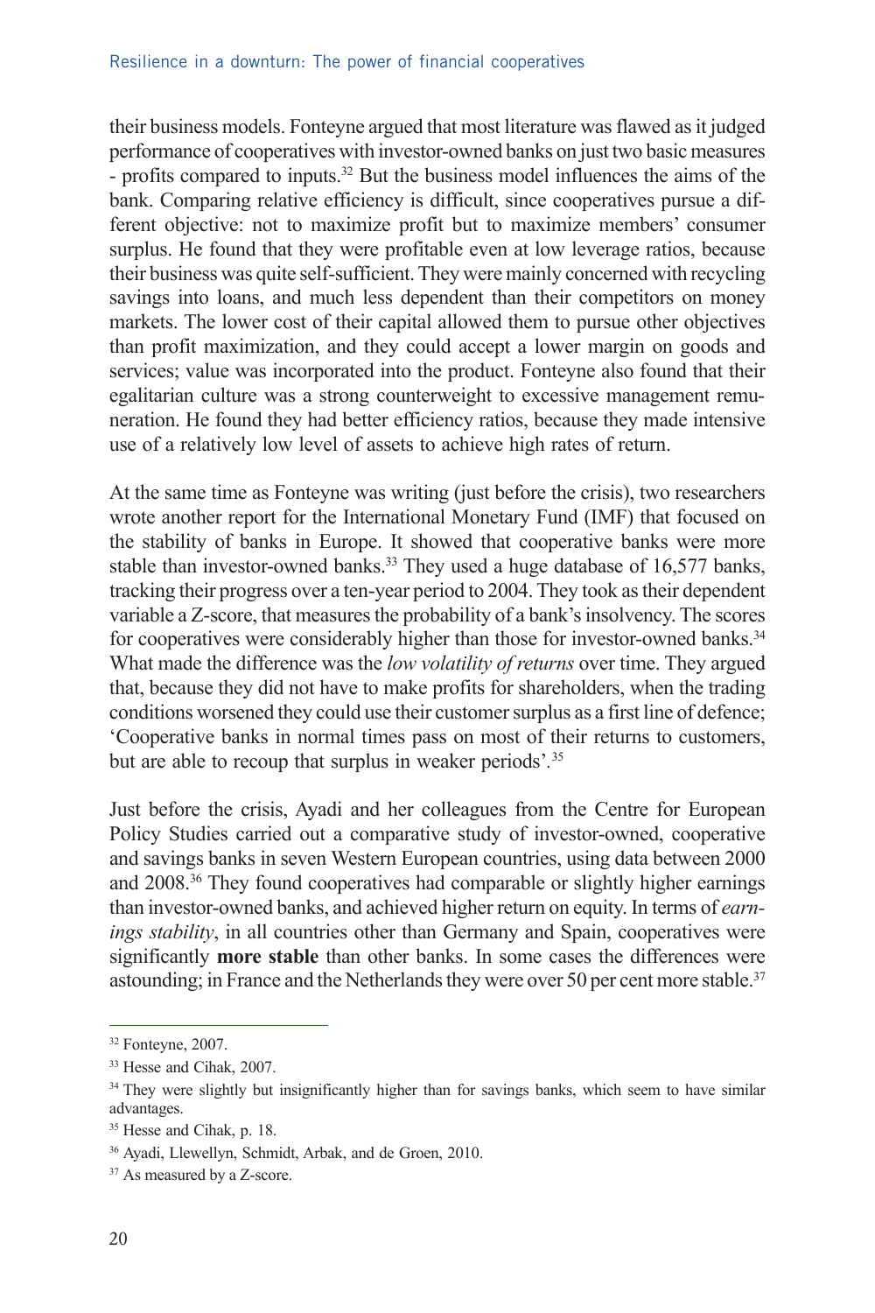their business models. Fonteyne argued that most literature was flawed as it judged performance of cooperatives with investor-owned banks on just two basic measures - profits compared to inputs. <sup>32</sup> But the business model influences the aims of the bank. Comparing relative efficiency is difficult, since cooperatives pursue a different objective: not to maximize profit but to maximize members' consumer surplus. He found that they were profitable even at low leverage ratios, because their business was quite self-sufficient.They were mainly concerned with recycling savings into loans, and much less dependent than their competitors on money markets. The lower cost of their capital allowed them to pursue other objectives than profit maximization, and they could accept a lower margin on goods and services; value was incorporated into the product. Fonteyne also found that their egalitarian culture was a strong counterweight to excessive management remuneration. He found they had better efficiency ratios, because they made intensive use of a relatively low level of assets to achieve high rates of return.

At the same time as Fonteyne was writing (just before the crisis), two researchers wrote another report for the International Monetary Fund (IMF) that focused on the stability of banks in Europe. It showed that cooperative banks were more stable than investor-owned banks. <sup>33</sup> They used a huge database of 16,577 banks, tracking their progress over a ten-year period to 2004.They took astheir dependent variable a Z-score, that measures the probability of a bank's insolvency. The scores for cooperatives were considerably higher than those for investor-owned banks.<sup>34</sup> What made the difference was the *low volatility of returns* over time. They argued that, because they did not have to make profits for shareholders, when the trading conditions worsened they could use their customer surplus as a first line of defence; 'Cooperative banks in normal times pass on most of their returns to customers, but are able to recoup that surplus in weaker periods'*.* 35

Just before the crisis, Ayadi and her colleagues from the Centre for European Policy Studies carried out a comparative study of investor-owned, cooperative and savings banks in seven Western European countries, using data between 2000 and 2008. <sup>36</sup> They found cooperatives had comparable or slightly higher earnings than investor-owned banks, and achieved higher return on equity. In terms of *earnings stability*, in all countries other than Germany and Spain, cooperatives were significantly **more stable** than other banks. In some cases the differences were astounding; in France and the Netherlands they were over 50 per cent more stable.<sup>37</sup>

<sup>32</sup> Fonteyne, 2007.

<sup>33</sup> Hesse and Cihak, 2007.

<sup>&</sup>lt;sup>34</sup> They were slightly but insignificantly higher than for savings banks, which seem to have similar advantages.

<sup>35</sup> Hesse and Cihak, p. 18.

<sup>36</sup> Ayadi, Llewellyn, Schmidt, Arbak, and de Groen, 2010.

<sup>37</sup> As measured by a Z-score.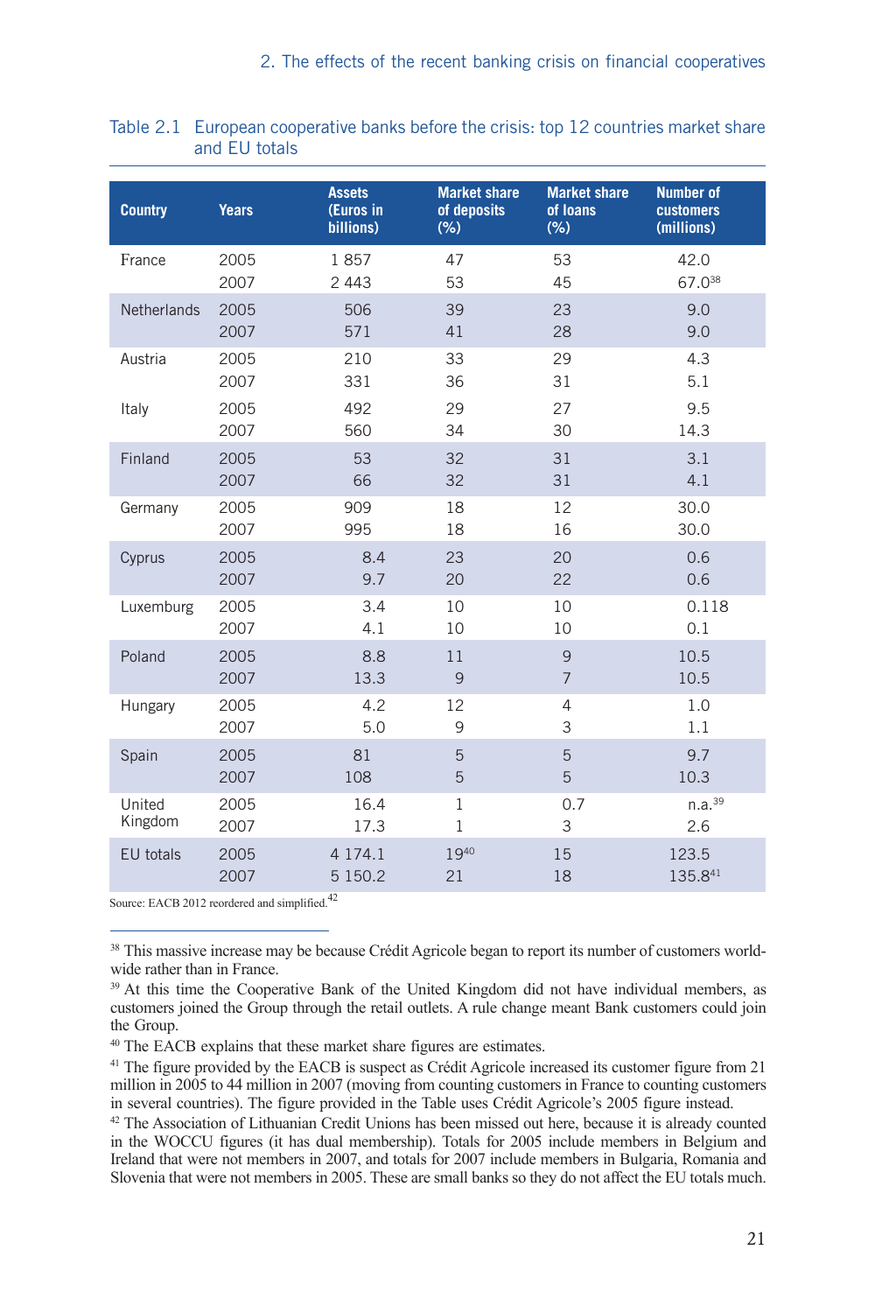| <b>Country</b> | <b>Years</b> | <b>Assets</b><br>(Euros in<br>billions) | <b>Market share</b><br>of deposits<br>(%) | <b>Market share</b><br>of loans<br>(%) | <b>Number of</b><br><b>customers</b><br>(millions) |
|----------------|--------------|-----------------------------------------|-------------------------------------------|----------------------------------------|----------------------------------------------------|
| France         | 2005         | 1857                                    | 47                                        | 53                                     | 42.0                                               |
|                | 2007         | 2 4 4 3                                 | 53                                        | 45                                     | 67.038                                             |
| Netherlands    | 2005         | 506                                     | 39                                        | 23                                     | 9.0                                                |
|                | 2007         | 571                                     | 41                                        | 28                                     | 9.0                                                |
| Austria        | 2005         | 210                                     | 33                                        | 29                                     | 4.3                                                |
|                | 2007         | 331                                     | 36                                        | 31                                     | 5.1                                                |
| Italy          | 2005         | 492                                     | 29                                        | 27                                     | 9.5                                                |
|                | 2007         | 560                                     | 34                                        | 30                                     | 14.3                                               |
| Finland        | 2005         | 53                                      | 32                                        | 31                                     | 3.1                                                |
|                | 2007         | 66                                      | 32                                        | 31                                     | 4.1                                                |
| Germany        | 2005         | 909                                     | 18                                        | 12                                     | 30.0                                               |
|                | 2007         | 995                                     | 18                                        | 16                                     | 30.0                                               |
| Cyprus         | 2005         | 8.4                                     | 23                                        | 20                                     | 0.6                                                |
|                | 2007         | 9.7                                     | 20                                        | 22                                     | 0.6                                                |
| Luxemburg      | 2005         | 3.4                                     | 10                                        | 10                                     | 0.118                                              |
|                | 2007         | 4.1                                     | 10                                        | 10                                     | 0.1                                                |
| Poland         | 2005         | 8.8                                     | 11                                        | 9                                      | 10.5                                               |
|                | 2007         | 13.3                                    | 9                                         | $\overline{7}$                         | 10.5                                               |
| Hungary        | 2005         | 4.2                                     | 12                                        | 4                                      | 1.0                                                |
|                | 2007         | 5.0                                     | 9                                         | 3                                      | 1.1                                                |
| Spain          | 2005         | 81                                      | 5                                         | 5                                      | 9.7                                                |
|                | 2007         | 108                                     | 5                                         | 5                                      | 10.3                                               |
| United         | 2005         | 16.4                                    | $\mathbf 1$                               | 0.7                                    | n.a. <sup>39</sup>                                 |
| Kingdom        | 2007         | 17.3                                    | 1                                         | 3                                      | 2.6                                                |
| EU totals      | 2005         | 4 174.1                                 | 1940                                      | 15                                     | 123.5                                              |
|                | 2007         | 5 1 5 0.2                               | 21                                        | 18                                     | 135.841                                            |

#### Table 2.1 European cooperative banks before the crisis: top 12 countries market share and EU totals

Source: EACB 2012 reordered and simplified.<sup>42</sup>

<sup>38</sup> This massive increase may be because Crédit Agricole began to report its number of customers worldwide rather than in France.

<sup>39</sup> At this time the Cooperative Bank of the United Kingdom did not have individual members, as customers joined the Group through the retail outlets. A rule change meant Bank customers could join the Group.

<sup>40</sup> The EACB explains that these market share figures are estimates.

<sup>41</sup> The figure provided by the EACB is suspect as Crédit Agricole increased its customer figure from 21 million in 2005 to 44 million in 2007 (moving from counting customers in France to counting customers in several countries). The figure provided in the Table uses Crédit Agricole's 2005 figure instead.

<sup>42</sup> The Association of Lithuanian Credit Unions has been missed out here, because it is already counted in the WOCCU figures (it has dual membership). Totals for 2005 include members in Belgium and Ireland that were not members in 2007, and totals for 2007 include members in Bulgaria, Romania and Slovenia that were not members in 2005. These are small banks so they do not affect the EU totals much.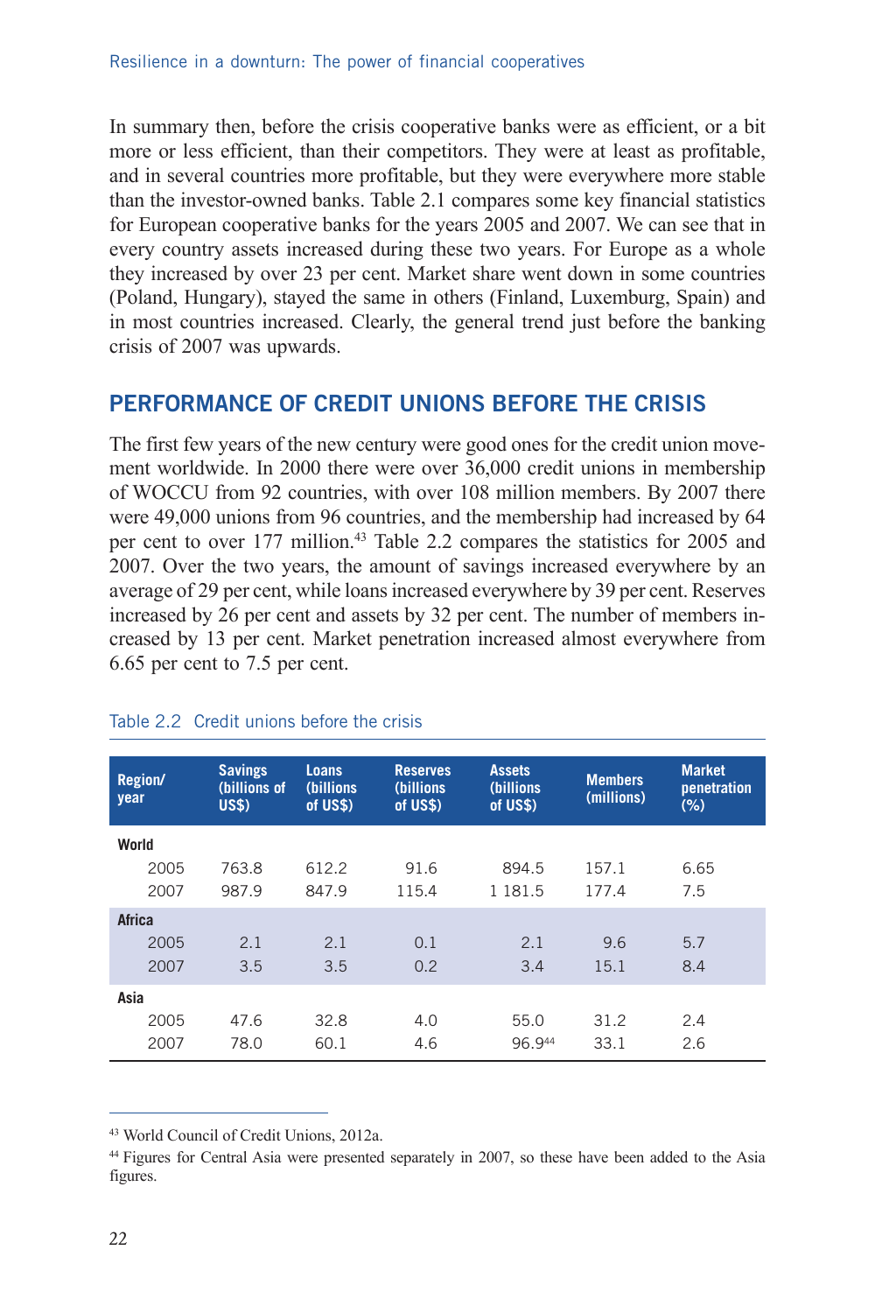In summary then, before the crisis cooperative banks were as efficient, or a bit more or less efficient, than their competitors. They were at least as profitable, and in several countries more profitable, but they were everywhere more stable than the investor-owned banks. Table 2.1 compares some key financial statistics for European cooperative banks for the years 2005 and 2007. We can see that in every country assets increased during these two years. For Europe as a whole they increased by over 23 per cent. Market share went down in some countries (Poland, Hungary), stayed the same in others (Finland, Luxemburg, Spain) and in most countries increased. Clearly, the general trend just before the banking crisis of 2007 was upwards.

#### **PERFORMANCE OF CREDIT UNIONS BEFORE THE CRISIS**

The first few years of the new century were good ones for the credit union movement worldwide. In 2000 there were over 36,000 credit unions in membership of WOCCU from 92 countries, with over 108 million members. By 2007 there were 49,000 unions from 96 countries, and the membership had increased by 64 per cent to over 177 million. <sup>43</sup> Table 2.2 compares the statistics for 2005 and 2007. Over the two years, the amount of savings increased everywhere by an average of 29 per cent, while loansincreased everywhere by 39 per cent. Reserves increased by 26 per cent and assets by 32 per cent. The number of members increased by 13 per cent. Market penetration increased almost everywhere from 6.65 per cent to 7.5 per cent.

| Region/<br>year | <b>Savings</b><br>(billions of<br><b>US\$)</b> | Loans<br>(billions)<br>of US\$) | <b>Reserves</b><br>(billions)<br>of US\$) | <b>Assets</b><br>(billions)<br>of US\$) | <b>Members</b><br>(millions) | <b>Market</b><br>penetration<br>(% ) |  |  |  |
|-----------------|------------------------------------------------|---------------------------------|-------------------------------------------|-----------------------------------------|------------------------------|--------------------------------------|--|--|--|
| World           |                                                |                                 |                                           |                                         |                              |                                      |  |  |  |
| 2005            | 763.8                                          | 612.2                           | 91.6                                      | 894.5                                   | 157.1                        | 6.65                                 |  |  |  |
| 2007            | 987.9                                          | 847.9                           | 115.4                                     | 1 1 8 1 .5                              | 177.4                        | 7.5                                  |  |  |  |
| <b>Africa</b>   |                                                |                                 |                                           |                                         |                              |                                      |  |  |  |
| 2005            | 2.1                                            | 2.1                             | 0.1                                       | 2.1                                     | 9.6                          | 5.7                                  |  |  |  |
| 2007            | 3.5                                            | 3.5                             | 0.2                                       | 3.4                                     | 15.1                         | 8.4                                  |  |  |  |
| Asia            |                                                |                                 |                                           |                                         |                              |                                      |  |  |  |
| 2005            | 47.6                                           | 32.8                            | 4.0                                       | 55.0                                    | 31.2                         | 2.4                                  |  |  |  |
| 2007            | 78.0                                           | 60.1                            | 4.6                                       | 96.944                                  | 33.1                         | 2.6                                  |  |  |  |

#### Table 2.2 Credit unions before the crisis

<sup>43</sup> World Council of Credit Unions, 2012a.

<sup>&</sup>lt;sup>44</sup> Figures for Central Asia were presented separately in 2007, so these have been added to the Asia figures.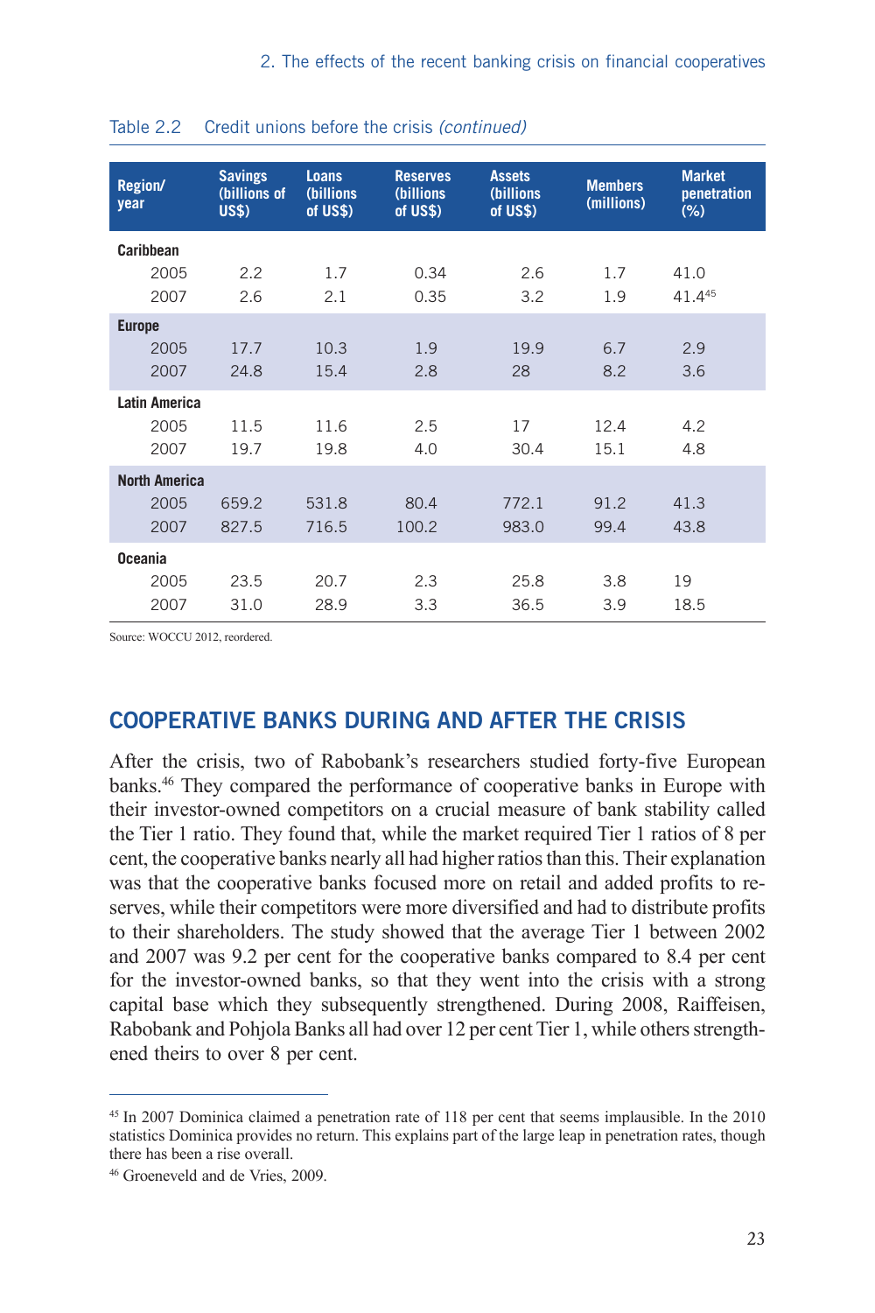| Region/<br>year      | <b>Savings</b><br>(billions of<br><b>US\$)</b> | <b>Loans</b><br>(billions)<br>of US\$) | <b>Reserves</b><br>(billions)<br>of US\$) | <b>Assets</b><br>(billions)<br>of US\$) | <b>Members</b><br>(millions) | <b>Market</b><br>penetration<br>(% ) |
|----------------------|------------------------------------------------|----------------------------------------|-------------------------------------------|-----------------------------------------|------------------------------|--------------------------------------|
| Caribbean            |                                                |                                        |                                           |                                         |                              |                                      |
| 2005                 | 2.2                                            | 1.7                                    | 0.34                                      | 2.6                                     | 1.7                          | 41.0                                 |
| 2007                 | 2.6                                            | 2.1                                    | 0.35                                      | 3.2                                     | 1.9                          | 41.445                               |
| <b>Europe</b>        |                                                |                                        |                                           |                                         |                              |                                      |
| 2005                 | 17.7                                           | 10.3                                   | 1.9                                       | 19.9                                    | 6.7                          | 2.9                                  |
| 2007                 | 24.8                                           | 15.4                                   | 2.8                                       | 28                                      | 8.2                          | 3.6                                  |
| <b>Latin America</b> |                                                |                                        |                                           |                                         |                              |                                      |
| 2005                 | 11.5                                           | 11.6                                   | 2.5                                       | 17                                      | 12.4                         | 4.2                                  |
| 2007                 | 19.7                                           | 19.8                                   | 4.0                                       | 30.4                                    | 15.1                         | 4.8                                  |
| <b>North America</b> |                                                |                                        |                                           |                                         |                              |                                      |
| 2005                 | 659.2                                          | 531.8                                  | 80.4                                      | 772.1                                   | 91.2                         | 41.3                                 |
| 2007                 | 827.5                                          | 716.5                                  | 100.2                                     | 983.0                                   | 99.4                         | 43.8                                 |
| <b>Oceania</b>       |                                                |                                        |                                           |                                         |                              |                                      |
| 2005                 | 23.5                                           | 20.7                                   | 2.3                                       | 25.8                                    | 3.8                          | 19                                   |
| 2007                 | 31.0                                           | 28.9                                   | 3.3                                       | 36.5                                    | 3.9                          | 18.5                                 |

#### Table 2.2 Credit unions before the crisis *(continued)*

Source: WOCCU 2012, reordered.

#### **COOPERATIVE BANKS DURING AND AFTER THE CRISIS**

After the crisis, two of Rabobank's researchers studied forty-five European banks. <sup>46</sup> They compared the performance of cooperative banks in Europe with their investor-owned competitors on a crucial measure of bank stability called the Tier 1 ratio. They found that, while the market required Tier 1 ratios of 8 per cent, the cooperative banks nearly all had higher ratiosthan this.Their explanation was that the cooperative banks focused more on retail and added profits to reserves, while their competitors were more diversified and had to distribute profits to their shareholders. The study showed that the average Tier 1 between 2002 and 2007 was 9.2 per cent for the cooperative banks compared to 8.4 per cent for the investor-owned banks, so that they went into the crisis with a strong capital base which they subsequently strengthened. During 2008, Raiffeisen, Rabobank and Pohjola Banks all had over 12 per cent Tier 1, while others strengthened theirs to over 8 per cent.

<sup>&</sup>lt;sup>45</sup> In 2007 Dominica claimed a penetration rate of 118 per cent that seems implausible. In the 2010 statistics Dominica provides no return. This explains part of the large leap in penetration rates, though there has been a rise overall.

<sup>46</sup> Groeneveld and de Vries, 2009.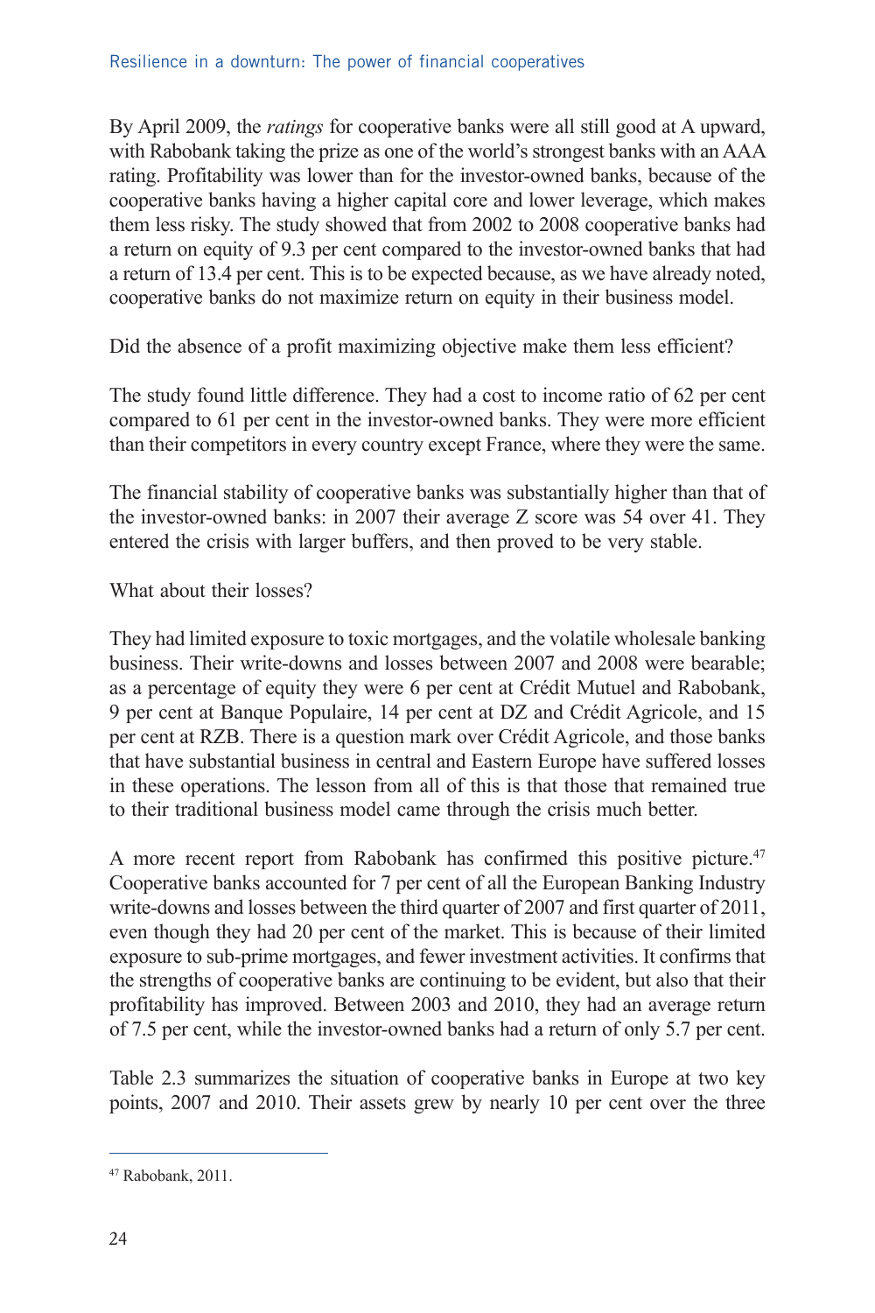By April 2009, the *ratings* for cooperative banks were all still good at A upward, with Rabobank taking the prize as one of the world's strongest banks with an AAA rating. Profitability was lower than for the investor-owned banks, because of the cooperative banks having a higher capital core and lower leverage, which makes them less risky. The study showed that from 2002 to 2008 cooperative banks had a return on equity of 9.3 per cent compared to the investor-owned banks that had a return of 13.4 per cent. This is to be expected because, as we have already noted, cooperative banks do not maximize return on equity in their business model.

Did the absence of a profit maximizing objective make them less efficient?

The study found little difference. They had a cost to income ratio of 62 per cent compared to 61 per cent in the investor-owned banks. They were more efficient than their competitors in every country except France, where they were the same.

The financial stability of cooperative banks was substantially higher than that of the investor-owned banks: in 2007 their average Z score was 54 over 41. They entered the crisis with larger buffers, and then proved to be very stable.

What about their losses?

They had limited exposure to toxic mortgages, and the volatile wholesale banking business. Their write-downs and losses between 2007 and 2008 were bearable; as a percentage of equity they were 6 per cent at Crédit Mutuel and Rabobank, 9 per cent at Banque Populaire, 14 per cent at DZ and Crédit Agricole, and 15 per cent at RZB. There is a question mark over Crédit Agricole, and those banks that have substantial business in central and Eastern Europe have suffered losses in these operations. The lesson from all of this is that those that remained true to their traditional business model came through the crisis much better.

A more recent report from Rabobank has confirmed this positive picture. 47 Cooperative banks accounted for 7 per cent of all the European Banking Industry write-downs and losses between the third quarter of 2007 and first quarter of 2011, even though they had 20 per cent of the market. This is because of their limited exposure to sub-prime mortgages, and fewer investment activities. It confirms that the strengths of cooperative banks are continuing to be evident, but also that their profitability has improved. Between 2003 and 2010, they had an average return of 7.5 per cent, while the investor-owned banks had a return of only 5.7 per cent.

Table 2.3 summarizes the situation of cooperative banks in Europe at two key points, 2007 and 2010. Their assets grew by nearly 10 per cent over the three

<sup>47</sup> Rabobank, 2011.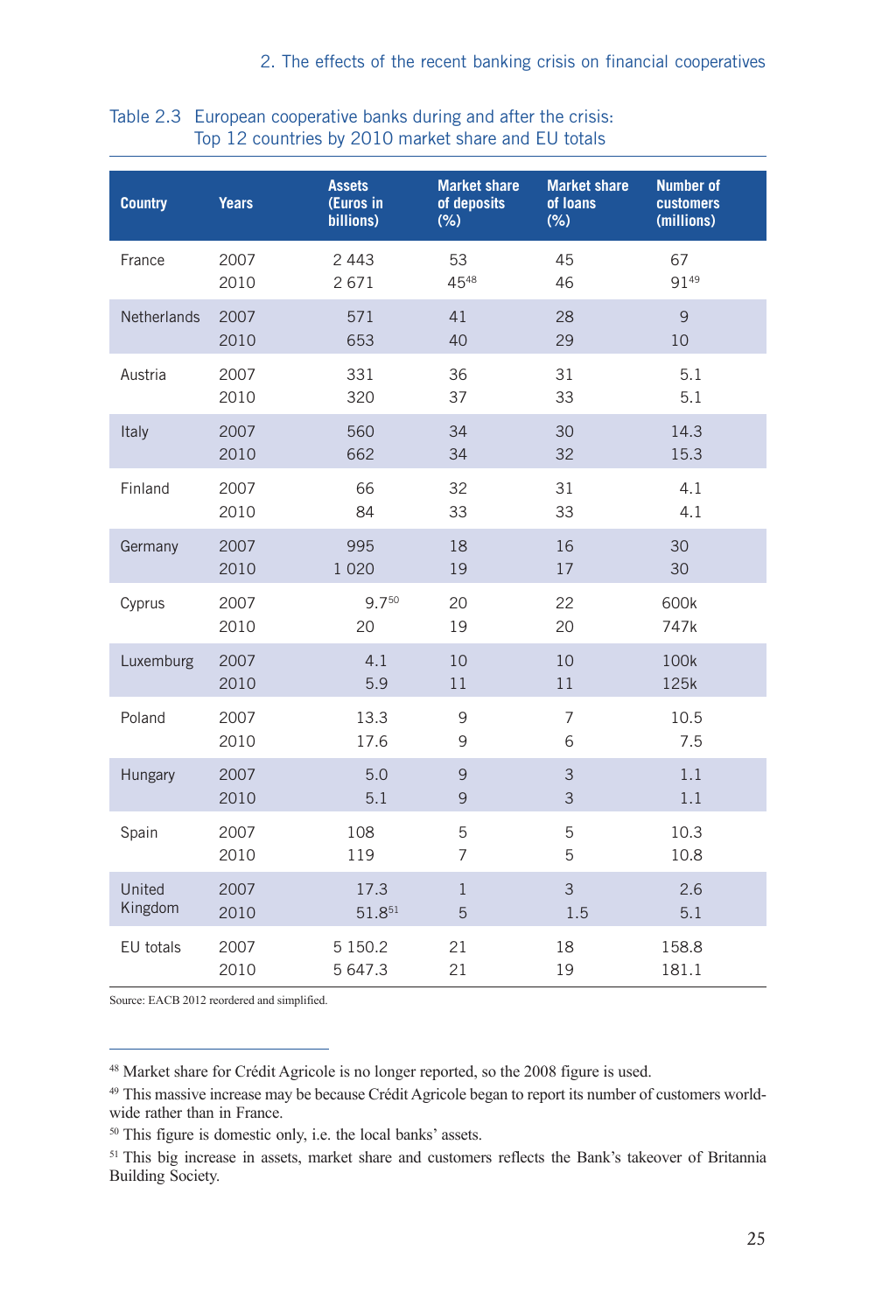| <b>Country</b> | <b>Years</b> | <b>Assets</b><br>(Euros in<br>billions) | <b>Market share</b><br>of deposits<br>$(\%)$ | <b>Market share</b><br>of loans<br>$(\%)$ | <b>Number of</b><br><b>customers</b><br>(millions) |
|----------------|--------------|-----------------------------------------|----------------------------------------------|-------------------------------------------|----------------------------------------------------|
| France         | 2007         | 2 4 4 3                                 | 53                                           | 45                                        | 67                                                 |
|                | 2010         | 2671                                    | 4548                                         | 46                                        | 9149                                               |
| Netherlands    | 2007         | 571                                     | 41                                           | 28                                        | 9                                                  |
|                | 2010         | 653                                     | 40                                           | 29                                        | 10                                                 |
| Austria        | 2007         | 331                                     | 36                                           | 31                                        | 5.1                                                |
|                | 2010         | 320                                     | 37                                           | 33                                        | 5.1                                                |
| Italy          | 2007         | 560                                     | 34                                           | 30                                        | 14.3                                               |
|                | 2010         | 662                                     | 34                                           | 32                                        | 15.3                                               |
| Finland        | 2007         | 66                                      | 32                                           | 31                                        | 4.1                                                |
|                | 2010         | 84                                      | 33                                           | 33                                        | 4.1                                                |
| Germany        | 2007         | 995                                     | 18                                           | 16                                        | 30                                                 |
|                | 2010         | 1 0 2 0                                 | 19                                           | 17                                        | 30                                                 |
| Cyprus         | 2007         | 9.750                                   | 20                                           | 22                                        | 600k                                               |
|                | 2010         | 20                                      | 19                                           | 20                                        | 747k                                               |
| Luxemburg      | 2007         | 4.1                                     | 10                                           | 10                                        | 100k                                               |
|                | 2010         | 5.9                                     | 11                                           | 11                                        | 125k                                               |
| Poland         | 2007         | 13.3                                    | 9                                            | $\overline{7}$                            | 10.5                                               |
|                | 2010         | 17.6                                    | 9                                            | 6                                         | 7.5                                                |
| Hungary        | 2007         | 5.0                                     | 9                                            | 3                                         | 1.1                                                |
|                | 2010         | 5.1                                     | 9                                            | $\mathsf 3$                               | 1.1                                                |
| Spain          | 2007         | 108                                     | 5                                            | 5                                         | 10.3                                               |
|                | 2010         | 119                                     | 7                                            | 5                                         | 10.8                                               |
| United         | 2007         | 17.3                                    | $\mathbf 1$                                  | $\mathsf 3$                               | 2.6                                                |
| Kingdom        | 2010         | 51.851                                  | 5                                            | 1.5                                       | 5.1                                                |
| EU totals      | 2007         | 5 1 5 0.2                               | 21                                           | 18                                        | 158.8                                              |
|                | 2010         | 5 647.3                                 | 21                                           | 19                                        | 181.1                                              |

#### Table 2.3 European cooperative banks during and after the crisis: Top 12 countries by 2010 market share and EU totals

Source: EACB 2012 reordered and simplified.

<sup>48</sup> Market share for Crédit Agricole is no longer reported, so the 2008 figure is used.

<sup>49</sup> This massive increase may be because Crédit Agricole began to report its number of customers worldwide rather than in France.

<sup>&</sup>lt;sup>50</sup> This figure is domestic only, i.e. the local banks' assets.

<sup>&</sup>lt;sup>51</sup> This big increase in assets, market share and customers reflects the Bank's takeover of Britannia Building Society.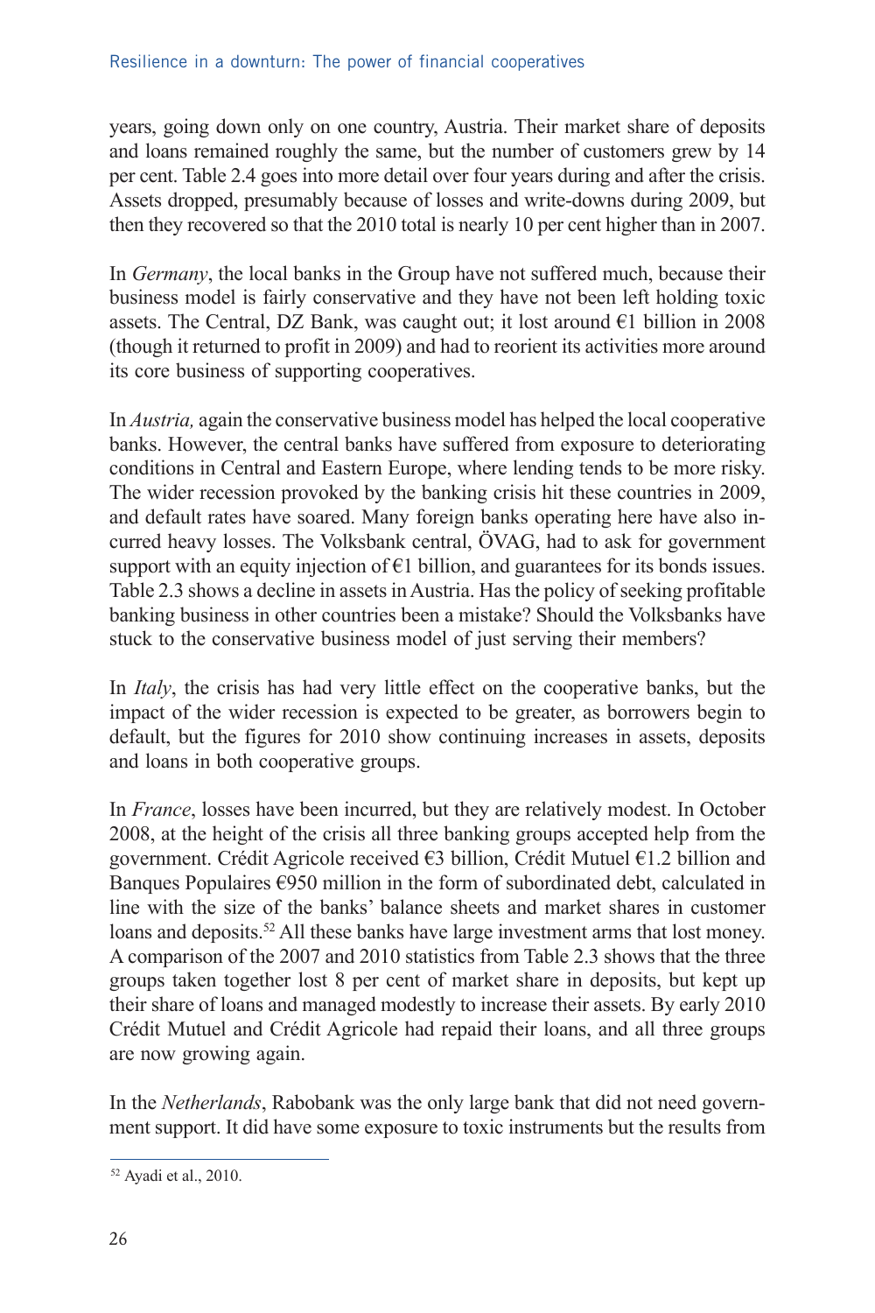years, going down only on one country, Austria. Their market share of deposits and loans remained roughly the same, but the number of customers grew by 14 per cent. Table 2.4 goes into more detail over four years during and after the crisis. Assets dropped, presumably because of losses and write-downs during 2009, but then they recovered so that the 2010 total is nearly 10 per cent higher than in 2007.

In *Germany*, the local banks in the Group have not suffered much, because their business model is fairly conservative and they have not been left holding toxic assets. The Central, DZ Bank, was caught out; it lost around  $\epsilon$ 1 billion in 2008 (though it returned to profit in 2009) and had to reorient its activities more around its core business of supporting cooperatives.

In *Austria,* again the conservative business model has helped the local cooperative banks. However, the central banks have suffered from exposure to deteriorating conditions in Central and Eastern Europe, where lending tends to be more risky. The wider recession provoked by the banking crisis hit these countries in 2009, and default rates have soared. Many foreign banks operating here have also incurred heavy losses. The Volksbank central, ÖVAG, had to ask for government support with an equity injection of  $\epsilon$ 1 billion, and guarantees for its bonds issues. Table 2.3 shows a decline in assets in Austria. Has the policy of seeking profitable banking business in other countries been a mistake? Should the Volksbanks have stuck to the conservative business model of just serving their members?

In *Italy*, the crisis has had very little effect on the cooperative banks, but the impact of the wider recession is expected to be greater, as borrowers begin to default, but the figures for 2010 show continuing increases in assets, deposits and loans in both cooperative groups.

In *France*, losses have been incurred, but they are relatively modest. In October 2008, at the height of the crisis all three banking groups accepted help from the government. Crédit Agricole received €3 billion, Crédit Mutuel €1.2 billion and Banques Populaires €950 million in the form of subordinated debt, calculated in line with the size of the banks' balance sheets and market shares in customer loans and deposits.<sup>52</sup> All these banks have large investment arms that lost money. A comparison of the 2007 and 2010 statistics from Table 2.3 shows that the three groups taken together lost 8 per cent of market share in deposits, but kept up their share of loans and managed modestly to increase their assets. By early 2010 Crédit Mutuel and Crédit Agricole had repaid their loans, and all three groups are now growing again.

In the *Netherlands*, Rabobank was the only large bank that did not need government support. It did have some exposure to toxic instruments but the results from

<sup>52</sup> Ayadi et al., 2010.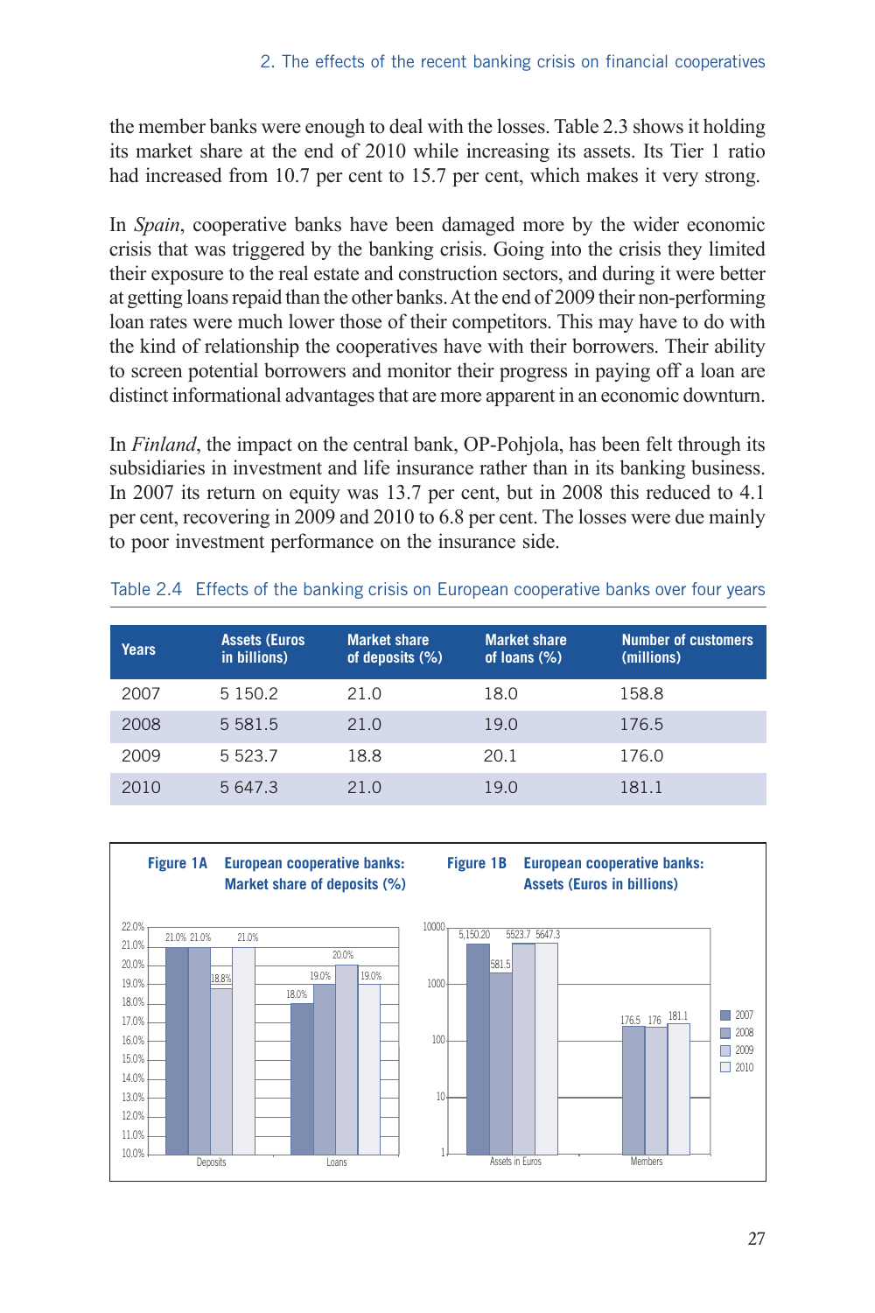the member banks were enough to deal with the losses. Table 2.3 showsit holding its market share at the end of 2010 while increasing its assets. Its Tier 1 ratio had increased from 10.7 per cent to 15.7 per cent, which makes it very strong.

In *Spain*, cooperative banks have been damaged more by the wider economic crisis that was triggered by the banking crisis. Going into the crisis they limited their exposure to the real estate and construction sectors, and during it were better at getting loans repaid than the other banks. At the end of 2009 their non-performing loan rates were much lower those of their competitors. This may have to do with the kind of relationship the cooperatives have with their borrowers. Their ability to screen potential borrowers and monitor their progress in paying off a loan are distinct informational advantages that are more apparent in an economic downturn.

In *Finland*, the impact on the central bank, OP-Pohjola, has been felt through its subsidiaries in investment and life insurance rather than in its banking business. In 2007 its return on equity was 13.7 per cent, but in 2008 this reduced to 4.1 per cent, recovering in 2009 and 2010 to 6.8 per cent. The losses were due mainly to poor investment performance on the insurance side.

| <b>Years</b> | <b>Assets (Euros)</b><br>in billions) | <b>Market share</b><br>of deposits $(\%)$ | <b>Market share</b><br>of loans $(\%)$ | <b>Number of customers</b><br>(millions) |
|--------------|---------------------------------------|-------------------------------------------|----------------------------------------|------------------------------------------|
| 2007         | 5 1 5 0 . 2                           | 21.0                                      | 18.0                                   | 158.8                                    |
| 2008         | 5 5 8 1 .5                            | 21.0                                      | 19.0                                   | 176.5                                    |
| 2009         | 5523.7                                | 18.8                                      | 20.1                                   | 176.0                                    |
| 2010         | 5 647.3                               | 21.O                                      | 19.0                                   | 181.1                                    |

#### Table 2.4 Effects of the banking crisis on European cooperative banks over four years

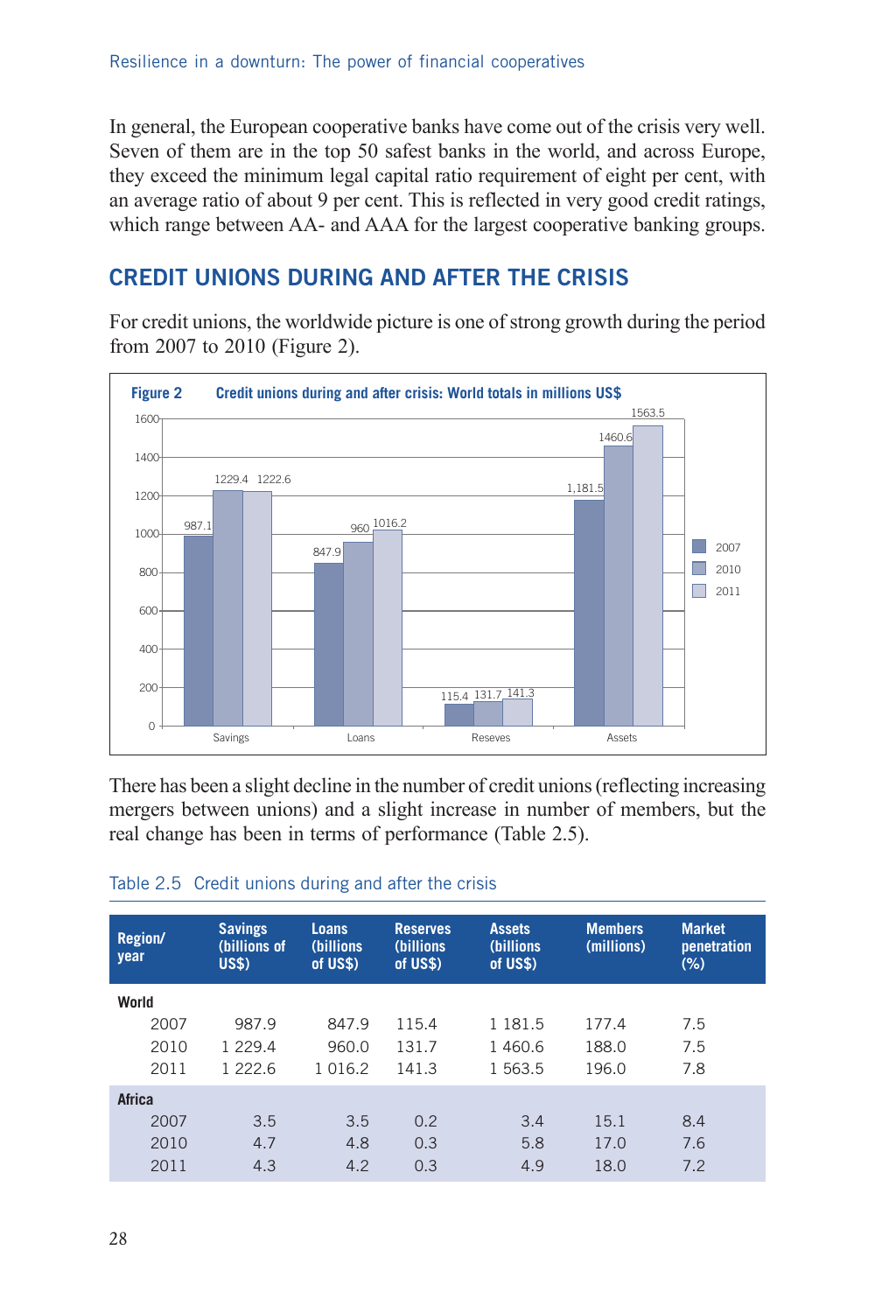In general, the European cooperative banks have come out of the crisis very well. Seven of them are in the top 50 safest banks in the world, and across Europe, they exceed the minimum legal capital ratio requirement of eight per cent, with an average ratio of about 9 per cent. This is reflected in very good credit ratings, which range between AA- and AAA for the largest cooperative banking groups.

#### **CREDIT UNIONS DURING AND AFTER THE CRISIS**

For credit unions, the worldwide picture is one of strong growth during the period from 2007 to 2010 (Figure 2).



There has been a slight decline in the number of credit unions(reflecting increasing mergers between unions) and a slight increase in number of members, but the real change has been in terms of performance (Table 2.5).

| Region/<br>year | <b>Savings</b><br>(billions of<br><b>US\$)</b> | Loans<br>(billions)<br>of US\$) | <b>Reserves</b><br>(billions)<br>of US\$) | <b>Assets</b><br>(billions)<br>of US\$) | <b>Members</b><br>(millions) | <b>Market</b><br>penetration<br>(% ) |
|-----------------|------------------------------------------------|---------------------------------|-------------------------------------------|-----------------------------------------|------------------------------|--------------------------------------|
| World           |                                                |                                 |                                           |                                         |                              |                                      |
| 2007            | 987.9                                          | 847.9                           | 115.4                                     | 1 1 8 1 .5                              | 177.4                        | 7.5                                  |
| 2010            | 1 2 2 9.4                                      | 960.0                           | 131.7                                     | 1460.6                                  | 188.0                        | 7.5                                  |
| 2011            | 1 222.6                                        | 1 0 1 6 . 2                     | 141.3                                     | 1 563.5                                 | 196.0                        | 7.8                                  |
| <b>Africa</b>   |                                                |                                 |                                           |                                         |                              |                                      |
| 2007            | 3.5                                            | 3.5                             | 0.2                                       | 3.4                                     | 15.1                         | 8.4                                  |
| 2010            | 4.7                                            | 4.8                             | 0.3                                       | 5.8                                     | 17.0                         | 7.6                                  |
| 2011            | 4.3                                            | 4.2                             | 0.3                                       | 4.9                                     | 18.0                         | 7.2                                  |

#### Table 2.5 Credit unions during and after the crisis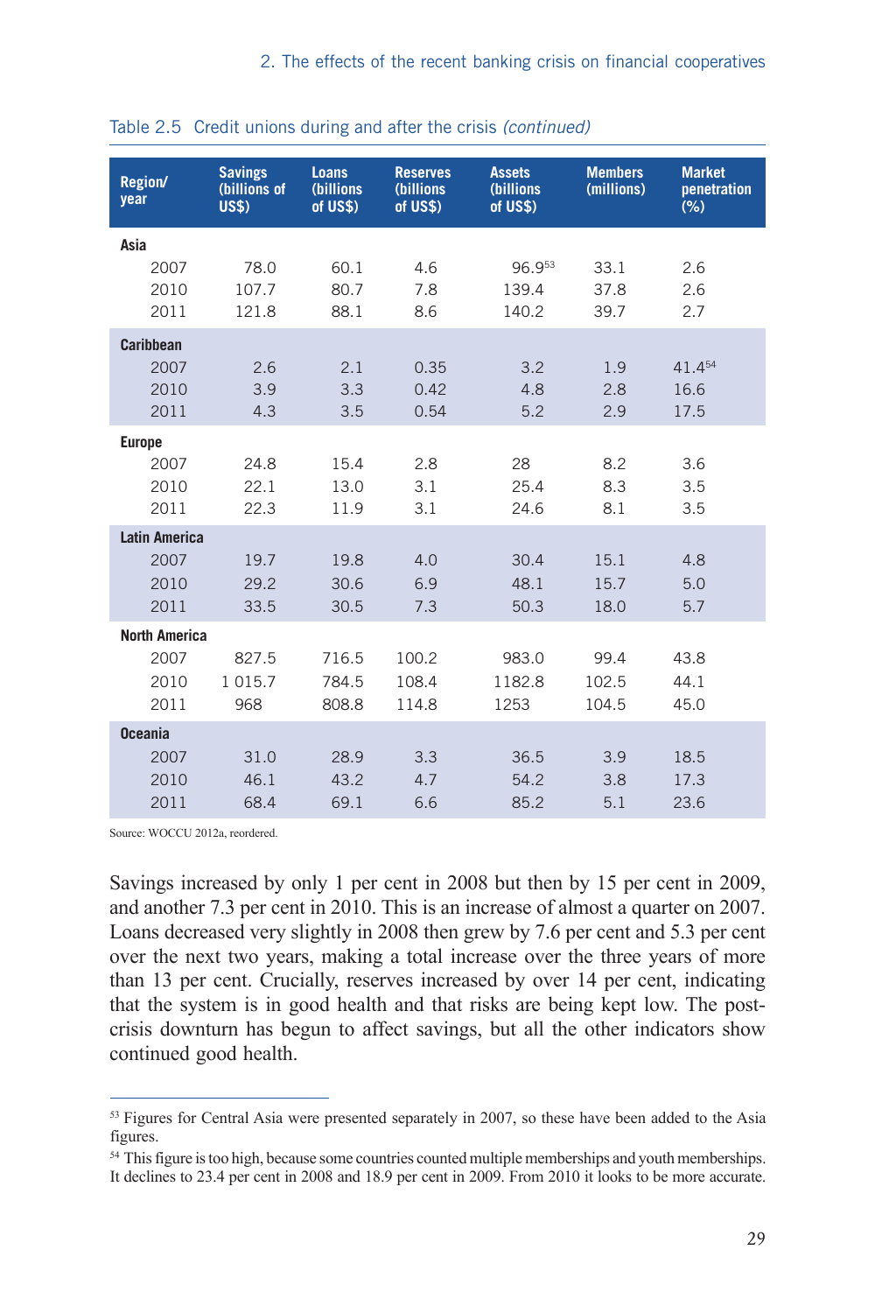| Region/<br>year                       | <b>Savings</b><br>(billions of<br><b>US\$)</b> | <b>Loans</b><br>(billions)<br>of US\$) | <b>Reserves</b><br>(billions)<br>of US\$) | <b>Assets</b><br>(billions)<br>of US\$) | <b>Members</b><br>(millions) | <b>Market</b><br>penetration<br>(%) |
|---------------------------------------|------------------------------------------------|----------------------------------------|-------------------------------------------|-----------------------------------------|------------------------------|-------------------------------------|
| Asia<br>2007                          | 78.0                                           | 60.1                                   | 4.6                                       | 96.953                                  | 33.1                         | 2.6                                 |
| 2010<br>2011                          | 107.7<br>121.8                                 | 80.7<br>88.1                           | 7.8<br>8.6                                | 139.4<br>140.2                          | 37.8<br>39.7                 | 2.6<br>2.7                          |
| Caribbean<br>2007<br>2010<br>2011     | 2.6<br>3.9<br>4.3                              | 2.1<br>3.3<br>3.5                      | 0.35<br>0.42<br>0.54                      | 3.2<br>4.8<br>5.2                       | 1.9<br>2.8<br>2.9            | 41.454<br>16.6<br>17.5              |
| <b>Europe</b><br>2007<br>2010<br>2011 | 24.8<br>22.1<br>22.3                           | 15.4<br>13.0<br>11.9                   | 2.8<br>3.1<br>3.1                         | 28<br>25.4<br>24.6                      | 8.2<br>8.3<br>8.1            | 3.6<br>3.5<br>3.5                   |
| <b>Latin America</b>                  |                                                |                                        |                                           |                                         |                              |                                     |
| 2007<br>2010<br>2011                  | 19.7<br>29.2<br>33.5                           | 19.8<br>30.6<br>30.5                   | 4.0<br>6.9<br>7.3                         | 30.4<br>48.1<br>50.3                    | 15.1<br>15.7<br>18.0         | 4.8<br>5.0<br>5.7                   |
| <b>North America</b>                  |                                                |                                        |                                           |                                         |                              |                                     |
| 2007<br>2010<br>2011                  | 827.5<br>1 0 1 5 . 7<br>968                    | 716.5<br>784.5<br>808.8                | 100.2<br>108.4<br>114.8                   | 983.0<br>1182.8<br>1253                 | 99.4<br>102.5<br>104.5       | 43.8<br>44.1<br>45.0                |
| <b>Oceania</b>                        |                                                |                                        |                                           |                                         |                              |                                     |
| 2007<br>2010<br>2011                  | 31.0<br>46.1<br>68.4                           | 28.9<br>43.2<br>69.1                   | 3.3<br>4.7<br>6.6                         | 36.5<br>54.2<br>85.2                    | 3.9<br>3.8<br>5.1            | 18.5<br>17.3<br>23.6                |

#### Table 2.5 Credit unions during and after the crisis *(continued)*

Source: WOCCU 2012a, reordered.

Savings increased by only 1 per cent in 2008 but then by 15 per cent in 2009, and another 7.3 per cent in 2010. This is an increase of almost a quarter on 2007. Loans decreased very slightly in 2008 then grew by 7.6 per cent and 5.3 per cent over the next two years, making a total increase over the three years of more than 13 per cent. Crucially, reserves increased by over 14 per cent, indicating that the system is in good health and that risks are being kept low. The postcrisis downturn has begun to affect savings, but all the other indicators show continued good health.

<sup>&</sup>lt;sup>53</sup> Figures for Central Asia were presented separately in 2007, so these have been added to the Asia figures.

<sup>&</sup>lt;sup>54</sup> This figure is too high, because some countries counted multiple memberships and youth memberships. It declines to 23.4 per cent in 2008 and 18.9 per cent in 2009. From 2010 it looks to be more accurate.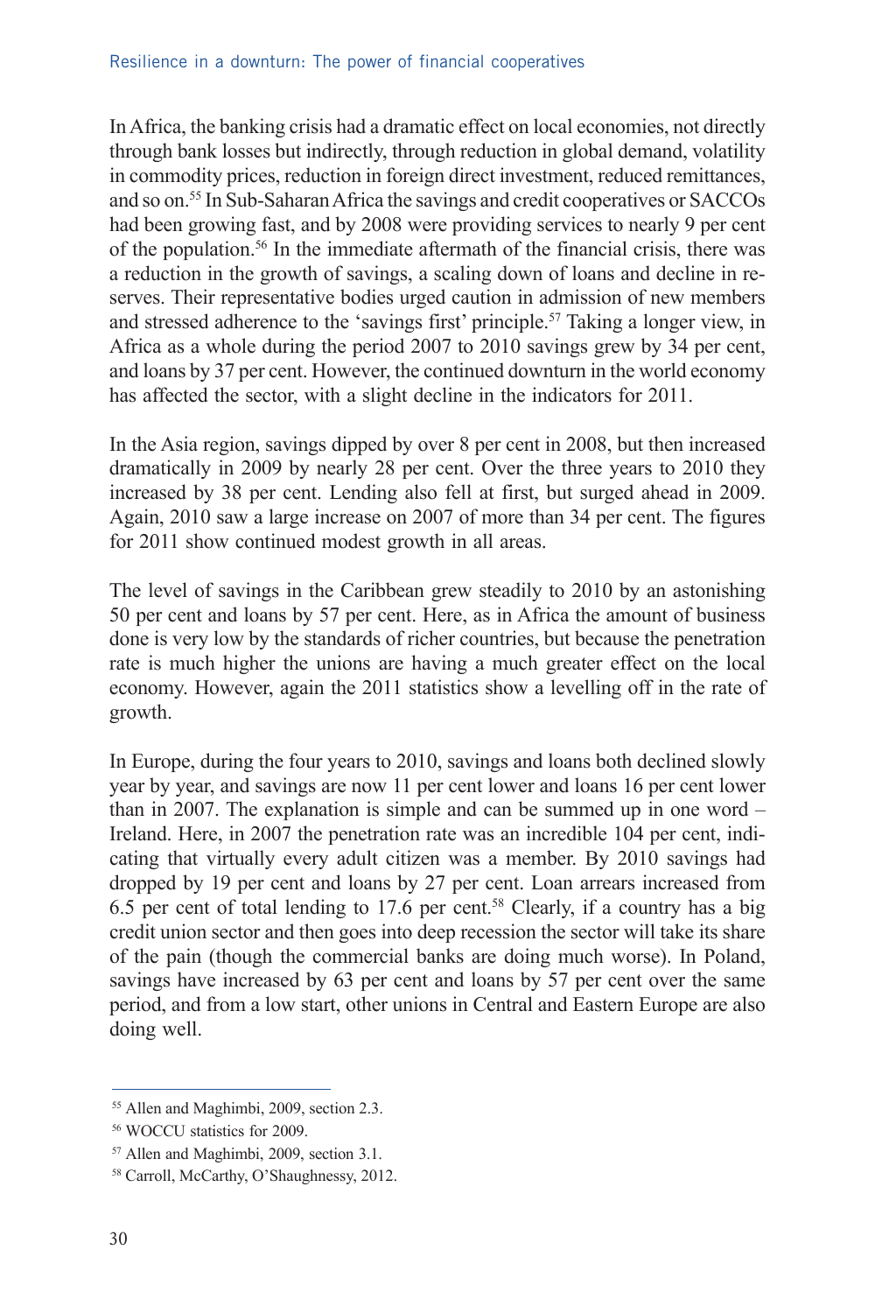InAfrica, the banking crisis had a dramatic effect on local economies, not directly through bank losses but indirectly, through reduction in global demand, volatility in commodity prices, reduction in foreign direct investment, reduced remittances, and so on. <sup>55</sup> In Sub-SaharanAfrica the savings and credit cooperatives or SACCOs had been growing fast, and by 2008 were providing services to nearly 9 per cent of the population. <sup>56</sup> In the immediate aftermath of the financial crisis, there was a reduction in the growth of savings, a scaling down of loans and decline in reserves. Their representative bodies urged caution in admission of new members and stressed adherence to the 'savings first' principle. <sup>57</sup> Taking a longer view, in Africa as a whole during the period 2007 to 2010 savings grew by 34 per cent, and loans by 37 per cent. However, the continued downturn in the world economy has affected the sector, with a slight decline in the indicators for 2011.

In the Asia region, savings dipped by over 8 per cent in 2008, but then increased dramatically in 2009 by nearly 28 per cent. Over the three years to 2010 they increased by 38 per cent. Lending also fell at first, but surged ahead in 2009. Again, 2010 saw a large increase on 2007 of more than 34 per cent. The figures for 2011 show continued modest growth in all areas.

The level of savings in the Caribbean grew steadily to 2010 by an astonishing 50 per cent and loans by 57 per cent. Here, as in Africa the amount of business done is very low by the standards of richer countries, but because the penetration rate is much higher the unions are having a much greater effect on the local economy. However, again the 2011 statistics show a levelling off in the rate of growth.

In Europe, during the four years to 2010, savings and loans both declined slowly year by year, and savings are now 11 per cent lower and loans 16 per cent lower than in 2007. The explanation is simple and can be summed up in one word – Ireland. Here, in 2007 the penetration rate was an incredible 104 per cent, indicating that virtually every adult citizen was a member. By 2010 savings had dropped by 19 per cent and loans by 27 per cent. Loan arrears increased from 6.5 per cent of total lending to 17.6 per cent. <sup>58</sup> Clearly, if a country has a big credit union sector and then goes into deep recession the sector will take its share of the pain (though the commercial banks are doing much worse). In Poland, savings have increased by 63 per cent and loans by 57 per cent over the same period, and from a low start, other unions in Central and Eastern Europe are also doing well.

<sup>55</sup> Allen and Maghimbi, 2009, section 2.3.

<sup>56</sup> WOCCU statistics for 2009.

<sup>57</sup> Allen and Maghimbi, 2009, section 3.1.

<sup>58</sup> Carroll, McCarthy, O'Shaughnessy, 2012.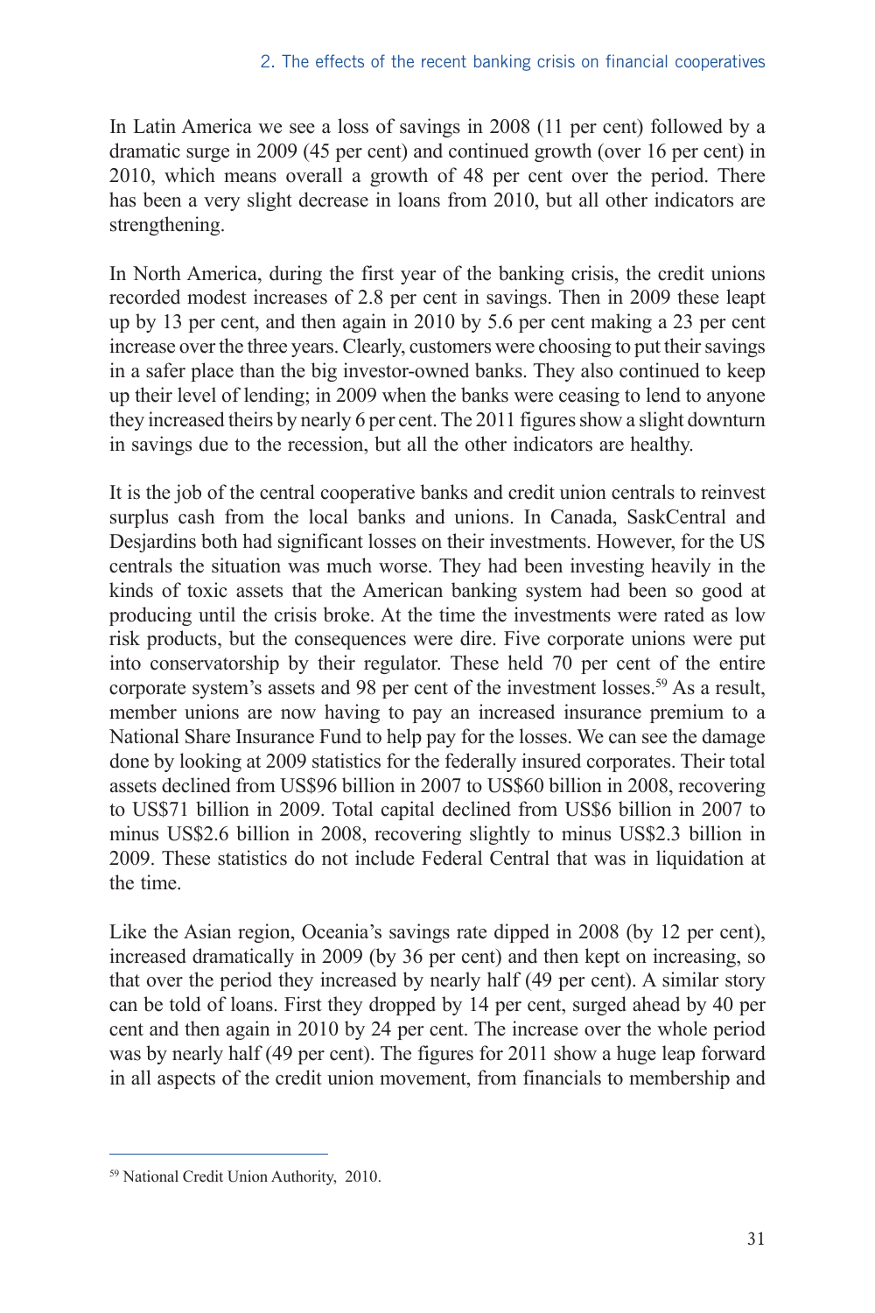In Latin America we see a loss of savings in 2008 (11 per cent) followed by a dramatic surge in 2009 (45 per cent) and continued growth (over 16 per cent) in 2010, which means overall a growth of 48 per cent over the period. There has been a very slight decrease in loans from 2010, but all other indicators are strengthening.

In North America, during the first year of the banking crisis, the credit unions recorded modest increases of 2.8 per cent in savings. Then in 2009 these leapt up by 13 per cent, and then again in 2010 by 5.6 per cent making a 23 per cent increase over the three years. Clearly, customers were choosing to put their savings in a safer place than the big investor-owned banks. They also continued to keep up their level of lending; in 2009 when the banks were ceasing to lend to anyone they increased theirs by nearly 6 per cent. The 2011 figures show a slight downturn in savings due to the recession, but all the other indicators are healthy.

It is the job of the central cooperative banks and credit union centrals to reinvest surplus cash from the local banks and unions. In Canada, SaskCentral and Desjardins both had significant losses on their investments. However, for the US centrals the situation was much worse. They had been investing heavily in the kinds of toxic assets that the American banking system had been so good at producing until the crisis broke. At the time the investments were rated as low risk products, but the consequences were dire. Five corporate unions were put into conservatorship by their regulator. These held 70 per cent of the entire corporate system's assets and 98 per cent of the investment losses. <sup>59</sup> As a result, member unions are now having to pay an increased insurance premium to a National Share Insurance Fund to help pay for the losses. We can see the damage done by looking at 2009 statistics for the federally insured corporates. Their total assets declined from US\$96 billion in 2007 to US\$60 billion in 2008, recovering to US\$71 billion in 2009. Total capital declined from US\$6 billion in 2007 to minus US\$2.6 billion in 2008, recovering slightly to minus US\$2.3 billion in 2009. These statistics do not include Federal Central that was in liquidation at the time.

Like the Asian region, Oceania's savings rate dipped in 2008 (by 12 per cent), increased dramatically in 2009 (by 36 per cent) and then kept on increasing, so that over the period they increased by nearly half (49 per cent). A similar story can be told of loans. First they dropped by 14 per cent, surged ahead by 40 per cent and then again in 2010 by 24 per cent. The increase over the whole period was by nearly half (49 per cent). The figures for 2011 show a huge leap forward in all aspects of the credit union movement, from financials to membership and

<sup>59</sup> National Credit Union Authority, 2010.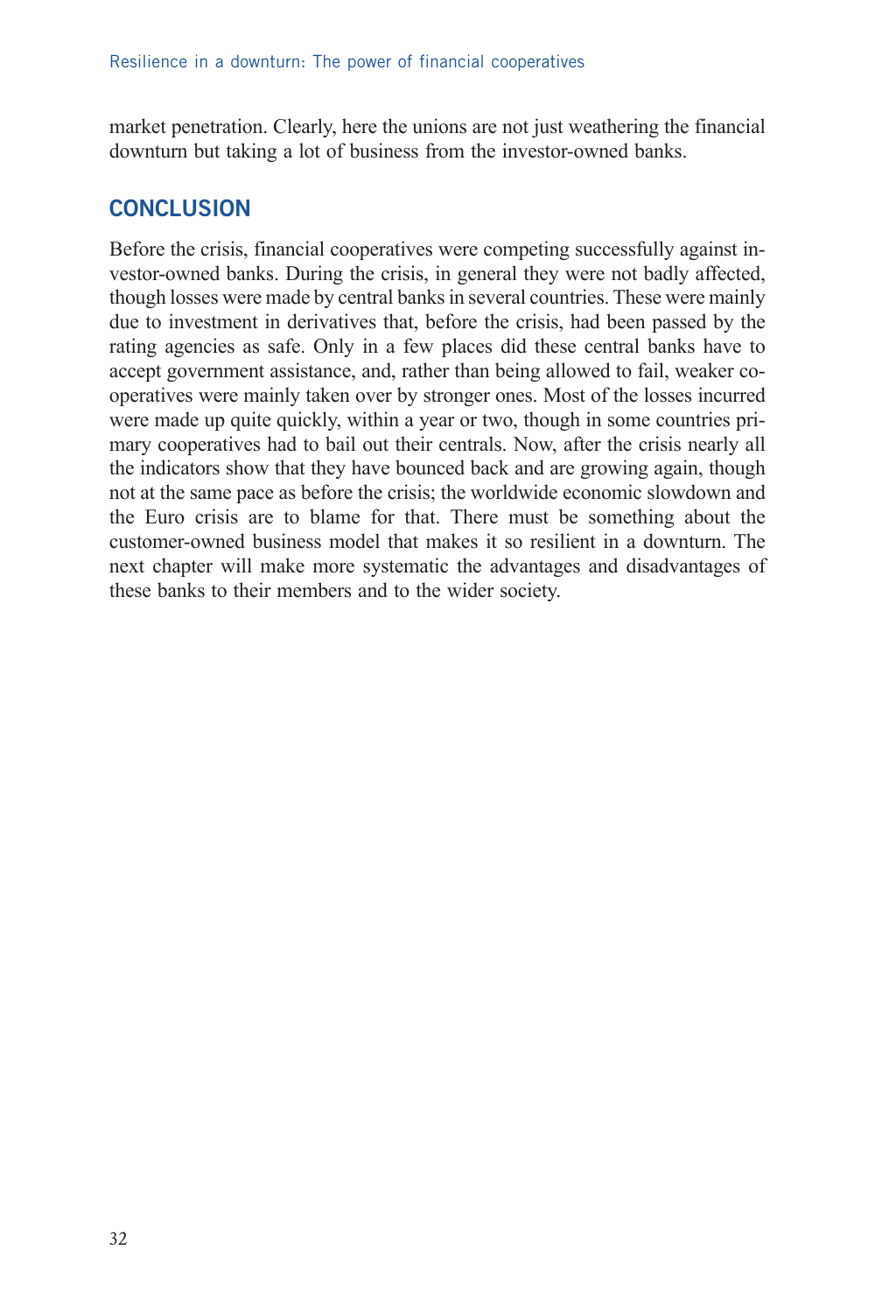market penetration. Clearly, here the unions are not just weathering the financial downturn but taking a lot of business from the investor-owned banks.

#### **CONCLUSION**

Before the crisis, financial cooperatives were competing successfully against investor-owned banks. During the crisis, in general they were not badly affected, though losses were made by central banks in several countries. These were mainly due to investment in derivatives that, before the crisis, had been passed by the rating agencies as safe. Only in a few places did these central banks have to accept government assistance, and, rather than being allowed to fail, weaker cooperatives were mainly taken over by stronger ones. Most of the losses incurred were made up quite quickly, within a year or two, though in some countries primary cooperatives had to bail out their centrals. Now, after the crisis nearly all the indicators show that they have bounced back and are growing again, though not at the same pace as before the crisis; the worldwide economic slowdown and the Euro crisis are to blame for that. There must be something about the customer-owned business model that makes it so resilient in a downturn. The next chapter will make more systematic the advantages and disadvantages of these banks to their members and to the wider society.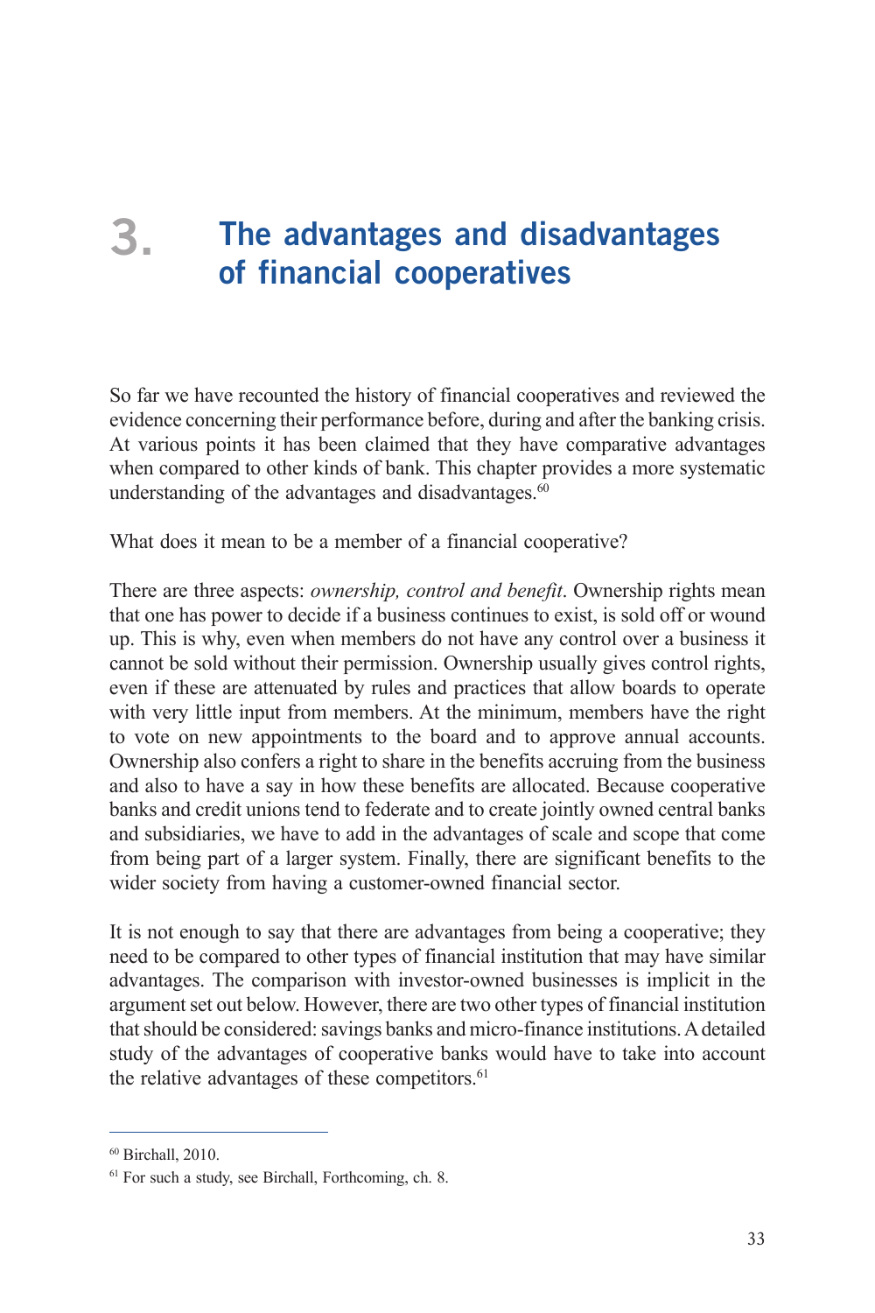# **3. The advantages and disadvantages of financial cooperatives**

So far we have recounted the history of financial cooperatives and reviewed the evidence concerning their performance before, during and after the banking crisis. At various points it has been claimed that they have comparative advantages when compared to other kinds of bank. This chapter provides a more systematic understanding of the advantages and disadvantages.<sup>60</sup>

What does it mean to be a member of a financial cooperative?

There are three aspects: *ownership, control and benefit*. Ownership rights mean that one has power to decide if a business continues to exist, is sold off or wound up. This is why, even when members do not have any control over a business it cannot be sold without their permission. Ownership usually gives control rights, even if these are attenuated by rules and practices that allow boards to operate with very little input from members. At the minimum, members have the right to vote on new appointments to the board and to approve annual accounts. Ownership also confers a right to share in the benefits accruing from the business and also to have a say in how these benefits are allocated. Because cooperative banks and credit unions tend to federate and to create jointly owned central banks and subsidiaries, we have to add in the advantages of scale and scope that come from being part of a larger system. Finally, there are significant benefits to the wider society from having a customer-owned financial sector.

It is not enough to say that there are advantages from being a cooperative; they need to be compared to other types of financial institution that may have similar advantages. The comparison with investor-owned businesses is implicit in the argument set out below. However, there are two other types of financial institution that should be considered: savings banks and micro-finance institutions. A detailed study of the advantages of cooperative banks would have to take into account the relative advantages of these competitors.<sup>61</sup>

<sup>60</sup> Birchall, 2010.

<sup>61</sup> For such a study, see Birchall, Forthcoming, ch. 8.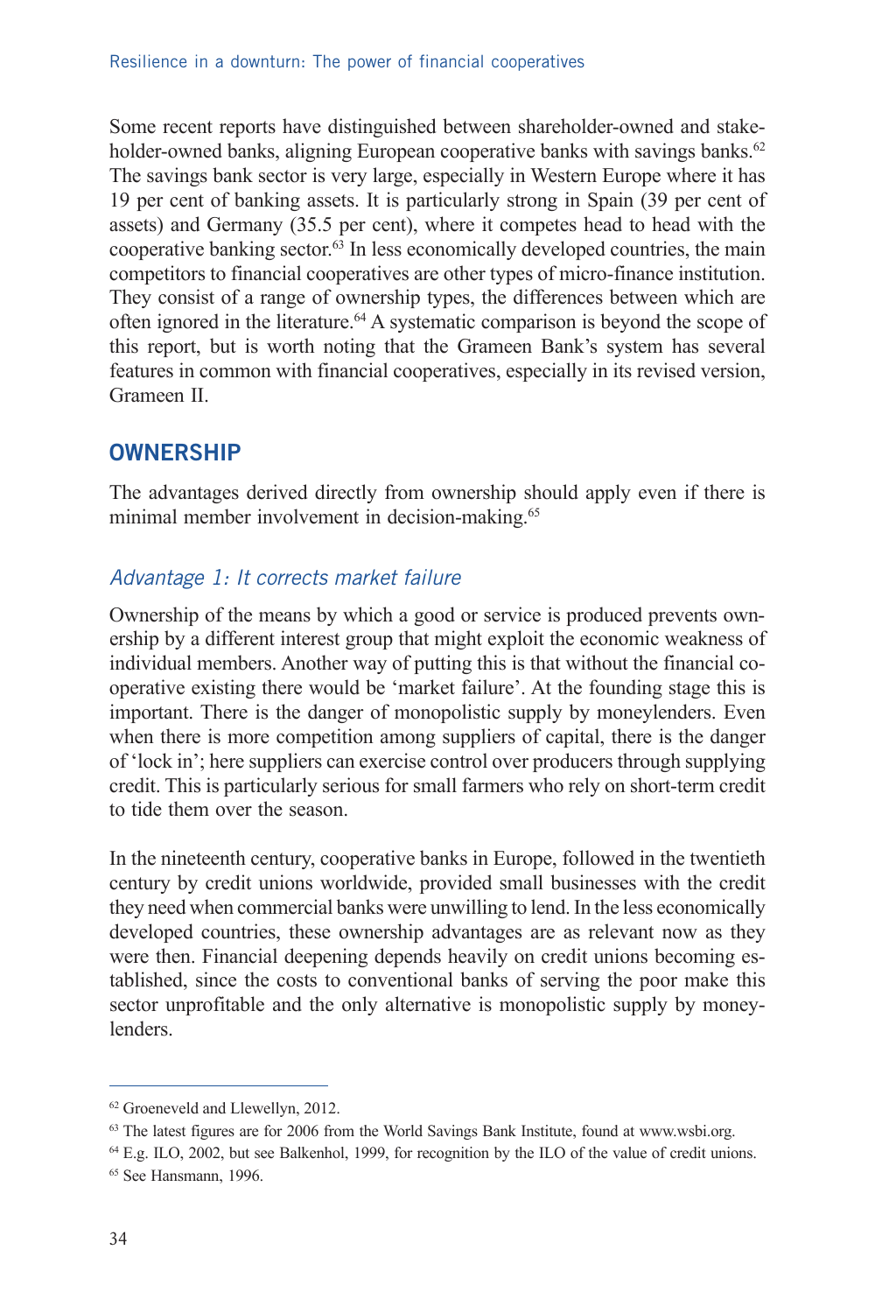Some recent reports have distinguished between shareholder-owned and stakeholder-owned banks, aligning European cooperative banks with savings banks.<sup>62</sup> The savings bank sector is very large, especially in Western Europe where it has 19 per cent of banking assets. It is particularly strong in Spain (39 per cent of assets) and Germany (35.5 per cent), where it competes head to head with the cooperative banking sector. <sup>63</sup> In less economically developed countries, the main competitors to financial cooperatives are other types of micro-finance institution. They consist of a range of ownership types, the differences between which are often ignored in the literature. <sup>64</sup> A systematic comparison is beyond the scope of this report, but is worth noting that the Grameen Bank's system has several features in common with financial cooperatives, especially in its revised version, Grameen II.

#### **OWNERSHIP**

The advantages derived directly from ownership should apply even if there is minimal member involvement in decision-making. 65

#### *Advantage 1: It corrects market failure*

Ownership of the means by which a good or service is produced prevents ownership by a different interest group that might exploit the economic weakness of individual members. Another way of putting this is that without the financial cooperative existing there would be 'market failure'. At the founding stage this is important. There is the danger of monopolistic supply by moneylenders. Even when there is more competition among suppliers of capital, there is the danger of 'lock in'; here suppliers can exercise control over producers through supplying credit. This is particularly serious for small farmers who rely on short-term credit to tide them over the season.

In the nineteenth century, cooperative banks in Europe, followed in the twentieth century by credit unions worldwide, provided small businesses with the credit they need when commercial banks were unwilling to lend. In the less economically developed countries, these ownership advantages are as relevant now as they were then. Financial deepening depends heavily on credit unions becoming established, since the costs to conventional banks of serving the poor make this sector unprofitable and the only alternative is monopolistic supply by moneylenders.

<sup>62</sup> Groeneveld and Llewellyn, 2012.

<sup>&</sup>lt;sup>63</sup> The latest figures are for 2006 from the World Savings Bank Institute, found at www.wsbi.org.

<sup>64</sup> E.g. ILO, 2002, but see Balkenhol, 1999, for recognition by the ILO of the value of credit unions.

<sup>65</sup> See Hansmann, 1996.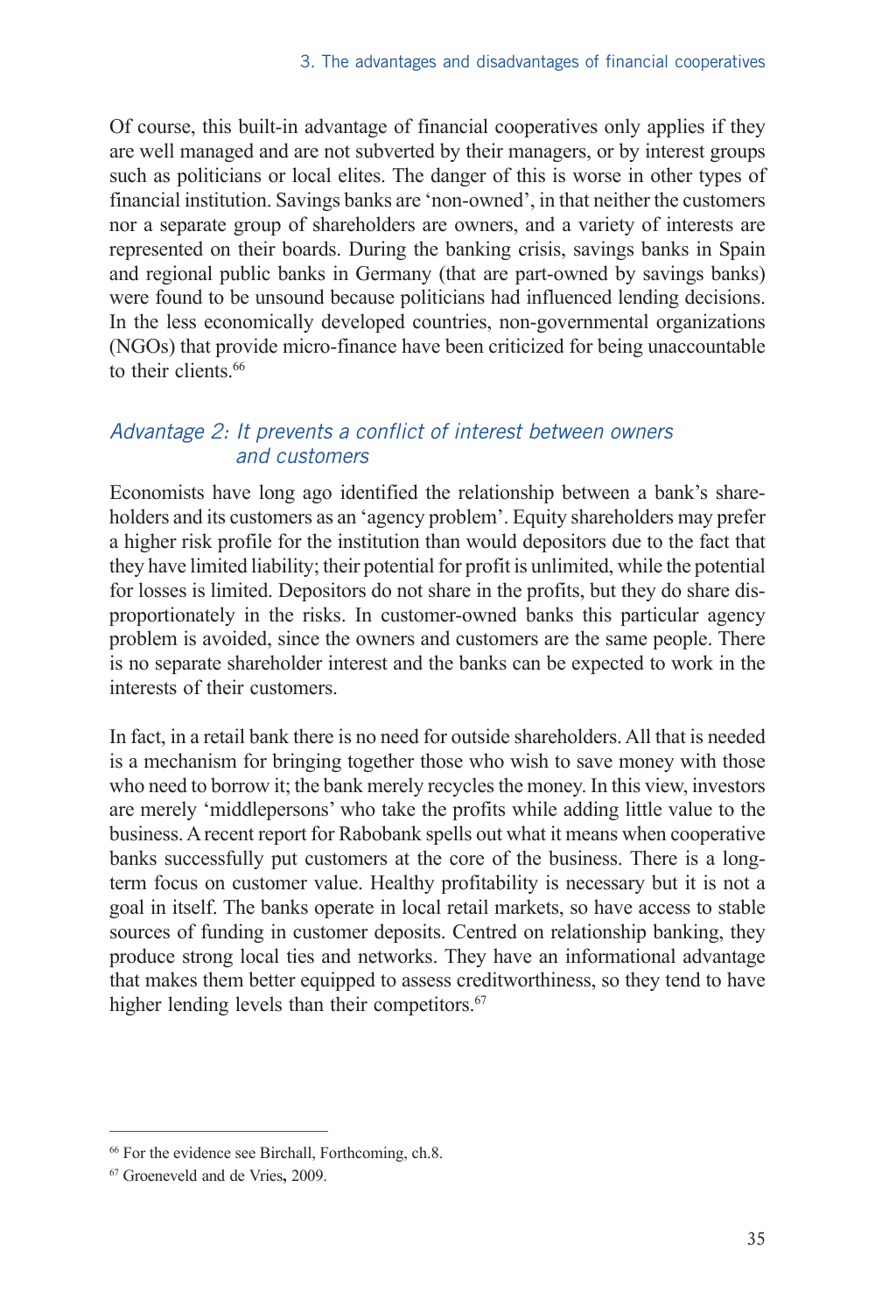Of course, this built-in advantage of financial cooperatives only applies if they are well managed and are not subverted by their managers, or by interest groups such as politicians or local elites. The danger of this is worse in other types of financial institution. Savings banks are 'non-owned', in that neither the customers nor a separate group of shareholders are owners, and a variety of interests are represented on their boards. During the banking crisis, savings banks in Spain and regional public banks in Germany (that are part-owned by savings banks) were found to be unsound because politicians had influenced lending decisions. In the less economically developed countries, non-governmental organizations (NGOs) that provide micro-finance have been criticized for being unaccountable to their clients. 66

#### *Advantage 2: It prevents a conflict of interest between owners and customers*

Economists have long ago identified the relationship between a bank's shareholders and its customers as an 'agency problem'. Equity shareholders may prefer a higher risk profile for the institution than would depositors due to the fact that they have limited liability; their potential for profit is unlimited, while the potential for losses is limited. Depositors do not share in the profits, but they do share disproportionately in the risks. In customer-owned banks this particular agency problem is avoided, since the owners and customers are the same people. There is no separate shareholder interest and the banks can be expected to work in the interests of their customers.

In fact, in a retail bank there is no need for outside shareholders.All that is needed is a mechanism for bringing together those who wish to save money with those who need to borrow it; the bank merely recycles the money. In this view, investors are merely 'middlepersons' who take the profits while adding little value to the business.Arecent report for Rabobank spells out what it means when cooperative banks successfully put customers at the core of the business. There is a longterm focus on customer value. Healthy profitability is necessary but it is not a goal in itself. The banks operate in local retail markets, so have access to stable sources of funding in customer deposits. Centred on relationship banking, they produce strong local ties and networks. They have an informational advantage that makes them better equipped to assess creditworthiness, so they tend to have higher lending levels than their competitors.<sup>67</sup>

<sup>66</sup> For the evidence see Birchall, Forthcoming, ch.8.

<sup>67</sup> Groeneveld and de Vries**,** 2009.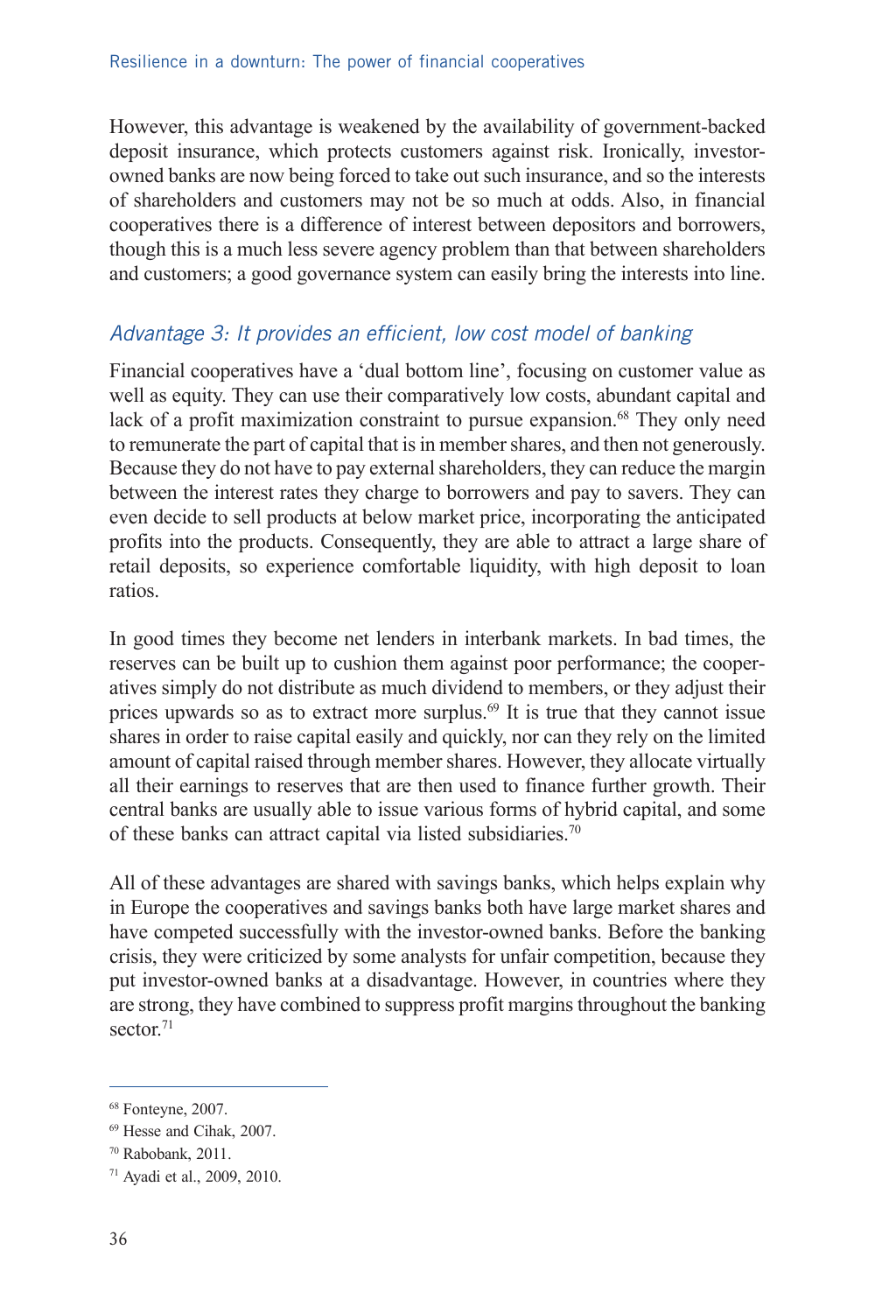However, this advantage is weakened by the availability of government-backed deposit insurance, which protects customers against risk. Ironically, investorowned banks are now being forced to take out such insurance, and so the interests of shareholders and customers may not be so much at odds. Also, in financial cooperatives there is a difference of interest between depositors and borrowers, though this is a much less severe agency problem than that between shareholders and customers; a good governance system can easily bring the interests into line.

#### *Advantage 3: It provides an efficient, low cost model of banking*

Financial cooperatives have a 'dual bottom line', focusing on customer value as well as equity. They can use their comparatively low costs, abundant capital and lack of a profit maximization constraint to pursue expansion. <sup>68</sup> They only need to remunerate the part of capital that is in member shares, and then not generously. Because they do not have to pay external shareholders, they can reduce the margin between the interest rates they charge to borrowers and pay to savers. They can even decide to sell products at below market price, incorporating the anticipated profits into the products. Consequently, they are able to attract a large share of retail deposits, so experience comfortable liquidity, with high deposit to loan ratios.

In good times they become net lenders in interbank markets. In bad times, the reserves can be built up to cushion them against poor performance; the cooperatives simply do not distribute as much dividend to members, or they adjust their prices upwards so as to extract more surplus. <sup>69</sup> It is true that they cannot issue shares in order to raise capital easily and quickly, nor can they rely on the limited amount of capital raised through member shares. However, they allocate virtually all their earnings to reserves that are then used to finance further growth. Their central banks are usually able to issue various forms of hybrid capital, and some of these banks can attract capital via listed subsidiaries.<sup>70</sup>

All of these advantages are shared with savings banks, which helps explain why in Europe the cooperatives and savings banks both have large market shares and have competed successfully with the investor-owned banks. Before the banking crisis, they were criticized by some analysts for unfair competition, because they put investor-owned banks at a disadvantage. However, in countries where they are strong, they have combined to suppress profit marginsthroughout the banking sector. 71

<sup>68</sup> Fonteyne, 2007.

<sup>69</sup> Hesse and Cihak, 2007.

<sup>70</sup> Rabobank, 2011.

<sup>71</sup> Ayadi et al., 2009, 2010.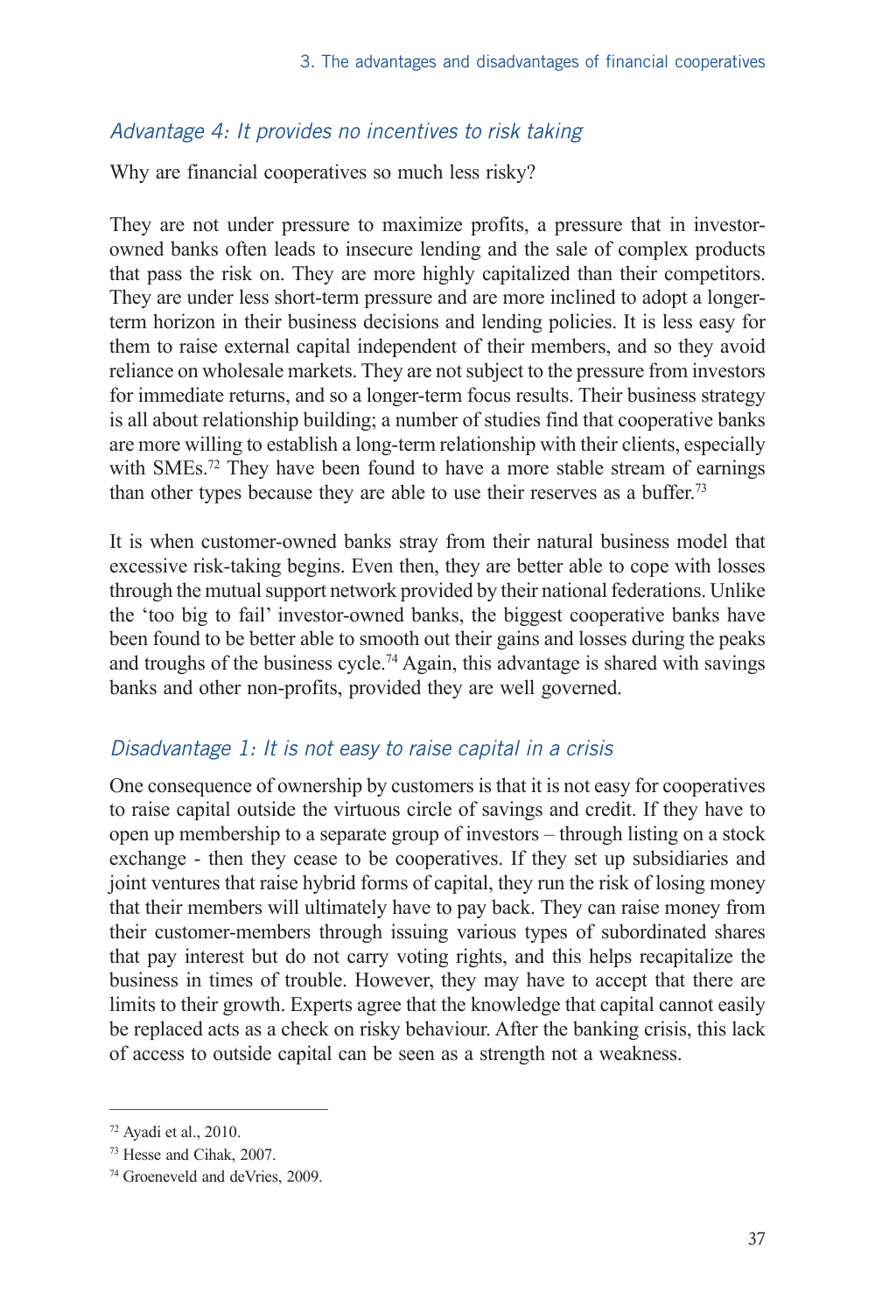#### *Advantage 4: It provides no incentives to risk taking*

Why are financial cooperatives so much less risky?

They are not under pressure to maximize profits, a pressure that in investorowned banks often leads to insecure lending and the sale of complex products that pass the risk on. They are more highly capitalized than their competitors. They are under less short-term pressure and are more inclined to adopt a longerterm horizon in their business decisions and lending policies. It is less easy for them to raise external capital independent of their members, and so they avoid reliance on wholesale markets. They are not subject to the pressure from investors for immediate returns, and so a longer-term focus results. Their business strategy is all about relationship building; a number of studies find that cooperative banks are more willing to establish a long-term relationship with their clients, especially with SMEs.<sup>72</sup> They have been found to have a more stable stream of earnings than other types because they are able to use their reserves as a buffer.<sup>73</sup>

It is when customer-owned banks stray from their natural business model that excessive risk-taking begins. Even then, they are better able to cope with losses through the mutual support network provided by their national federations. Unlike the 'too big to fail' investor-owned banks, the biggest cooperative banks have been found to be better able to smooth out their gains and losses during the peaks and troughs of the business cycle. <sup>74</sup> Again, this advantage is shared with savings banks and other non-profits, provided they are well governed.

#### *Disadvantage 1: It is not easy to raise capital in a crisis*

One consequence of ownership by customers is that it is not easy for cooperatives to raise capital outside the virtuous circle of savings and credit. If they have to open up membership to a separate group of investors – through listing on a stock exchange - then they cease to be cooperatives. If they set up subsidiaries and joint ventures that raise hybrid forms of capital, they run the risk of losing money that their members will ultimately have to pay back. They can raise money from their customer-members through issuing various types of subordinated shares that pay interest but do not carry voting rights, and this helps recapitalize the business in times of trouble. However, they may have to accept that there are limits to their growth. Experts agree that the knowledge that capital cannot easily be replaced acts as a check on risky behaviour. After the banking crisis, this lack of access to outside capital can be seen as a strength not a weakness.

<sup>72</sup> Ayadi et al., 2010.

<sup>73</sup> Hesse and Cihak, 2007.

<sup>74</sup> Groeneveld and deVries, 2009.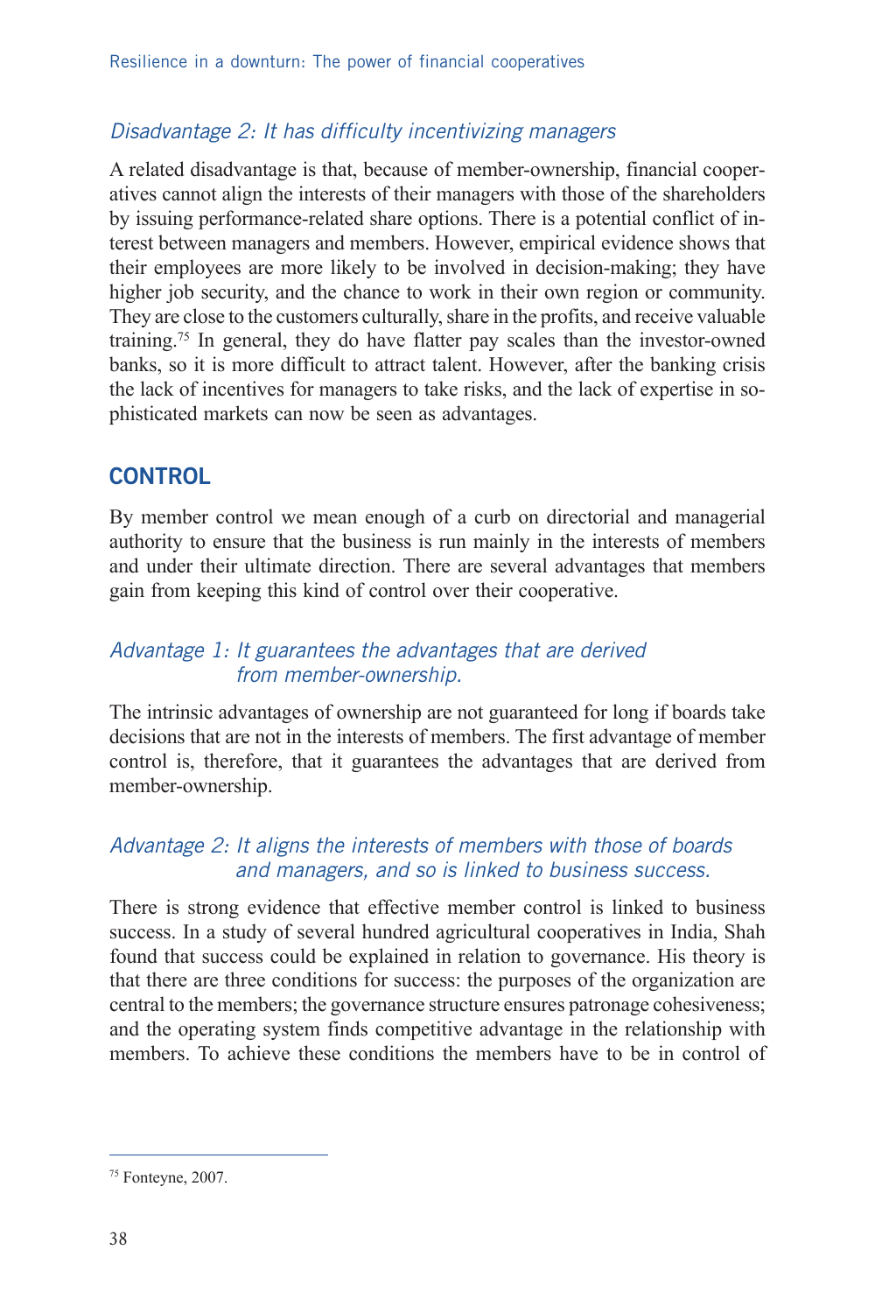#### *Disadvantage 2: It has difficulty incentivizing managers*

A related disadvantage is that, because of member-ownership, financial cooperatives cannot align the interests of their managers with those of the shareholders by issuing performance-related share options. There is a potential conflict of interest between managers and members. However, empirical evidence shows that their employees are more likely to be involved in decision-making; they have higher job security, and the chance to work in their own region or community. They are close to the customers culturally, share in the profits, and receive valuable training. <sup>75</sup> In general, they do have flatter pay scales than the investor-owned banks, so it is more difficult to attract talent. However, after the banking crisis the lack of incentives for managers to take risks, and the lack of expertise in sophisticated markets can now be seen as advantages.

#### **CONTROL**

By member control we mean enough of a curb on directorial and managerial authority to ensure that the business is run mainly in the interests of members and under their ultimate direction. There are several advantages that members gain from keeping this kind of control over their cooperative.

#### *Advantage 1: It guarantees the advantages that are derived from member-ownership.*

The intrinsic advantages of ownership are not guaranteed for long if boards take decisions that are not in the interests of members. The first advantage of member control is, therefore, that it guarantees the advantages that are derived from member-ownership.

#### *Advantage 2: It aligns the interests of members with those of boards and managers, and so is linked to business success.*

There is strong evidence that effective member control is linked to business success. In a study of several hundred agricultural cooperatives in India, Shah found that success could be explained in relation to governance. His theory is that there are three conditions for success: the purposes of the organization are central to the members; the governance structure ensures patronage cohesiveness; and the operating system finds competitive advantage in the relationship with members. To achieve these conditions the members have to be in control of

<sup>75</sup> Fonteyne, 2007.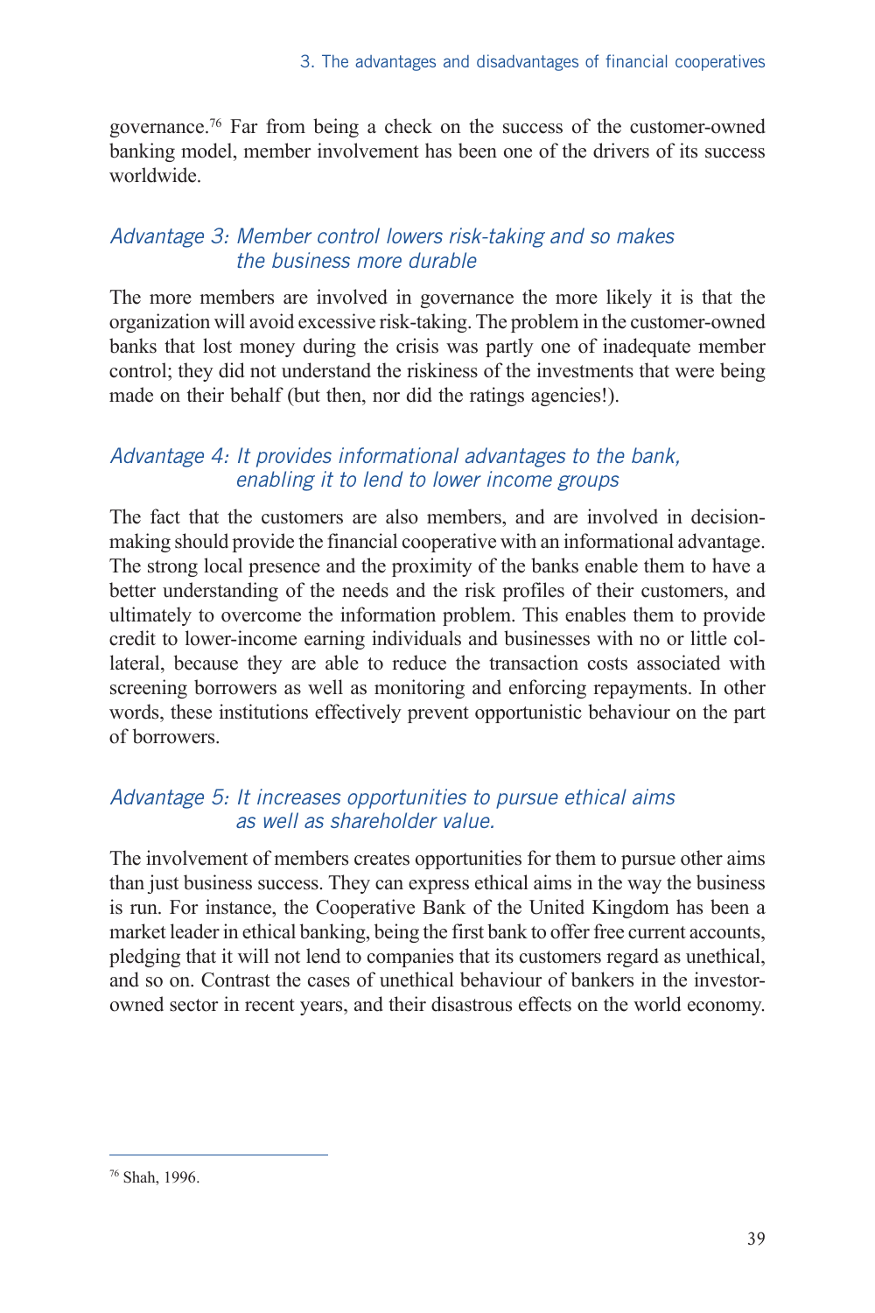governance. <sup>76</sup> Far from being a check on the success of the customer-owned banking model, member involvement has been one of the drivers of its success worldwide.

#### *Advantage 3: Member control lowers risk-taking and so makes the business more durable*

The more members are involved in governance the more likely it is that the organization will avoid excessive risk-taking.The problem in the customer-owned banks that lost money during the crisis was partly one of inadequate member control; they did not understand the riskiness of the investments that were being made on their behalf (but then, nor did the ratings agencies!).

#### *Advantage 4: It provides informational advantages to the bank, enabling it to lend to lower income groups*

The fact that the customers are also members, and are involved in decisionmaking should provide the financial cooperative with an informational advantage. The strong local presence and the proximity of the banks enable them to have a better understanding of the needs and the risk profiles of their customers, and ultimately to overcome the information problem. This enables them to provide credit to lower-income earning individuals and businesses with no or little collateral, because they are able to reduce the transaction costs associated with screening borrowers as well as monitoring and enforcing repayments. In other words, these institutions effectively prevent opportunistic behaviour on the part of borrowers.

#### *Advantage 5: It increases opportunities to pursue ethical aims as well as shareholder value.*

The involvement of members creates opportunities for them to pursue other aims than just business success. They can express ethical aims in the way the business is run. For instance, the Cooperative Bank of the United Kingdom has been a market leader in ethical banking, being the first bank to offer free current accounts, pledging that it will not lend to companies that its customers regard as unethical, and so on. Contrast the cases of unethical behaviour of bankers in the investorowned sector in recent years, and their disastrous effects on the world economy.

<sup>76</sup> Shah, 1996.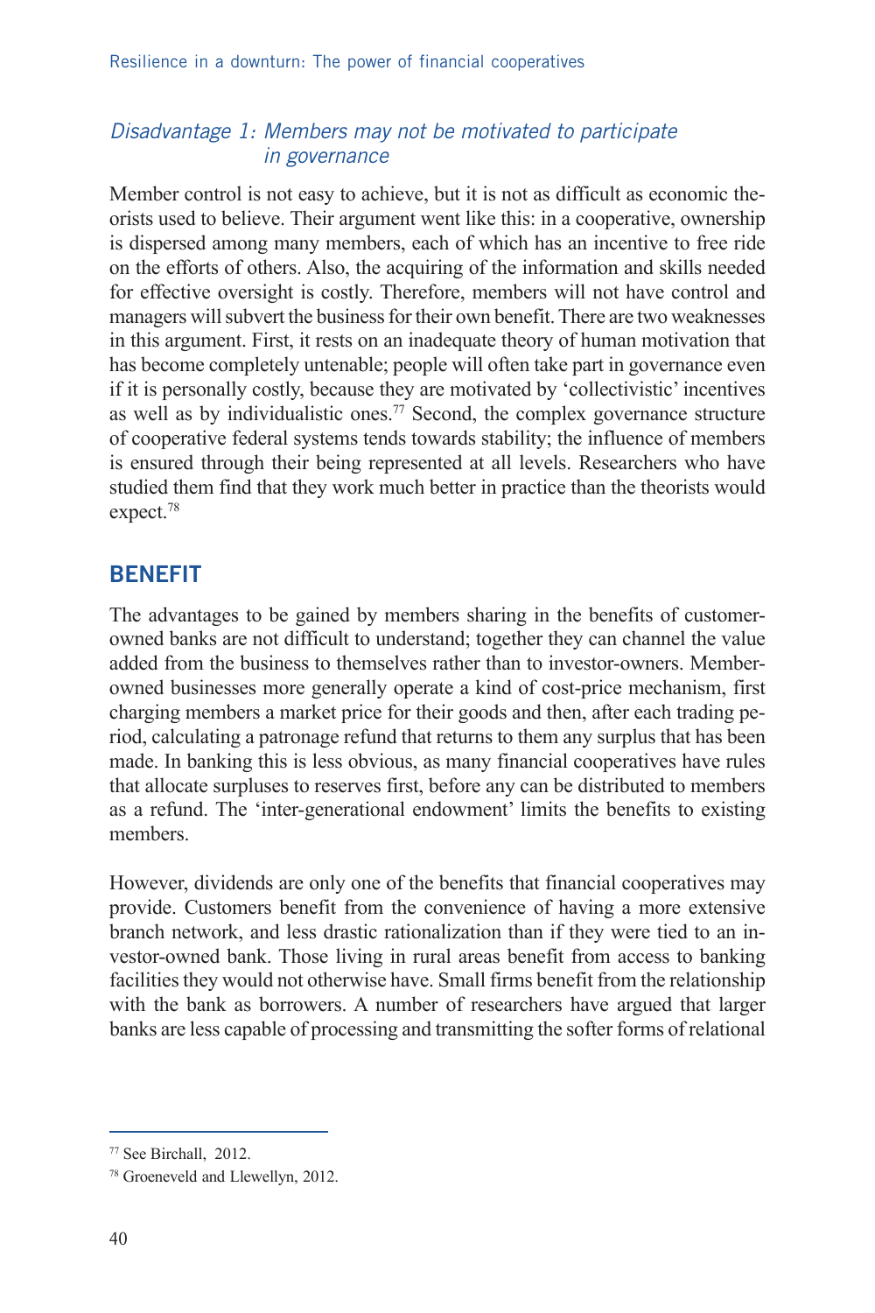#### *Disadvantage 1: Members may not be motivated to participate in governance*

Member control is not easy to achieve, but it is not as difficult as economic theorists used to believe. Their argument went like this: in a cooperative, ownership is dispersed among many members, each of which has an incentive to free ride on the efforts of others. Also, the acquiring of the information and skills needed for effective oversight is costly. Therefore, members will not have control and managers will subvert the business for their own benefit. There are two weaknesses in this argument. First, it rests on an inadequate theory of human motivation that has become completely untenable; people will often take part in governance even if it is personally costly, because they are motivated by 'collectivistic' incentives as well as by individualistic ones. <sup>77</sup> Second, the complex governance structure of cooperative federal systems tends towards stability; the influence of members is ensured through their being represented at all levels. Researchers who have studied them find that they work much better in practice than the theorists would expect. 78

#### **BENEFIT**

The advantages to be gained by members sharing in the benefits of customerowned banks are not difficult to understand; together they can channel the value added from the business to themselves rather than to investor-owners. Memberowned businesses more generally operate a kind of cost-price mechanism, first charging members a market price for their goods and then, after each trading period, calculating a patronage refund that returns to them any surplus that has been made. In banking this is less obvious, as many financial cooperatives have rules that allocate surpluses to reserves first, before any can be distributed to members as a refund. The 'inter-generational endowment' limits the benefits to existing members.

However, dividends are only one of the benefits that financial cooperatives may provide. Customers benefit from the convenience of having a more extensive branch network, and less drastic rationalization than if they were tied to an investor-owned bank. Those living in rural areas benefit from access to banking facilities they would not otherwise have. Small firms benefit from the relationship with the bank as borrowers. A number of researchers have argued that larger banks are less capable of processing and transmitting the softer forms of relational

<sup>77</sup> See Birchall, 2012.

<sup>78</sup> Groeneveld and Llewellyn, 2012.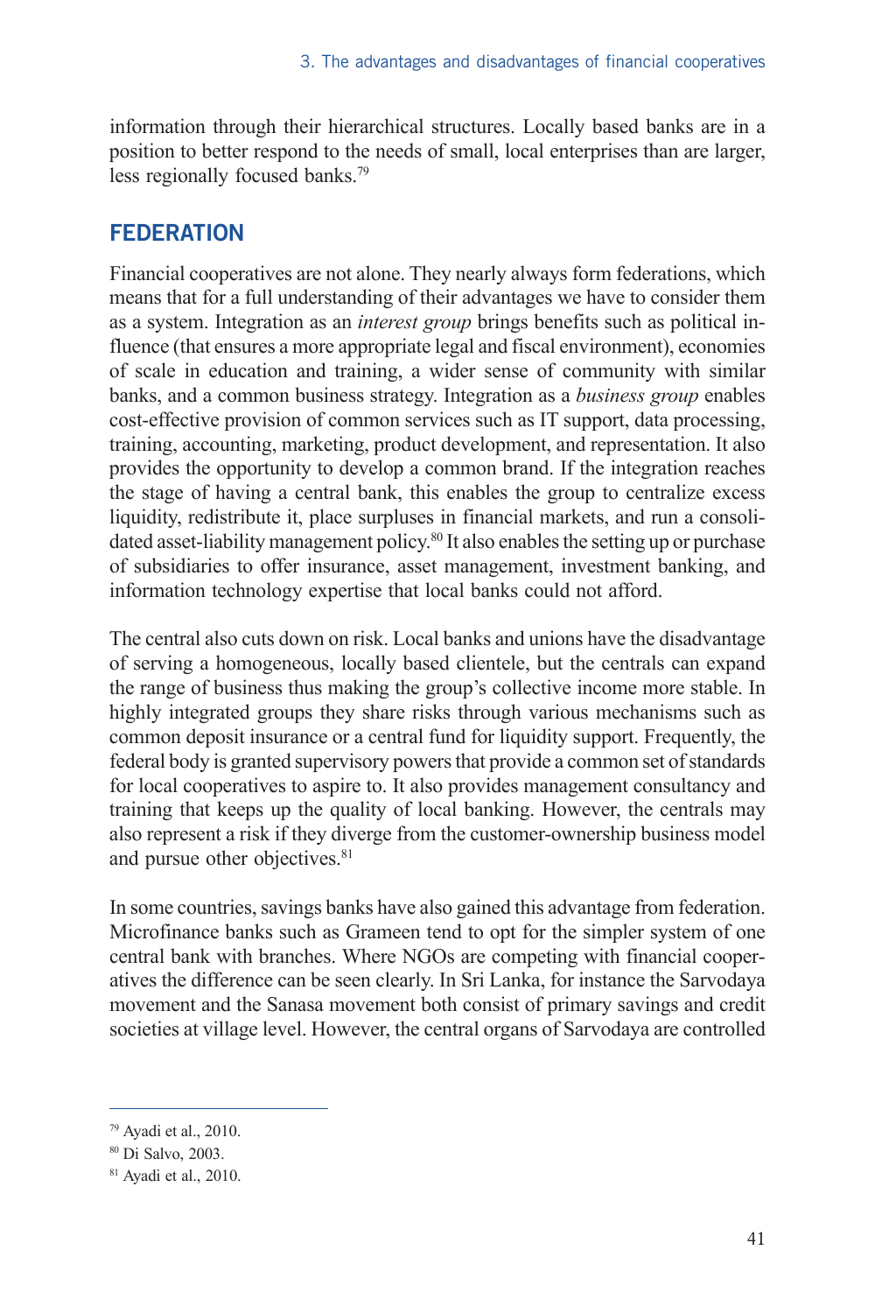information through their hierarchical structures. Locally based banks are in a position to better respond to the needs of small, local enterprises than are larger, less regionally focused banks. 79

#### **FEDERATION**

Financial cooperatives are not alone. They nearly always form federations, which means that for a full understanding of their advantages we have to consider them as a system. Integration as an *interest group* brings benefits such as political influence (that ensures a more appropriate legal and fiscal environment), economies of scale in education and training, a wider sense of community with similar banks, and a common business strategy. Integration as a *business group* enables cost-effective provision of common services such as IT support, data processing, training, accounting, marketing, product development, and representation. It also provides the opportunity to develop a common brand. If the integration reaches the stage of having a central bank, this enables the group to centralize excess liquidity, redistribute it, place surpluses in financial markets, and run a consolidated asset-liability management policy.<sup>80</sup> It also enables the setting up or purchase of subsidiaries to offer insurance, asset management, investment banking, and information technology expertise that local banks could not afford.

The central also cuts down on risk. Local banks and unions have the disadvantage of serving a homogeneous, locally based clientele, but the centrals can expand the range of business thus making the group's collective income more stable. In highly integrated groups they share risks through various mechanisms such as common deposit insurance or a central fund for liquidity support. Frequently, the federal body is granted supervisory powers that provide a common set of standards for local cooperatives to aspire to. It also provides management consultancy and training that keeps up the quality of local banking. However, the centrals may also represent a risk if they diverge from the customer-ownership business model and pursue other objectives. 81

In some countries, savings banks have also gained this advantage from federation. Microfinance banks such as Grameen tend to opt for the simpler system of one central bank with branches. Where NGOs are competing with financial cooperatives the difference can be seen clearly. In Sri Lanka, for instance the Sarvodaya movement and the Sanasa movement both consist of primary savings and credit societies at village level. However, the central organs of Sarvodaya are controlled

<sup>79</sup> Ayadi et al., 2010.

<sup>80</sup> Di Salvo, 2003.

<sup>81</sup> Ayadi et al., 2010.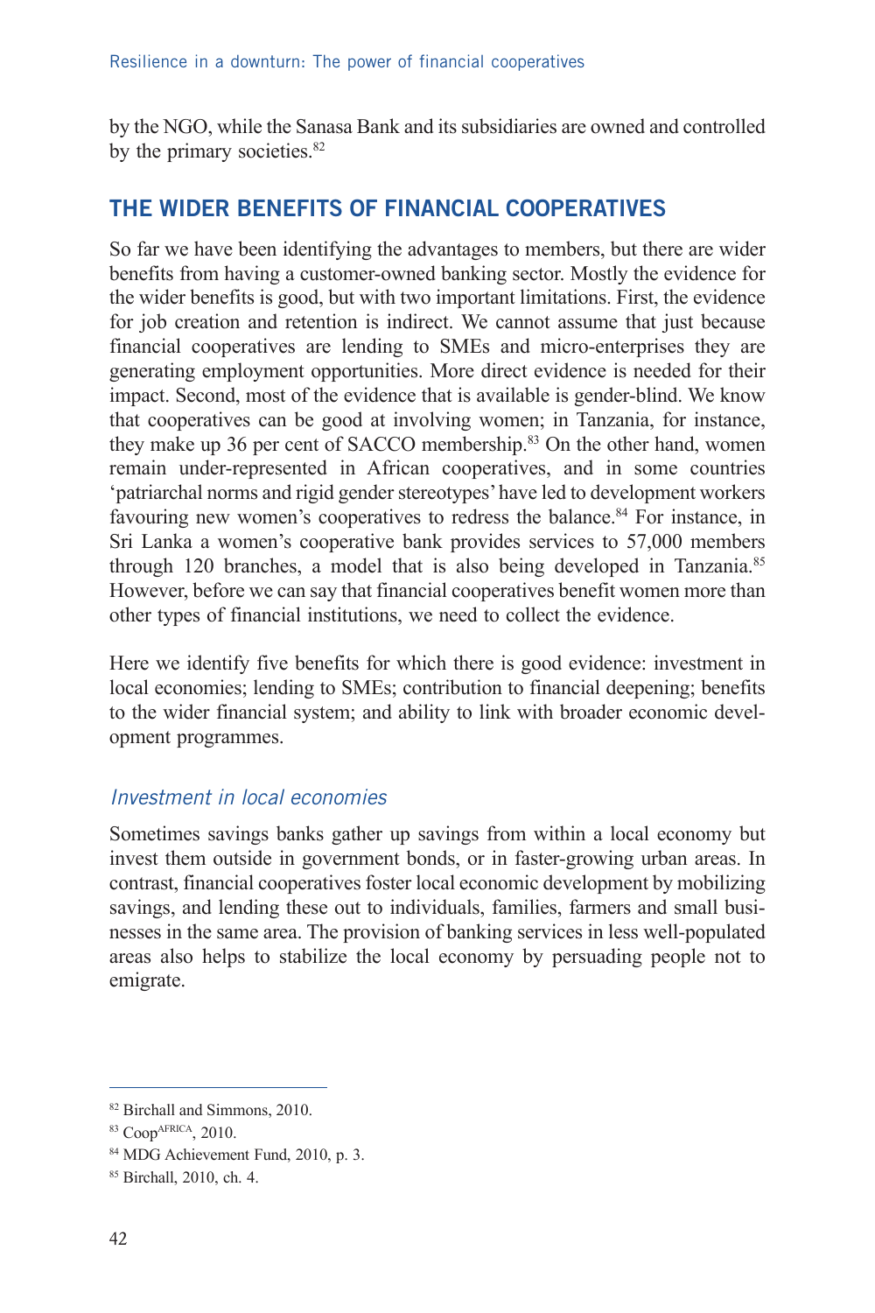by the NGO, while the Sanasa Bank and its subsidiaries are owned and controlled by the primary societies.<sup>82</sup>

#### **THE WIDER BENEFITS OF FINANCIAL COOPERATIVES**

So far we have been identifying the advantages to members, but there are wider benefits from having a customer-owned banking sector. Mostly the evidence for the wider benefits is good, but with two important limitations. First, the evidence for job creation and retention is indirect. We cannot assume that just because financial cooperatives are lending to SMEs and micro-enterprises they are generating employment opportunities. More direct evidence is needed for their impact. Second, most of the evidence that is available is gender-blind. We know that cooperatives can be good at involving women; in Tanzania, for instance, they make up 36 per cent of SACCO membership. <sup>83</sup> On the other hand, women remain under-represented in African cooperatives, and in some countries 'patriarchal norms and rigid gender stereotypes' have led to development workers favouring new women's cooperatives to redress the balance. <sup>84</sup> For instance, in Sri Lanka a women's cooperative bank provides services to 57,000 members through 120 branches, a model that is also being developed in Tanzania. 85 However, before we can say that financial cooperatives benefit women more than other types of financial institutions, we need to collect the evidence.

Here we identify five benefits for which there is good evidence: investment in local economies; lending to SMEs; contribution to financial deepening; benefits to the wider financial system; and ability to link with broader economic development programmes.

#### *Investment in local economies*

Sometimes savings banks gather up savings from within a local economy but invest them outside in government bonds, or in faster-growing urban areas. In contrast, financial cooperatives foster local economic development by mobilizing savings, and lending these out to individuals, families, farmers and small businesses in the same area. The provision of banking services in less well-populated areas also helps to stabilize the local economy by persuading people not to emigrate.

<sup>82</sup> Birchall and Simmons, 2010.

<sup>83</sup> CoopAFRICA, 2010.

<sup>84</sup> MDG Achievement Fund, 2010, p. 3.

<sup>85</sup> Birchall, 2010, ch. 4.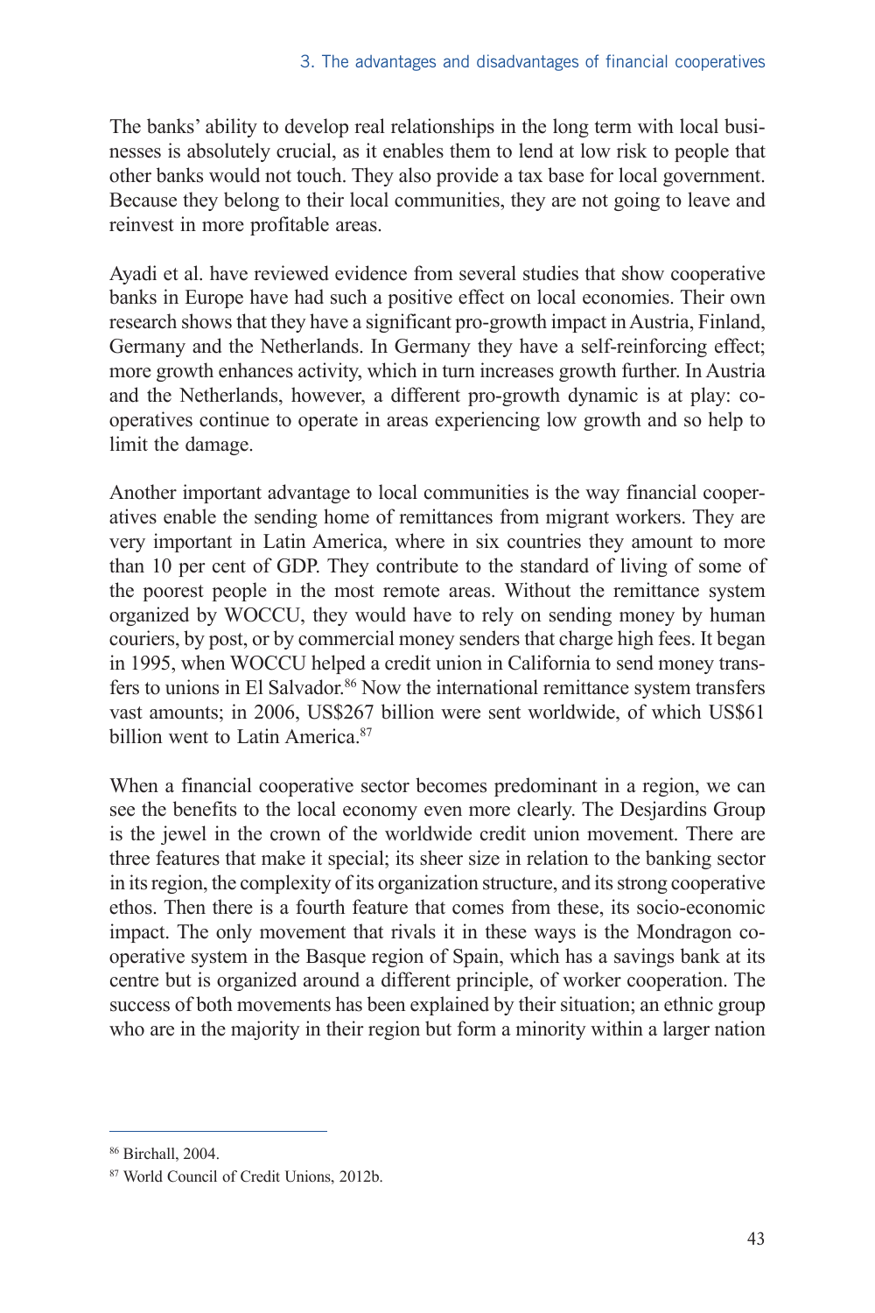The banks' ability to develop real relationships in the long term with local businesses is absolutely crucial, as it enables them to lend at low risk to people that other banks would not touch. They also provide a tax base for local government. Because they belong to their local communities, they are not going to leave and reinvest in more profitable areas.

Ayadi et al. have reviewed evidence from several studies that show cooperative banks in Europe have had such a positive effect on local economies. Their own research shows that they have a significant pro-growth impact in Austria, Finland, Germany and the Netherlands. In Germany they have a self-reinforcing effect; more growth enhances activity, which in turn increases growth further. In Austria and the Netherlands, however, a different pro-growth dynamic is at play: cooperatives continue to operate in areas experiencing low growth and so help to limit the damage.

Another important advantage to local communities is the way financial cooperatives enable the sending home of remittances from migrant workers. They are very important in Latin America, where in six countries they amount to more than 10 per cent of GDP. They contribute to the standard of living of some of the poorest people in the most remote areas. Without the remittance system organized by WOCCU, they would have to rely on sending money by human couriers, by post, or by commercial money senders that charge high fees. It began in 1995, when WOCCU helped a credit union in California to send money transfers to unions in El Salvador. <sup>86</sup> Now the international remittance system transfers vast amounts; in 2006, US\$267 billion were sent worldwide, of which US\$61 billion went to Latin America. 87

When a financial cooperative sector becomes predominant in a region, we can see the benefits to the local economy even more clearly. The Desjardins Group is the jewel in the crown of the worldwide credit union movement. There are three features that make it special; its sheer size in relation to the banking sector in its region, the complexity of its organization structure, and its strong cooperative ethos. Then there is a fourth feature that comes from these, its socio-economic impact. The only movement that rivals it in these ways is the Mondragon cooperative system in the Basque region of Spain, which has a savings bank at its centre but is organized around a different principle, of worker cooperation. The success of both movements has been explained by their situation; an ethnic group who are in the majority in their region but form a minority within a larger nation

<sup>86</sup> Birchall, 2004.

<sup>87</sup> World Council of Credit Unions, 2012b.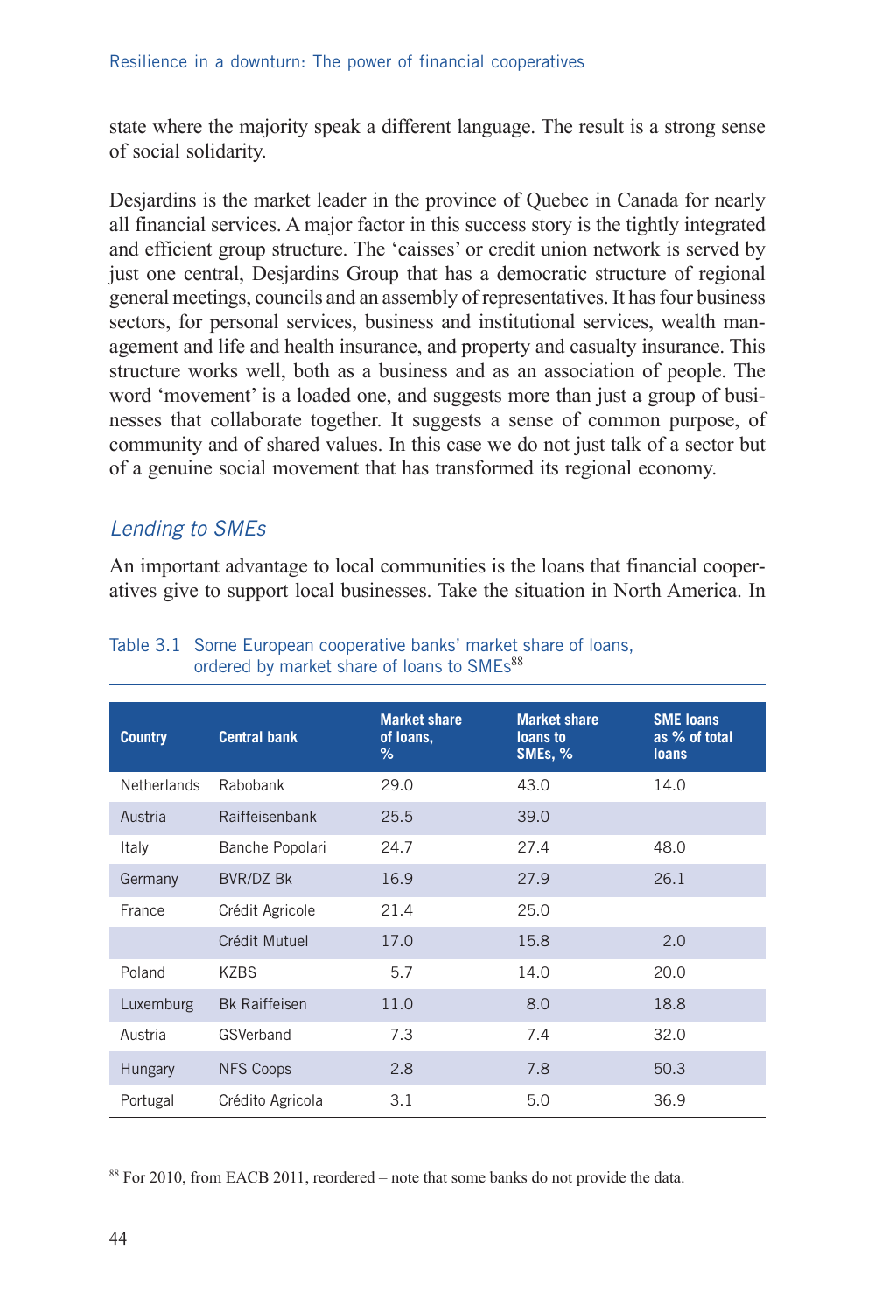state where the majority speak a different language. The result is a strong sense of social solidarity.

Desjardins is the market leader in the province of Quebec in Canada for nearly all financial services. A major factor in this success story is the tightly integrated and efficient group structure. The 'caisses' or credit union network is served by just one central, Desjardins Group that has a democratic structure of regional general meetings, councils and an assembly of representatives. It hasfour business sectors, for personal services, business and institutional services, wealth management and life and health insurance, and property and casualty insurance. This structure works well, both as a business and as an association of people. The word 'movement' is a loaded one, and suggests more than just a group of businesses that collaborate together. It suggests a sense of common purpose, of community and of shared values. In this case we do not just talk of a sector but of a genuine social movement that has transformed its regional economy.

#### *Lending to SMEs*

An important advantage to local communities is the loans that financial cooperatives give to support local businesses. Take the situation in North America. In

| <b>Country</b>     | <b>Central bank</b>  | <b>Market share</b><br>of loans,<br>% | <b>Market share</b><br>loans to<br>SMEs, % | <b>SME loans</b><br>as % of total<br><b>loans</b> |
|--------------------|----------------------|---------------------------------------|--------------------------------------------|---------------------------------------------------|
| <b>Netherlands</b> | Rabobank             | 29.0                                  | 43.0                                       | 14.0                                              |
| Austria            | Raiffeisenbank       | 25.5                                  | 39.0                                       |                                                   |
| Italy              | Banche Popolari      | 24.7                                  | 27.4                                       | 48.0                                              |
| Germany            | BVR/DZ Bk            | 16.9                                  | 27.9                                       | 26.1                                              |
| France             | Crédit Agricole      | 21.4                                  | 25.0                                       |                                                   |
|                    | Crédit Mutuel        | 17.0                                  | 15.8                                       | 2.0                                               |
| Poland             | <b>KZBS</b>          | 5.7                                   | 14.0                                       | 20.0                                              |
| Luxemburg          | <b>Bk Raiffeisen</b> | 11.0                                  | 8.0                                        | 18.8                                              |
| Austria            | GSVerband            | 7.3                                   | 7.4                                        | 32.0                                              |
| Hungary            | <b>NFS Coops</b>     | 2.8                                   | 7.8                                        | 50.3                                              |
| Portugal           | Crédito Agricola     | 3.1                                   | 5.0                                        | 36.9                                              |

Table 3.1 Some European cooperative banks' market share of loans, ordered by market share of loans to SMEs<sup>88</sup>

<sup>88</sup> For 2010, from EACB 2011, reordered – note that some banks do not provide the data.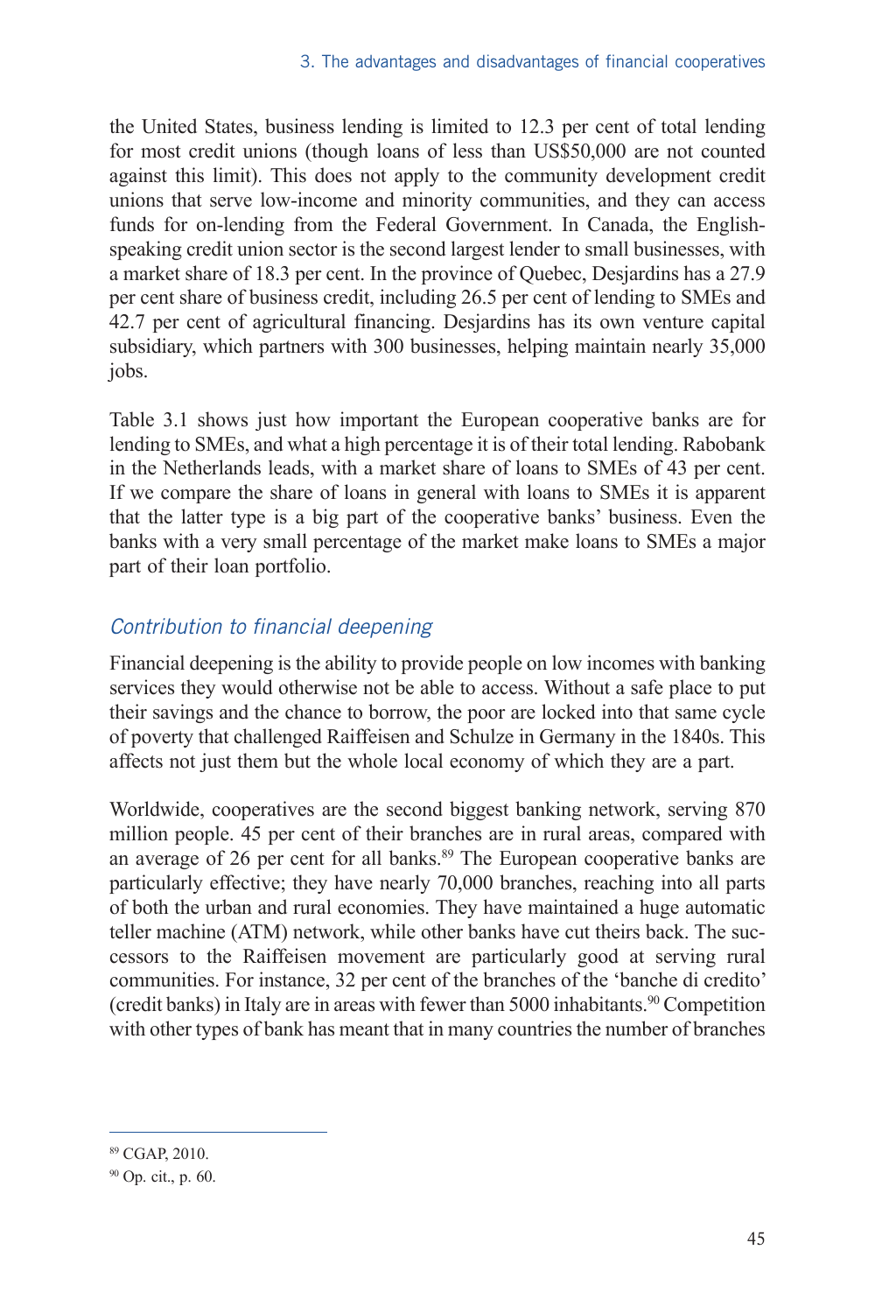the United States, business lending is limited to 12.3 per cent of total lending for most credit unions (though loans of less than US\$50,000 are not counted against this limit). This does not apply to the community development credit unions that serve low-income and minority communities, and they can access funds for on-lending from the Federal Government. In Canada, the Englishspeaking credit union sector is the second largest lender to small businesses, with a market share of 18.3 per cent. In the province of Quebec, Desjardins has a 27.9 per cent share of business credit, including 26.5 per cent of lending to SMEs and 42.7 per cent of agricultural financing. Desjardins has its own venture capital subsidiary, which partners with 300 businesses, helping maintain nearly 35,000 jobs.

Table 3.1 shows just how important the European cooperative banks are for lending to SMEs, and what a high percentage it is of their total lending. Rabobank in the Netherlands leads, with a market share of loans to SMEs of 43 per cent. If we compare the share of loans in general with loans to SMEs it is apparent that the latter type is a big part of the cooperative banks' business. Even the banks with a very small percentage of the market make loans to SMEs a major part of their loan portfolio.

#### *Contribution to financial deepening*

Financial deepening is the ability to provide people on low incomes with banking services they would otherwise not be able to access. Without a safe place to put their savings and the chance to borrow, the poor are locked into that same cycle of poverty that challenged Raiffeisen and Schulze in Germany in the 1840s. This affects not just them but the whole local economy of which they are a part.

Worldwide, cooperatives are the second biggest banking network, serving 870 million people. 45 per cent of their branches are in rural areas, compared with an average of 26 per cent for all banks. <sup>89</sup> The European cooperative banks are particularly effective; they have nearly 70,000 branches, reaching into all parts of both the urban and rural economies. They have maintained a huge automatic teller machine (ATM) network, while other banks have cut theirs back. The successors to the Raiffeisen movement are particularly good at serving rural communities. For instance, 32 per cent of the branches of the 'banche di credito' (credit banks) in Italy are in areas with fewer than 5000 inhabitants. <sup>90</sup> Competition with other types of bank has meant that in many countries the number of branches

<sup>89</sup> CGAP, 2010.

<sup>90</sup> Op. cit., p. 60.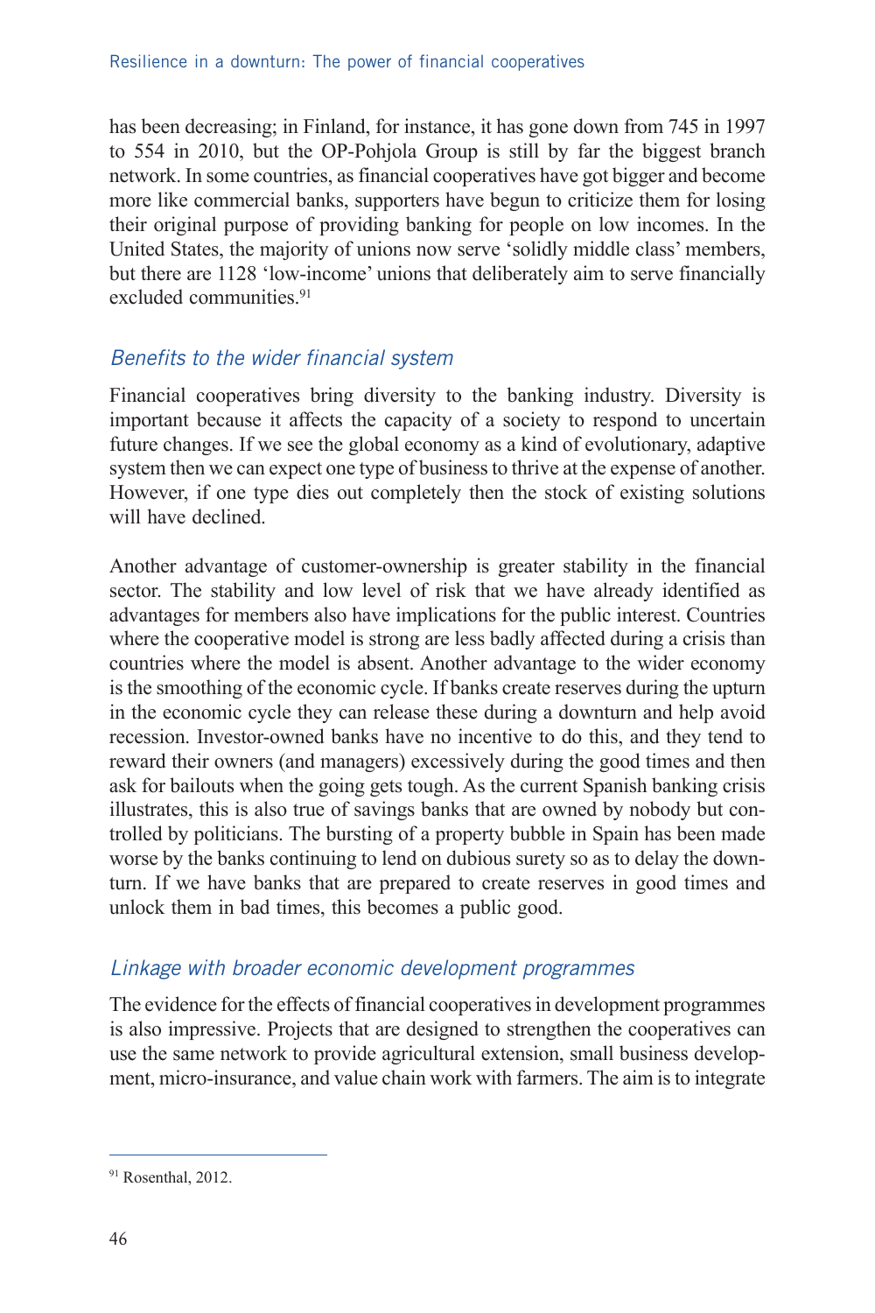has been decreasing; in Finland, for instance, it has gone down from 745 in 1997 to 554 in 2010, but the OP-Pohjola Group is still by far the biggest branch network. In some countries, asfinancial cooperatives have got bigger and become more like commercial banks, supporters have begun to criticize them for losing their original purpose of providing banking for people on low incomes. In the United States, the majority of unions now serve 'solidly middle class' members, but there are 1128 'low-income' unions that deliberately aim to serve financially excluded communities. 91

#### *Benefits to the wider financial system*

Financial cooperatives bring diversity to the banking industry. Diversity is important because it affects the capacity of a society to respond to uncertain future changes. If we see the global economy as a kind of evolutionary, adaptive system then we can expect one type of business to thrive at the expense of another. However, if one type dies out completely then the stock of existing solutions will have declined.

Another advantage of customer-ownership is greater stability in the financial sector. The stability and low level of risk that we have already identified as advantages for members also have implications for the public interest. Countries where the cooperative model is strong are less badly affected during a crisis than countries where the model is absent. Another advantage to the wider economy is the smoothing of the economic cycle. If banks create reserves during the upturn in the economic cycle they can release these during a downturn and help avoid recession. Investor-owned banks have no incentive to do this, and they tend to reward their owners (and managers) excessively during the good times and then ask for bailouts when the going gets tough. As the current Spanish banking crisis illustrates, this is also true of savings banks that are owned by nobody but controlled by politicians. The bursting of a property bubble in Spain has been made worse by the banks continuing to lend on dubious surety so as to delay the downturn. If we have banks that are prepared to create reserves in good times and unlock them in bad times, this becomes a public good.

#### *Linkage with broader economic development programmes*

The evidence for the effects of financial cooperatives in development programmes is also impressive. Projects that are designed to strengthen the cooperatives can use the same network to provide agricultural extension, small business development, micro-insurance, and value chain work with farmers. The aim isto integrate

 $91$  Rosenthal, 2012.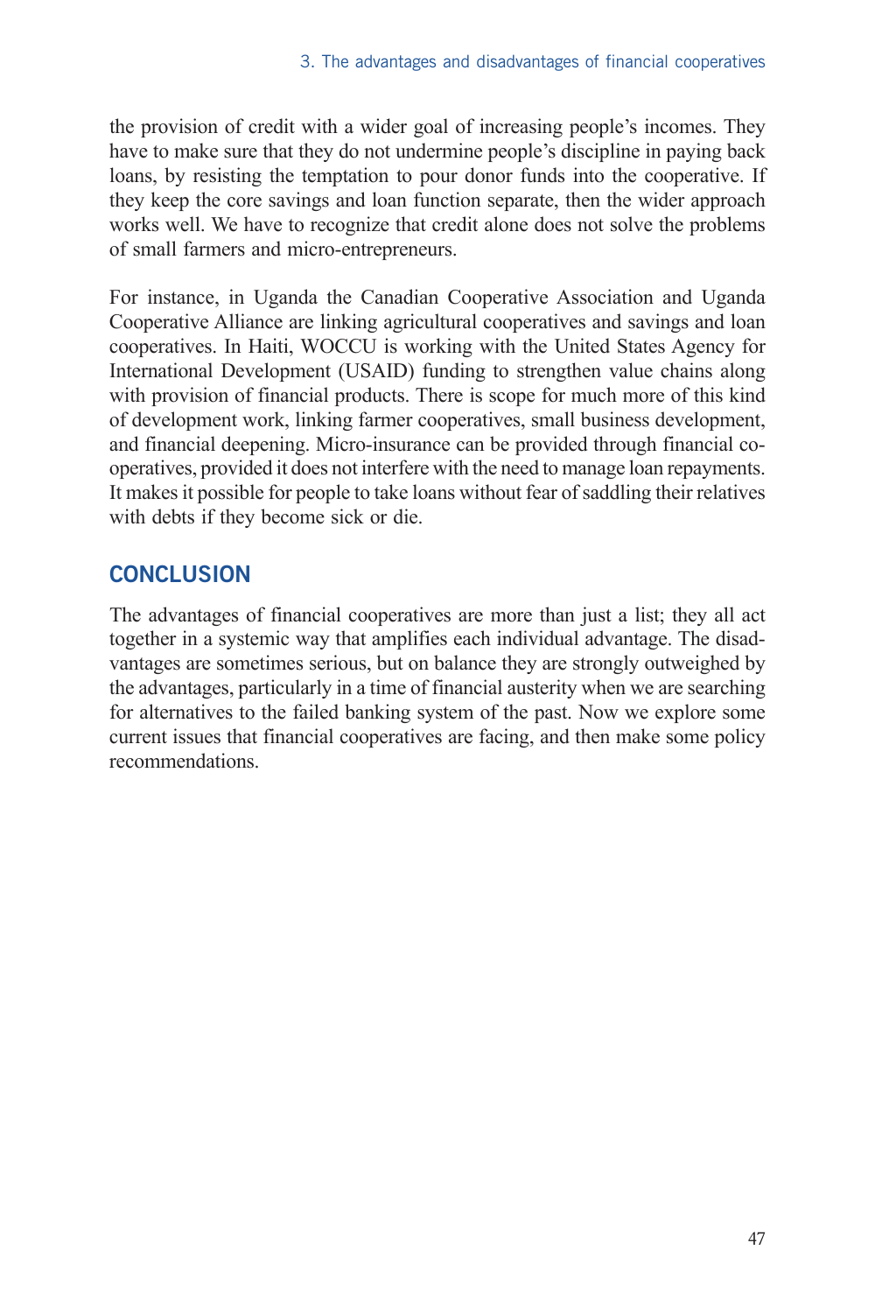the provision of credit with a wider goal of increasing people's incomes. They have to make sure that they do not undermine people's discipline in paying back loans, by resisting the temptation to pour donor funds into the cooperative. If they keep the core savings and loan function separate, then the wider approach works well. We have to recognize that credit alone does not solve the problems of small farmers and micro-entrepreneurs.

For instance, in Uganda the Canadian Cooperative Association and Uganda Cooperative Alliance are linking agricultural cooperatives and savings and loan cooperatives. In Haiti, WOCCU is working with the United States Agency for International Development (USAID) funding to strengthen value chains along with provision of financial products. There is scope for much more of this kind of development work, linking farmer cooperatives, small business development, and financial deepening. Micro-insurance can be provided through financial cooperatives, provided it does not interfere with the need to manage loan repayments. It makes it possible for people to take loans without fear of saddling their relatives with debts if they become sick or die.

#### **CONCLUSION**

The advantages of financial cooperatives are more than just a list; they all act together in a systemic way that amplifies each individual advantage. The disadvantages are sometimes serious, but on balance they are strongly outweighed by the advantages, particularly in a time of financial austerity when we are searching for alternatives to the failed banking system of the past. Now we explore some current issues that financial cooperatives are facing, and then make some policy recommendations.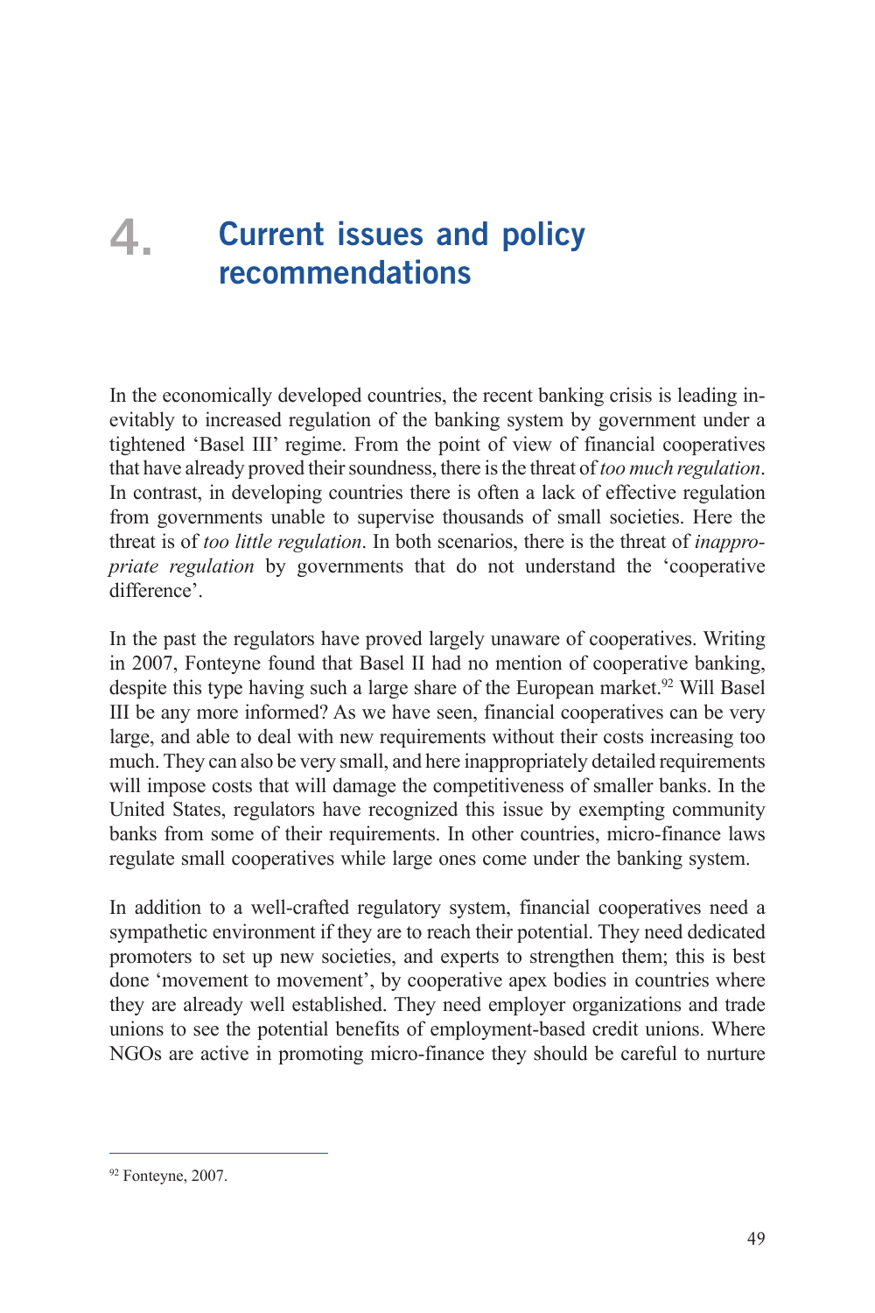# **4. Current issues and policy recommendations**

In the economically developed countries, the recent banking crisis is leading inevitably to increased regulation of the banking system by government under a tightened 'Basel III' regime. From the point of view of financial cooperatives that have already proved their soundness, there is the threat of *too much regulation*. In contrast, in developing countries there is often a lack of effective regulation from governments unable to supervise thousands of small societies. Here the threat is of *too little regulation*. In both scenarios, there is the threat of *inappropriate regulation* by governments that do not understand the 'cooperative difference'.

In the past the regulators have proved largely unaware of cooperatives. Writing in 2007, Fonteyne found that Basel II had no mention of cooperative banking, despite this type having such a large share of the European market. <sup>92</sup> Will Basel III be any more informed? As we have seen, financial cooperatives can be very large, and able to deal with new requirements without their costs increasing too much.They can also be very small, and here inappropriately detailed requirements will impose costs that will damage the competitiveness of smaller banks. In the United States, regulators have recognized this issue by exempting community banks from some of their requirements. In other countries, micro-finance laws regulate small cooperatives while large ones come under the banking system.

In addition to a well-crafted regulatory system, financial cooperatives need a sympathetic environment if they are to reach their potential. They need dedicated promoters to set up new societies, and experts to strengthen them; this is best done 'movement to movement', by cooperative apex bodies in countries where they are already well established. They need employer organizations and trade unions to see the potential benefits of employment-based credit unions. Where NGOs are active in promoting micro-finance they should be careful to nurture

<sup>92</sup> Fonteyne, 2007.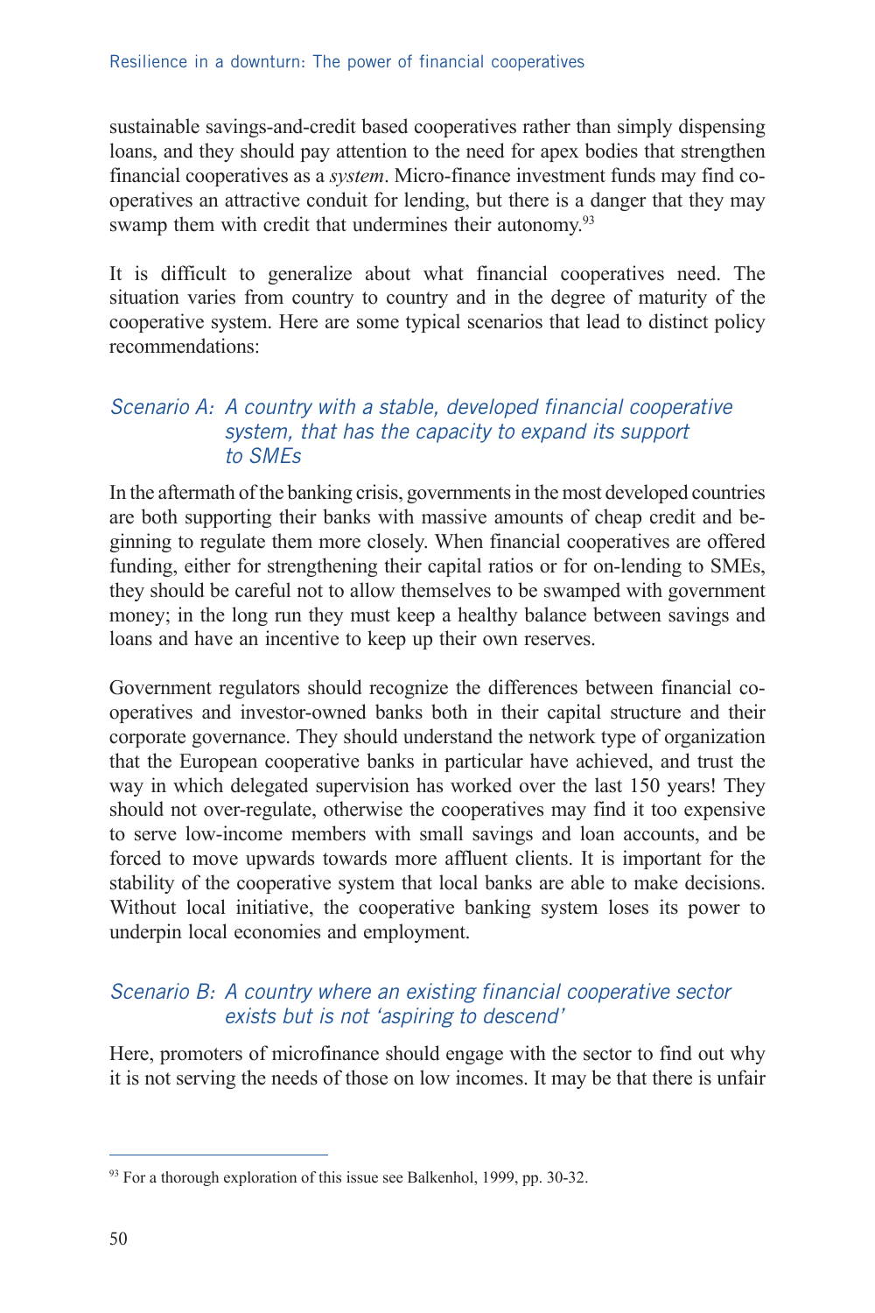sustainable savings-and-credit based cooperatives rather than simply dispensing loans, and they should pay attention to the need for apex bodies that strengthen financial cooperatives as a *system*. Micro-finance investment funds may find cooperatives an attractive conduit for lending, but there is a danger that they may swamp them with credit that undermines their autonomy.<sup>93</sup>

It is difficult to generalize about what financial cooperatives need. The situation varies from country to country and in the degree of maturity of the cooperative system. Here are some typical scenarios that lead to distinct policy recommendations:

#### *Scenario A: A country with a stable, developed financial cooperative system, that has the capacity to expand its support to SMEs*

In the aftermath of the banking crisis, governments in the most developed countries are both supporting their banks with massive amounts of cheap credit and beginning to regulate them more closely. When financial cooperatives are offered funding, either for strengthening their capital ratios or for on-lending to SMEs, they should be careful not to allow themselves to be swamped with government money; in the long run they must keep a healthy balance between savings and loans and have an incentive to keep up their own reserves.

Government regulators should recognize the differences between financial cooperatives and investor-owned banks both in their capital structure and their corporate governance. They should understand the network type of organization that the European cooperative banks in particular have achieved, and trust the way in which delegated supervision has worked over the last 150 years! They should not over-regulate, otherwise the cooperatives may find it too expensive to serve low-income members with small savings and loan accounts, and be forced to move upwards towards more affluent clients. It is important for the stability of the cooperative system that local banks are able to make decisions. Without local initiative, the cooperative banking system loses its power to underpin local economies and employment.

#### *Scenario B: A country where an existing financial cooperative sector exists but is not 'aspiring to descend'*

Here, promoters of microfinance should engage with the sector to find out why it is not serving the needs of those on low incomes. It may be that there is unfair

<sup>&</sup>lt;sup>93</sup> For a thorough exploration of this issue see Balkenhol, 1999, pp. 30-32.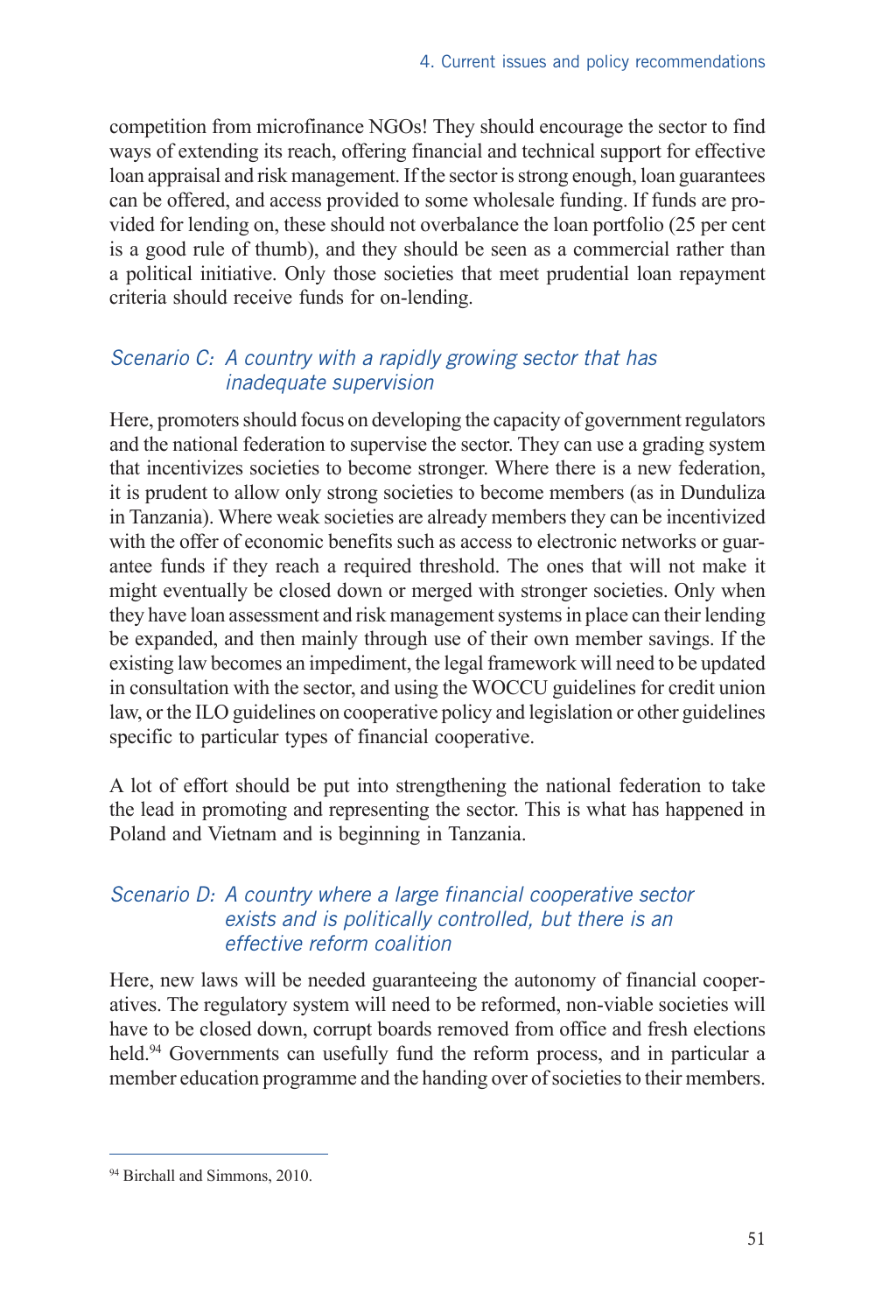competition from microfinance NGOs! They should encourage the sector to find ways of extending its reach, offering financial and technical support for effective loan appraisal and risk management. If the sector is strong enough, loan guarantees can be offered, and access provided to some wholesale funding. If funds are provided for lending on, these should not overbalance the loan portfolio (25 per cent is a good rule of thumb), and they should be seen as a commercial rather than a political initiative. Only those societies that meet prudential loan repayment criteria should receive funds for on-lending.

#### *Scenario C: A country with a rapidly growing sector that has inadequate supervision*

Here, promoters should focus on developing the capacity of government regulators and the national federation to supervise the sector. They can use a grading system that incentivizes societies to become stronger. Where there is a new federation, it is prudent to allow only strong societies to become members (as in Dunduliza in Tanzania). Where weak societies are already members they can be incentivized with the offer of economic benefits such as access to electronic networks or guarantee funds if they reach a required threshold. The ones that will not make it might eventually be closed down or merged with stronger societies. Only when they have loan assessment and risk management systems in place can their lending be expanded, and then mainly through use of their own member savings. If the existing law becomes an impediment, the legal framework will need to be updated in consultation with the sector, and using the WOCCU guidelines for credit union law, or the ILO guidelines on cooperative policy and legislation or other guidelines specific to particular types of financial cooperative.

A lot of effort should be put into strengthening the national federation to take the lead in promoting and representing the sector. This is what has happened in Poland and Vietnam and is beginning in Tanzania.

#### *Scenario D: A country where a large financial cooperative sector exists and is politically controlled, but there is an effective reform coalition*

Here, new laws will be needed guaranteeing the autonomy of financial cooperatives. The regulatory system will need to be reformed, non-viable societies will have to be closed down, corrupt boards removed from office and fresh elections held.<sup>94</sup> Governments can usefully fund the reform process, and in particular a member education programme and the handing over of societies to their members.

<sup>94</sup> Birchall and Simmons, 2010.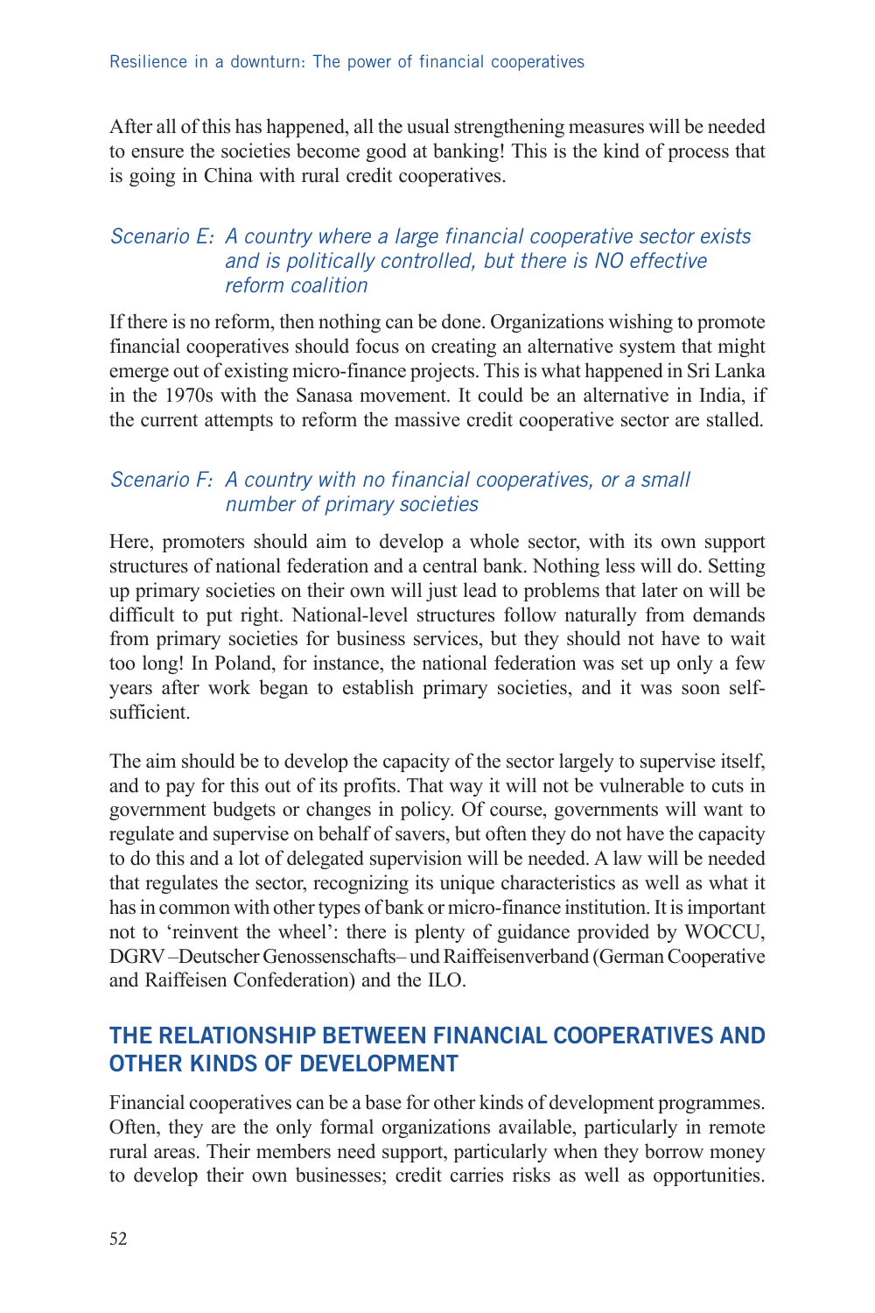After all of this has happened, all the usual strengthening measures will be needed to ensure the societies become good at banking! This is the kind of process that is going in China with rural credit cooperatives.

#### *Scenario E: A country where a large financial cooperative sector exists and is politically controlled, but there is NO effective reform coalition*

If there is no reform, then nothing can be done. Organizations wishing to promote financial cooperatives should focus on creating an alternative system that might emerge out of existing micro-finance projects. This is what happened in Sri Lanka in the 1970s with the Sanasa movement. It could be an alternative in India, if the current attempts to reform the massive credit cooperative sector are stalled.

#### *Scenario F: A country with no financial cooperatives, or a small number of primary societies*

Here, promoters should aim to develop a whole sector, with its own support structures of national federation and a central bank. Nothing less will do. Setting up primary societies on their own will just lead to problems that later on will be difficult to put right. National-level structures follow naturally from demands from primary societies for business services, but they should not have to wait too long! In Poland, for instance, the national federation was set up only a few years after work began to establish primary societies, and it was soon selfsufficient.

The aim should be to develop the capacity of the sector largely to supervise itself, and to pay for this out of its profits. That way it will not be vulnerable to cuts in government budgets or changes in policy. Of course, governments will want to regulate and supervise on behalf of savers, but often they do not have the capacity to do this and a lot of delegated supervision will be needed. A law will be needed that regulates the sector, recognizing its unique characteristics as well as what it has in common with other types of bank or micro-finance institution. It is important not to 'reinvent the wheel': there is plenty of guidance provided by WOCCU, DGRV–Deutscher Genossenschafts– und Raiffeisenverband (German Cooperative and Raiffeisen Confederation) and the ILO.

#### **THE RELATIONSHIP BETWEEN FINANCIAL COOPERATIVES AND OTHER KINDS OF DEVELOPMENT**

Financial cooperatives can be a base for other kinds of development programmes. Often, they are the only formal organizations available, particularly in remote rural areas. Their members need support, particularly when they borrow money to develop their own businesses; credit carries risks as well as opportunities.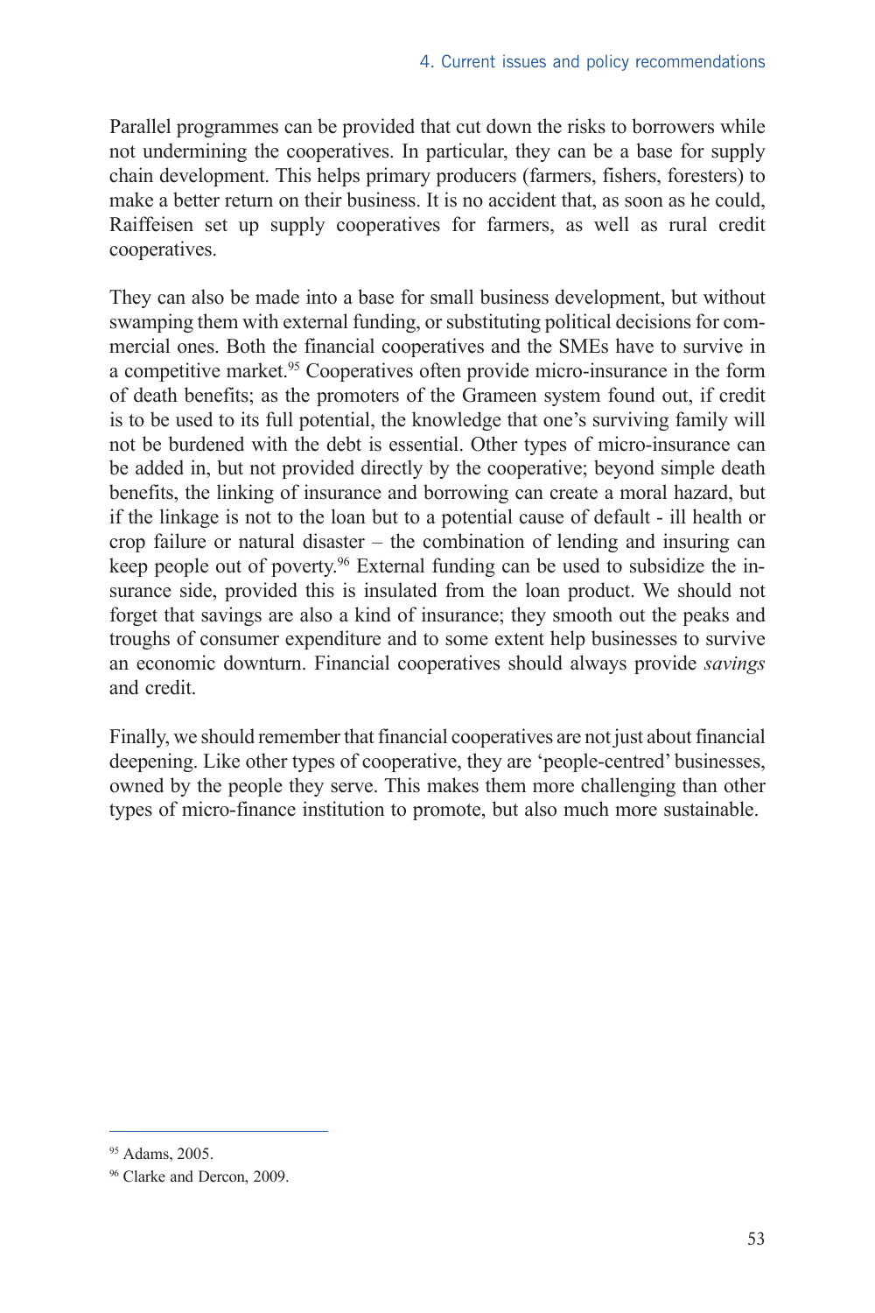Parallel programmes can be provided that cut down the risks to borrowers while not undermining the cooperatives. In particular, they can be a base for supply chain development. This helps primary producers (farmers, fishers, foresters) to make a better return on their business. It is no accident that, as soon as he could, Raiffeisen set up supply cooperatives for farmers, as well as rural credit cooperatives.

They can also be made into a base for small business development, but without swamping them with external funding, or substituting political decisions for commercial ones. Both the financial cooperatives and the SMEs have to survive in a competitive market. <sup>95</sup> Cooperatives often provide micro-insurance in the form of death benefits; as the promoters of the Grameen system found out, if credit is to be used to its full potential, the knowledge that one's surviving family will not be burdened with the debt is essential. Other types of micro-insurance can be added in, but not provided directly by the cooperative; beyond simple death benefits, the linking of insurance and borrowing can create a moral hazard, but if the linkage is not to the loan but to a potential cause of default - ill health or crop failure or natural disaster – the combination of lending and insuring can keep people out of poverty. <sup>96</sup> External funding can be used to subsidize the insurance side, provided this is insulated from the loan product. We should not forget that savings are also a kind of insurance; they smooth out the peaks and troughs of consumer expenditure and to some extent help businesses to survive an economic downturn. Financial cooperatives should always provide *savings* and credit.

Finally, we should remember that financial cooperatives are not just about financial deepening. Like other types of cooperative, they are 'people-centred' businesses, owned by the people they serve. This makes them more challenging than other types of micro-finance institution to promote, but also much more sustainable.

<sup>&</sup>lt;sup>95</sup> Adams, 2005.

<sup>96</sup> Clarke and Dercon, 2009.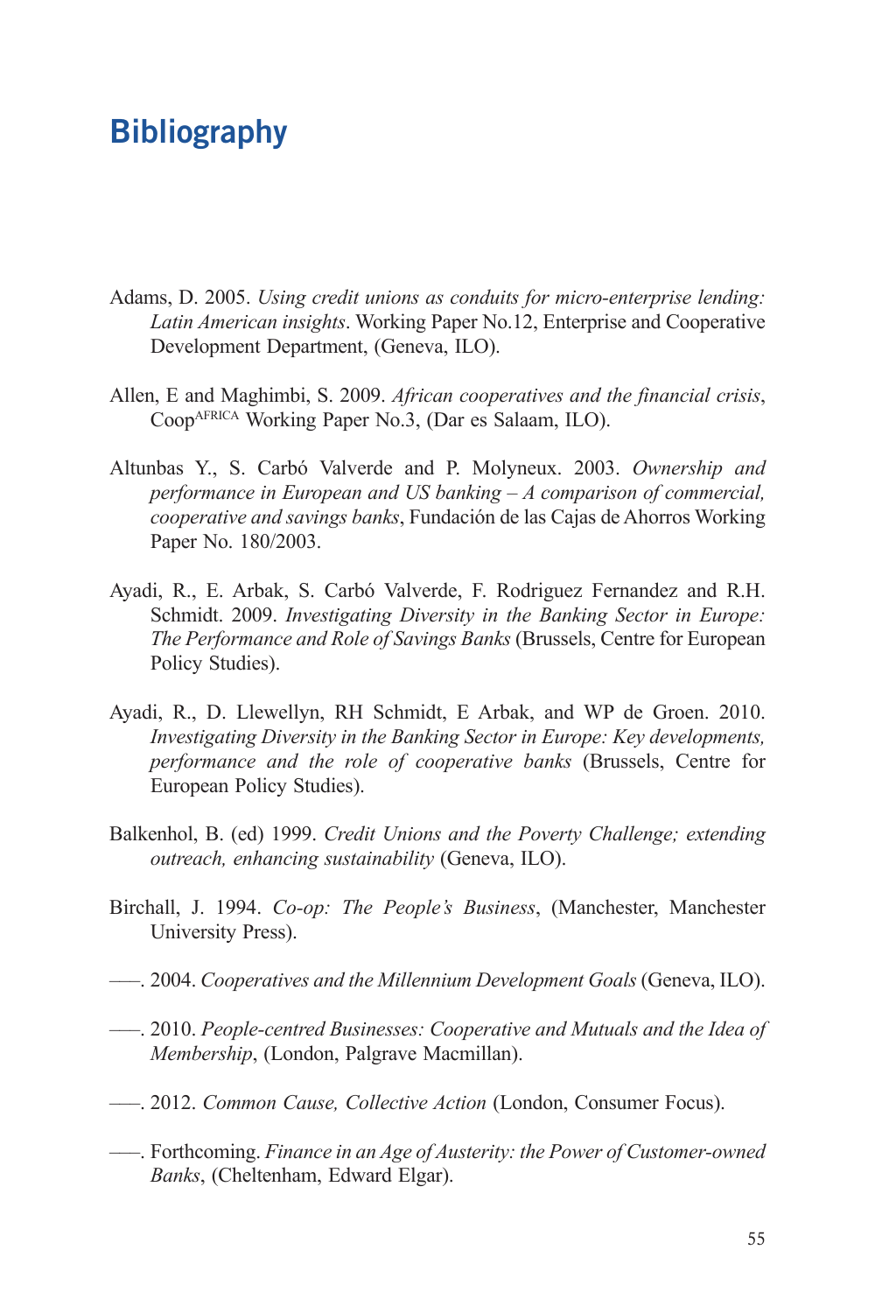### **Bibliography**

- Adams, D. 2005. *Using credit unions as conduits for micro-enterprise lending: Latin American insights*. Working Paper No.12, Enterprise and Cooperative Development Department, (Geneva, ILO).
- Allen, E and Maghimbi, S. 2009. *African cooperatives and the financial crisis*, CoopAFRICA Working Paper No.3, (Dar es Salaam, ILO).
- Altunbas Y., S. Carbó Valverde and P. Molyneux. 2003. *Ownership and performance in European and US banking – A comparison of commercial, cooperative and savings banks*, Fundación de las Cajas de Ahorros Working Paper No. 180/2003.
- Ayadi, R., E. Arbak, S. Carbó Valverde, F. Rodriguez Fernandez and R.H. Schmidt. 2009. *Investigating Diversity in the Banking Sector in Europe: The Performance and Role of Savings Banks* (Brussels, Centre for European Policy Studies).
- Ayadi, R., D. Llewellyn, RH Schmidt, E Arbak, and WP de Groen. 2010. *Investigating Diversity in the Banking Sector in Europe: Key developments, performance and the role of cooperative banks* (Brussels, Centre for European Policy Studies).
- Balkenhol, B. (ed) 1999. *Credit Unions and the Poverty Challenge; extending outreach, enhancing sustainability* (Geneva, ILO).
- Birchall, J. 1994. *Co-op: The People's Business*, (Manchester, Manchester University Press).
- –––. 2004. *Cooperatives and the Millennium Development Goals* (Geneva, ILO).
- –––. 2010. *People-centred Businesses: Cooperative and Mutuals and the Idea of Membership*, (London, Palgrave Macmillan).
- –––. 2012. *Common Cause, Collective Action* (London, Consumer Focus).
- –––. Forthcoming. *Finance in an Age of Austerity: the Power of Customer-owned Banks*, (Cheltenham, Edward Elgar).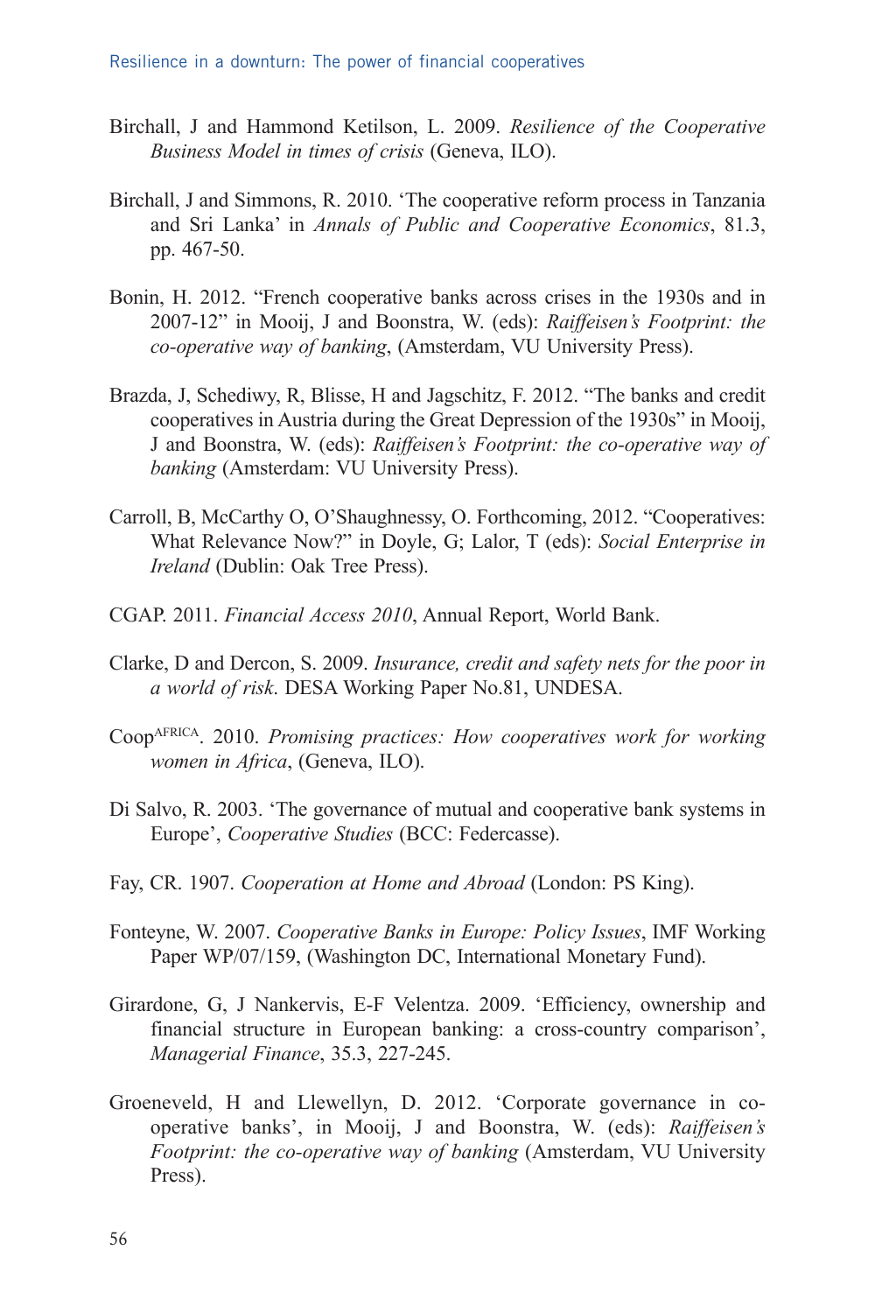Resilience in a downturn: The power of financial cooperatives

- Birchall, J and Hammond Ketilson, L. 2009. *Resilience of the Cooperative Business Model in times of crisis* (Geneva, ILO).
- Birchall, J and Simmons, R. 2010. 'The cooperative reform process in Tanzania and Sri Lanka' in *Annals of Public and Cooperative Economics*, 81.3, pp. 467-50.
- Bonin, H. 2012. "French cooperative banks across crises in the 1930s and in 2007-12" in Mooij, J and Boonstra, W. (eds): *Raiffeisen's Footprint: the co-operative way of banking*, (Amsterdam, VU University Press).
- Brazda, J, Schediwy, R, Blisse, H and Jagschitz, F. 2012. "The banks and credit cooperatives in Austria during the Great Depression of the 1930s" in Mooij, J and Boonstra, W. (eds): *Raiffeisen's Footprint: the co-operative way of banking* (Amsterdam: VU University Press).
- Carroll, B, McCarthy O, O'Shaughnessy, O. Forthcoming, 2012. "Cooperatives: What Relevance Now?" in Doyle, G; Lalor, T (eds): *Social Enterprise in Ireland* (Dublin: Oak Tree Press).
- CGAP. 2011. *Financial Access 2010*, Annual Report, World Bank.
- Clarke, D and Dercon, S. 2009. *Insurance, credit and safety nets for the poor in a world of risk*. DESA Working Paper No.81, UNDESA.
- CoopAFRICA. 2010. *Promising practices: How cooperatives work for working women in Africa*, (Geneva, ILO).
- Di Salvo, R. 2003. 'The governance of mutual and cooperative bank systems in Europe', *Cooperative Studies* (BCC: Federcasse).
- Fay, CR. 1907. *Cooperation at Home and Abroad* (London: PS King).
- Fonteyne, W. 2007. *Cooperative Banks in Europe: Policy Issues*, IMF Working Paper WP/07/159, (Washington DC, International Monetary Fund).
- Girardone, G, J Nankervis, E-F Velentza. 2009. 'Efficiency, ownership and financial structure in European banking: a cross-country comparison', *Managerial Finance*, 35.3, 227-245.
- Groeneveld, H and Llewellyn, D. 2012. 'Corporate governance in cooperative banks', in Mooij, J and Boonstra, W. (eds): *Raiffeisen's Footprint: the co-operative way of banking* (Amsterdam, VU University Press).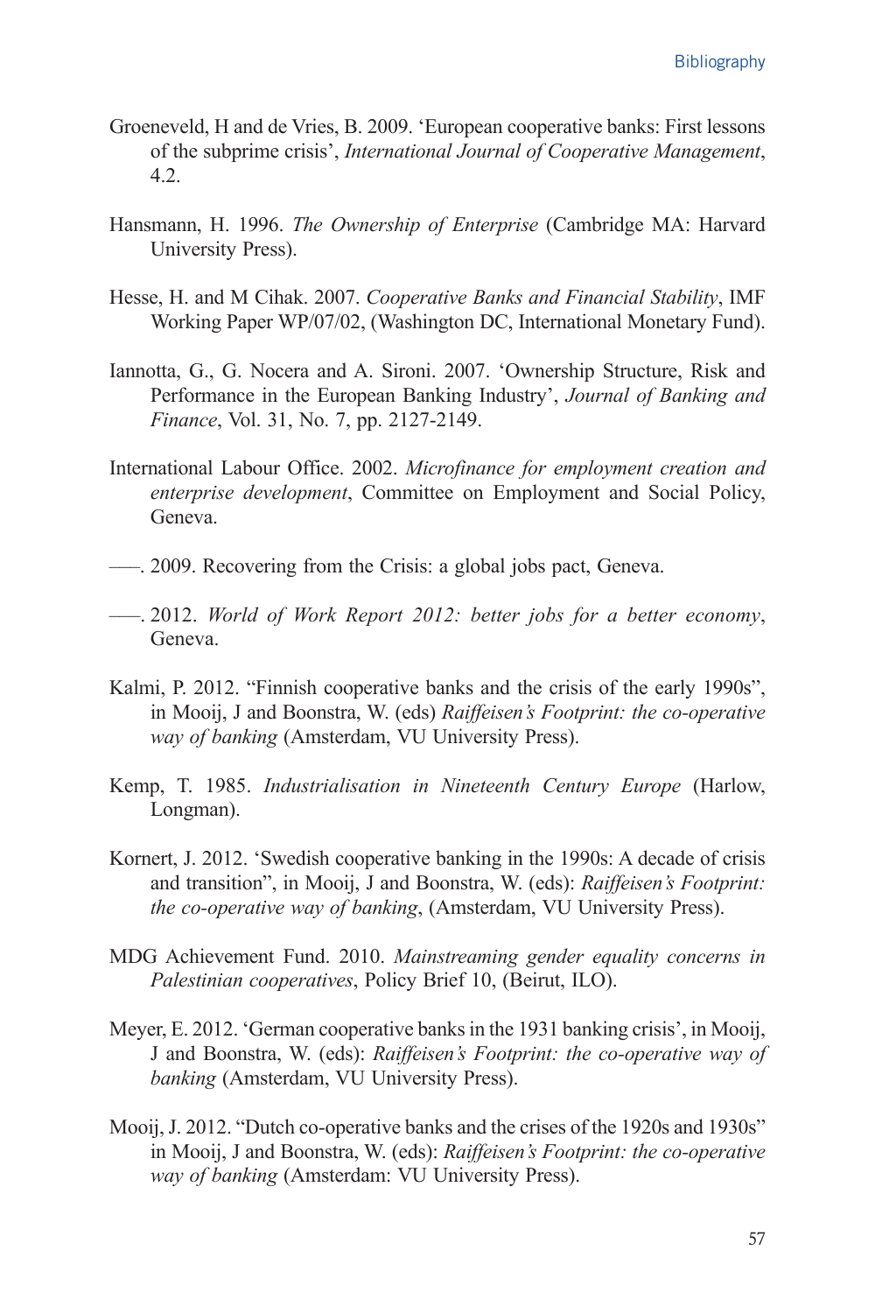- Groeneveld, H and de Vries, B. 2009. 'European cooperative banks: First lessons of the subprime crisis', *International Journal of Cooperative Management*, 4.2.
- Hansmann, H. 1996. *The Ownership of Enterprise* (Cambridge MA: Harvard University Press).
- Hesse, H. and M Cihak. 2007. *Cooperative Banks and Financial Stability*, IMF Working Paper WP/07/02, (Washington DC, International Monetary Fund).
- Iannotta, G., G. Nocera and A. Sironi. 2007. 'Ownership Structure, Risk and Performance in the European Banking Industry', *Journal of Banking and Finance*, Vol. 31, No. 7, pp. 2127-2149.
- International Labour Office. 2002. *Microfinance for employment creation and enterprise development*, Committee on Employment and Social Policy, Geneva.
- –––. 2009. Recovering from the Crisis: a global jobs pact, Geneva.
- –––. 2012. *World of Work Report 2012: better jobs for a better economy*, Geneva.
- Kalmi, P. 2012. "Finnish cooperative banks and the crisis of the early 1990s", in Mooij, J and Boonstra, W. (eds) *Raiffeisen's Footprint: the co-operative way of banking* (Amsterdam, VU University Press).
- Kemp, T. 1985. *Industrialisation in Nineteenth Century Europe* (Harlow, Longman).
- Kornert, J. 2012. 'Swedish cooperative banking in the 1990s: A decade of crisis and transition", in Mooij, J and Boonstra, W. (eds): *Raiffeisen's Footprint: the co-operative way of banking*, (Amsterdam, VU University Press).
- MDG Achievement Fund. 2010. *Mainstreaming gender equality concerns in Palestinian cooperatives*, Policy Brief 10, (Beirut, ILO).
- Meyer, E. 2012. 'German cooperative banksin the 1931 banking crisis', in Mooij, J and Boonstra, W. (eds): *Raiffeisen's Footprint: the co-operative way of banking* (Amsterdam, VU University Press).
- Mooij, J. 2012. "Dutch co-operative banks and the crises of the 1920s and 1930s" in Mooij, J and Boonstra, W. (eds): *Raiffeisen's Footprint: the co-operative way of banking* (Amsterdam: VU University Press).